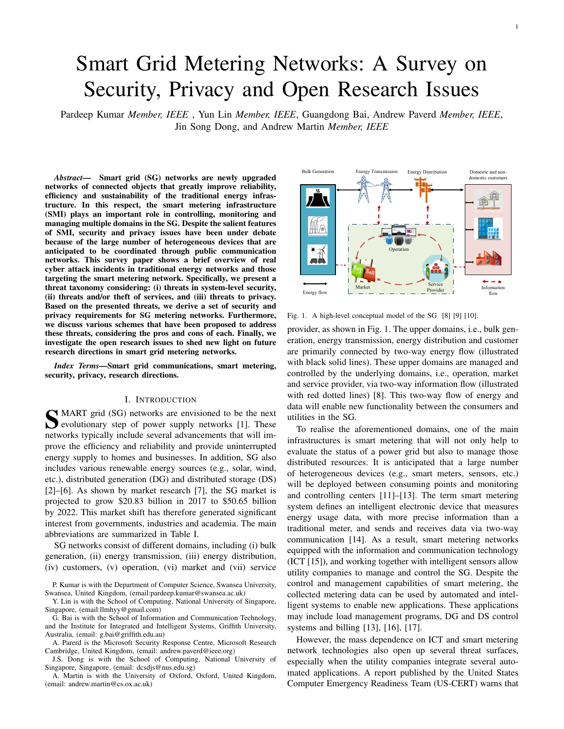# Smart Grid Metering Networks: A Survey on Security, Privacy and Open Research Issues

Pardeep Kumar *Member, IEEE* , Yun Lin *Member, IEEE*, Guangdong Bai, Andrew Paverd *Member, IEEE*, Jin Song Dong, and Andrew Martin *Member, IEEE*

*Abstract*— Smart grid (SG) networks are newly upgraded networks of connected objects that greatly improve reliability, efficiency and sustainability of the traditional energy infrastructure. In this respect, the smart metering infrastructure (SMI) plays an important role in controlling, monitoring and managing multiple domains in the SG. Despite the salient features of SMI, security and privacy issues have been under debate because of the large number of heterogeneous devices that are anticipated to be coordinated through public communication networks. This survey paper shows a brief overview of real cyber attack incidents in traditional energy networks and those targeting the smart metering network. Specifically, we present a threat taxonomy considering: (i) threats in system-level security, (ii) threats and/or theft of services, and (iii) threats to privacy. Based on the presented threats, we derive a set of security and privacy requirements for SG metering networks. Furthermore, we discuss various schemes that have been proposed to address these threats, considering the pros and cons of each. Finally, we investigate the open research issues to shed new light on future research directions in smart grid metering networks.

*Index Terms*—Smart grid communications, smart metering, security, privacy, research directions.

# I. INTRODUCTION

**S** MART grid (SG) networks are envisioned to be the next evolutionary step of power supply networks [1]. These evolutionary step of power supply networks [1]. These networks typically include several advancements that will improve the efficiency and reliability and provide uninterrupted energy supply to homes and businesses. In addition, SG also includes various renewable energy sources (e.g., solar, wind, etc.), distributed generation (DG) and distributed storage (DS) [2]–[6]. As shown by market research [7], the SG market is projected to grow \$20.83 billion in 2017 to \$50.65 billion by 2022. This market shift has therefore generated significant interest from governments, industries and academia. The main abbreviations are summarized in Table I.

SG networks consist of different domains, including (i) bulk generation, (ii) energy transmission, (iii) energy distribution, (iv) customers, (v) operation, (vi) market and (vii) service

P. Kumar is with the Department of Computer Science, Swansea University, Swansea, United Kingdom, (email:pardeep.kumar@swansea.ac.uk)

Y. Lin is with the School of Computing, National University of Singapore, Singapore, (email:llmhyy@gmail.com)

G. Bai is with the School of Information and Communication Technology, and the Institute for Integrated and Intelligent Systems, Griffith University, Australia, (email: g.bai@griffith.edu.au)

A. Parerd is the Microsoft Security Response Centre, Microsoft Research Cambridge, United Kingdom, (email: andrew.paverd@ieee.org)

J.S. Dong is with the School of Computing, National University of Singapore, Singapore, (email: dcsdjs@nus.edu.sg)

A. Martin is with the University of Oxford, Oxford, United Kingdom, (email: andrew.martin@cs.ox.ac.uk)



Fig. 1. A high-level conceptual model of the SG [8] [9] [10].

provider, as shown in Fig. 1. The upper domains, i.e., bulk generation, energy transmission, energy distribution and customer are primarily connected by two-way energy flow (illustrated with black solid lines). These upper domains are managed and controlled by the underlying domains, i.e., operation, market and service provider, via two-way information flow (illustrated with red dotted lines) [8]. This two-way flow of energy and data will enable new functionality between the consumers and utilities in the SG.

To realise the aforementioned domains, one of the main infrastructures is smart metering that will not only help to evaluate the status of a power grid but also to manage those distributed resources. It is anticipated that a large number of heterogeneous devices (e.g., smart meters, sensors, etc.) will be deployed between consuming points and monitoring and controlling centers [11]–[13]. The term smart metering system defines an intelligent electronic device that measures energy usage data, with more precise information than a traditional meter, and sends and receives data via two-way communication [14]. As a result, smart metering networks equipped with the information and communication technology (ICT [15]), and working together with intelligent sensors allow utility companies to manage and control the SG. Despite the control and management capabilities of smart metering, the collected metering data can be used by automated and intelligent systems to enable new applications. These applications may include load management programs, DG and DS control systems and billing [13], [16], [17].

However, the mass dependence on ICT and smart metering network technologies also open up several threat surfaces, especially when the utility companies integrate several automated applications. A report published by the United States Computer Emergency Readiness Team (US-CERT) warns that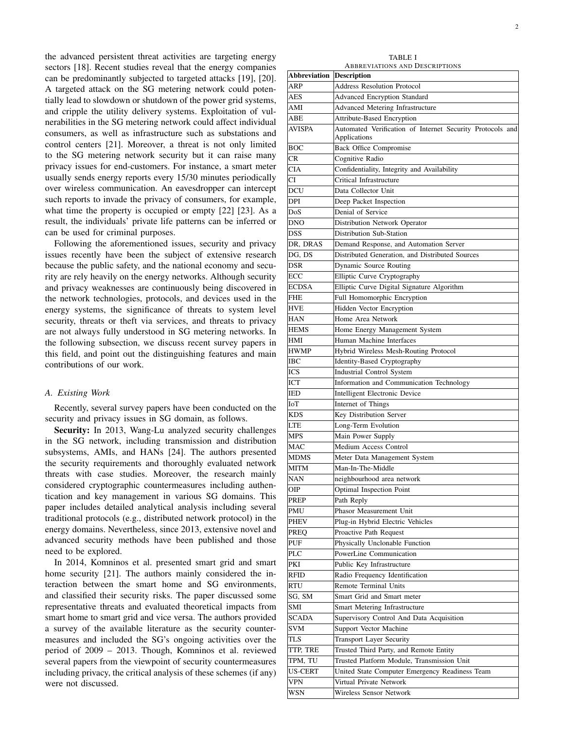the advanced persistent threat activities are targeting energy sectors [18]. Recent studies reveal that the energy companies can be predominantly subjected to targeted attacks [19], [20]. A targeted attack on the SG metering network could potentially lead to slowdown or shutdown of the power grid systems, and cripple the utility delivery systems. Exploitation of vulnerabilities in the SG metering network could affect individual consumers, as well as infrastructure such as substations and control centers [21]. Moreover, a threat is not only limited to the SG metering network security but it can raise many privacy issues for end-customers. For instance, a smart meter usually sends energy reports every 15/30 minutes periodically over wireless communication. An eavesdropper can intercept such reports to invade the privacy of consumers, for example, what time the property is occupied or empty [22] [23]. As a result, the individuals' private life patterns can be inferred or can be used for criminal purposes.

Following the aforementioned issues, security and privacy issues recently have been the subject of extensive research because the public safety, and the national economy and security are rely heavily on the energy networks. Although security and privacy weaknesses are continuously being discovered in the network technologies, protocols, and devices used in the energy systems, the significance of threats to system level security, threats or theft via services, and threats to privacy are not always fully understood in SG metering networks. In the following subsection, we discuss recent survey papers in this field, and point out the distinguishing features and main contributions of our work.

#### *A. Existing Work*

Recently, several survey papers have been conducted on the security and privacy issues in SG domain, as follows.

Security: In 2013, Wang-Lu analyzed security challenges in the SG network, including transmission and distribution subsystems, AMIs, and HANs [24]. The authors presented the security requirements and thoroughly evaluated network threats with case studies. Moreover, the research mainly considered cryptographic countermeasures including authentication and key management in various SG domains. This paper includes detailed analytical analysis including several traditional protocols (e.g., distributed network protocol) in the energy domains. Nevertheless, since 2013, extensive novel and advanced security methods have been published and those need to be explored.

In 2014, Komninos et al. presented smart grid and smart home security [21]. The authors mainly considered the interaction between the smart home and SG environments, and classified their security risks. The paper discussed some representative threats and evaluated theoretical impacts from smart home to smart grid and vice versa. The authors provided a survey of the available literature as the security countermeasures and included the SG's ongoing activities over the period of 2009 – 2013. Though, Komninos et al. reviewed several papers from the viewpoint of security countermeasures including privacy, the critical analysis of these schemes (if any) were not discussed.

TABLE I ABBREVIATIONS AND DESCRIPTIONS

| <b>Abbreviation Description</b> |                                                           |
|---------------------------------|-----------------------------------------------------------|
| ARP                             | <b>Address Resolution Protocol</b>                        |
| AES                             | <b>Advanced Encryption Standard</b>                       |
| AMI                             | Advanced Metering Infrastructure                          |
| ABE                             | Attribute-Based Encryption                                |
| AVISPA                          | Automated Verification of Internet Security Protocols and |
|                                 | Applications                                              |
| BOC                             | <b>Back Office Compromise</b>                             |
| CR                              | Cognitive Radio                                           |
| CIA                             | Confidentiality, Integrity and Availability               |
| СI                              | Critical Infrastructure                                   |
| DCU                             | Data Collector Unit                                       |
| DPI                             | Deep Packet Inspection                                    |
| DoS                             | Denial of Service                                         |
| DNO                             | Distribution Network Operator                             |
| DSS                             | Distribution Sub-Station                                  |
| DR, DRAS                        | Demand Response, and Automation Server                    |
| DG, DS                          | Distributed Generation, and Distributed Sources           |
| DSR                             | Dynamic Source Routing                                    |
| ECC                             | Elliptic Curve Cryptography                               |
| ECDSA                           | Elliptic Curve Digital Signature Algorithm                |
| FHE                             | Full Homomorphic Encryption                               |
| HVE                             |                                                           |
| HAN                             | Hidden Vector Encryption<br>Home Area Network             |
|                                 |                                                           |
| <b>HEMS</b>                     | Home Energy Management System                             |
| HMI                             | Human Machine Interfaces                                  |
| HWMP                            | Hybrid Wireless Mesh-Routing Protocol                     |
| IBC                             | Identity-Based Cryptography                               |
| ICS                             | Industrial Control System                                 |
| ICT                             | Information and Communication Technology                  |
| IED                             | Intelligent Electronic Device                             |
| IоT                             | Internet of Things                                        |
| <b>KDS</b>                      | Key Distribution Server                                   |
| LTE                             | Long-Term Evolution                                       |
| MPS                             | Main Power Supply                                         |
| MAC                             | Medium Access Control                                     |
| MDMS                            | Meter Data Management System                              |
| MITM                            | Man-In-The-Middle                                         |
| <b>NAN</b>                      | neighbourhood area network                                |
| OIP                             | Optimal Inspection Point                                  |
| PREP                            | Path Reply                                                |
| PMU                             | Phasor Measurement Unit                                   |
| PHEV                            | Plug-in Hybrid Electric Vehicles                          |
| PREQ                            | Proactive Path Request                                    |
| PUF                             | Physically Unclonable Function                            |
| PLC                             | PowerLine Communication                                   |
| PKI                             | Public Key Infrastructure                                 |
| RFID                            | Radio Frequency Identification                            |
| RTU                             | <b>Remote Terminal Units</b>                              |
| SG, SM                          | Smart Grid and Smart meter                                |
| SMI                             | Smart Metering Infrastructure                             |
| SCADA                           | Supervisory Control And Data Acquisition                  |
| SVM                             | Support Vector Machine                                    |
| TLS                             | <b>Transport Layer Security</b>                           |
| TTP, TRE                        | Trusted Third Party, and Remote Entity                    |
| TPM, TU                         | Trusted Platform Module, Transmission Unit                |
| US-CERT                         | United State Computer Emergency Readiness Team            |
| VPN                             | Virtual Private Network                                   |
| WSN                             | Wireless Sensor Network                                   |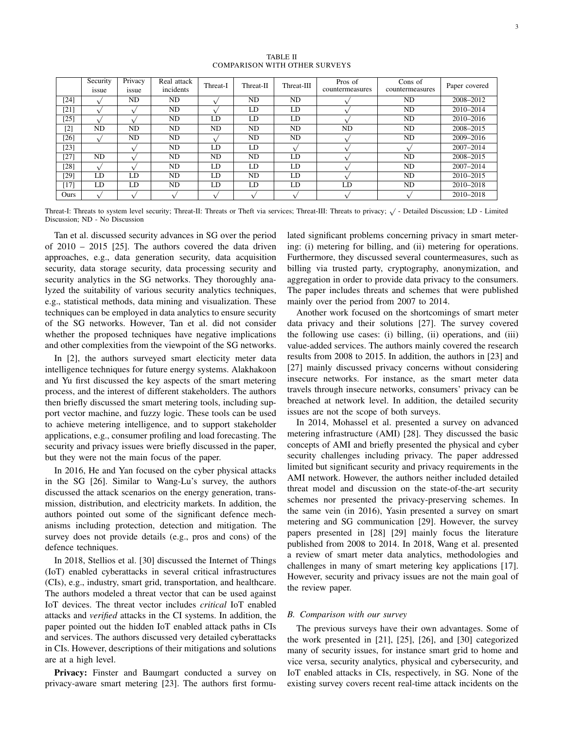TABLE II COMPARISON WITH OTHER SURVEYS

|        | Security<br>issue | Privacy<br>issue | Real attack<br>incidents | Threat-I | Threat-II | Threat-III | Pros of<br>countermeasures | Cons of<br>countermeasures | Paper covered |
|--------|-------------------|------------------|--------------------------|----------|-----------|------------|----------------------------|----------------------------|---------------|
| [24]   |                   | ND               | ND                       |          | ND        | ND         |                            | ND                         | 2008-2012     |
| [21]   |                   |                  | ND                       |          | LD        | LD         |                            | ND                         | 2010-2014     |
| [25]   |                   |                  | ND                       | LD       | LD        | LD         |                            | ND                         | 2010-2016     |
| $[2]$  | ND                | ND               | ND                       | ND       | ND        | ND         | ND                         | ND                         | 2008-2015     |
| [26]   |                   | ND               | ND                       |          | ND        | ND         |                            | ND                         | 2009-2016     |
| [23]   |                   |                  | ND                       | LD       | LD        |            |                            |                            | 2007-2014     |
| $[27]$ | ND                |                  | ND                       | ND       | ND        | LD         |                            | ND                         | 2008-2015     |
| [28]   |                   |                  | ND                       | LD       | LD        | LD         |                            | ND                         | 2007-2014     |
| [29]   | LD                | LD               | ND.                      | LD       | ND        | LD         |                            | ND                         | 2010-2015     |
| 17     | LD                | LD               | ND                       | LD       | LD        | LD         | LD                         | ND                         | 2010-2018     |
| Ours   |                   |                  |                          |          |           |            |                            |                            | 2010-2018     |

Threat-I: Threats to system level security; Threat-II: Threats or Theft via services; Threat-III: Threats to privacy;  $\sqrt{}$  - Detailed Discussion; LD - Limited Discussion; ND - No Discussion

Tan et al. discussed security advances in SG over the period of 2010 – 2015 [25]. The authors covered the data driven approaches, e.g., data generation security, data acquisition security, data storage security, data processing security and security analytics in the SG networks. They thoroughly analyzed the suitability of various security analytics techniques, e.g., statistical methods, data mining and visualization. These techniques can be employed in data analytics to ensure security of the SG networks. However, Tan et al. did not consider whether the proposed techniques have negative implications and other complexities from the viewpoint of the SG networks.

In [2], the authors surveyed smart electicity meter data intelligence techniques for future energy systems. Alakhakoon and Yu first discussed the key aspects of the smart metering process, and the interest of different stakeholders. The authors then briefly discussed the smart metering tools, including support vector machine, and fuzzy logic. These tools can be used to achieve metering intelligence, and to support stakeholder applications, e.g., consumer profiling and load forecasting. The security and privacy issues were briefly discussed in the paper, but they were not the main focus of the paper.

In 2016, He and Yan focused on the cyber physical attacks in the SG [26]. Similar to Wang-Lu's survey, the authors discussed the attack scenarios on the energy generation, transmission, distribution, and electricity markets. In addition, the authors pointed out some of the significant defence mechanisms including protection, detection and mitigation. The survey does not provide details (e.g., pros and cons) of the defence techniques.

In 2018, Stellios et al. [30] discussed the Internet of Things (IoT) enabled cyberattacks in several critical infrastructures (CIs), e.g., industry, smart grid, transportation, and healthcare. The authors modeled a threat vector that can be used against IoT devices. The threat vector includes *critical* IoT enabled attacks and *verified* attacks in the CI systems. In addition, the paper pointed out the hidden IoT enabled attack paths in CIs and services. The authors discussed very detailed cyberattacks in CIs. However, descriptions of their mitigations and solutions are at a high level.

Privacy: Finster and Baumgart conducted a survey on privacy-aware smart metering [23]. The authors first formulated significant problems concerning privacy in smart metering: (i) metering for billing, and (ii) metering for operations. Furthermore, they discussed several countermeasures, such as billing via trusted party, cryptography, anonymization, and aggregation in order to provide data privacy to the consumers. The paper includes threats and schemes that were published mainly over the period from 2007 to 2014.

Another work focused on the shortcomings of smart meter data privacy and their solutions [27]. The survey covered the following use cases: (i) billing, (ii) operations, and (iii) value-added services. The authors mainly covered the research results from 2008 to 2015. In addition, the authors in [23] and [27] mainly discussed privacy concerns without considering insecure networks. For instance, as the smart meter data travels through insecure networks, consumers' privacy can be breached at network level. In addition, the detailed security issues are not the scope of both surveys.

In 2014, Mohassel et al. presented a survey on advanced metering infrastructure (AMI) [28]. They discussed the basic concepts of AMI and briefly presented the physical and cyber security challenges including privacy. The paper addressed limited but significant security and privacy requirements in the AMI network. However, the authors neither included detailed threat model and discussion on the state-of-the-art security schemes nor presented the privacy-preserving schemes. In the same vein (in 2016), Yasin presented a survey on smart metering and SG communication [29]. However, the survey papers presented in [28] [29] mainly focus the literature published from 2008 to 2014. In 2018, Wang et al. presented a review of smart meter data analytics, methodologies and challenges in many of smart metering key applications [17]. However, security and privacy issues are not the main goal of the review paper.

#### *B. Comparison with our survey*

The previous surveys have their own advantages. Some of the work presented in [21], [25], [26], and [30] categorized many of security issues, for instance smart grid to home and vice versa, security analytics, physical and cybersecurity, and IoT enabled attacks in CIs, respectively, in SG. None of the existing survey covers recent real-time attack incidents on the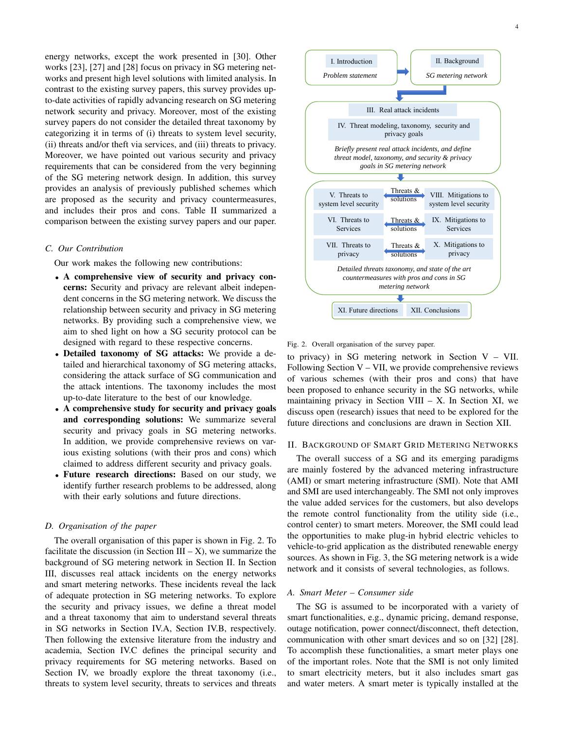energy networks, except the work presented in [30]. Other works [23], [27] and [28] focus on privacy in SG metering networks and present high level solutions with limited analysis. In contrast to the existing survey papers, this survey provides upto-date activities of rapidly advancing research on SG metering network security and privacy. Moreover, most of the existing survey papers do not consider the detailed threat taxonomy by categorizing it in terms of (i) threats to system level security, (ii) threats and/or theft via services, and (iii) threats to privacy. Moreover, we have pointed out various security and privacy requirements that can be considered from the very beginning of the SG metering network design. In addition, this survey provides an analysis of previously published schemes which are proposed as the security and privacy countermeasures, and includes their pros and cons. Table II summarized a comparison between the existing survey papers and our paper.

### *C. Our Contribution*

Our work makes the following new contributions:

- A comprehensive view of security and privacy concerns: Security and privacy are relevant albeit independent concerns in the SG metering network. We discuss the relationship between security and privacy in SG metering networks. By providing such a comprehensive view, we aim to shed light on how a SG security protocol can be designed with regard to these respective concerns.
- Detailed taxonomy of SG attacks: We provide a detailed and hierarchical taxonomy of SG metering attacks, considering the attack surface of SG communication and the attack intentions. The taxonomy includes the most up-to-date literature to the best of our knowledge.
- A comprehensive study for security and privacy goals and corresponding solutions: We summarize several security and privacy goals in SG metering networks. In addition, we provide comprehensive reviews on various existing solutions (with their pros and cons) which claimed to address different security and privacy goals.
- Future research directions: Based on our study, we identify further research problems to be addressed, along with their early solutions and future directions.

# *D. Organisation of the paper*

The overall organisation of this paper is shown in Fig. 2. To facilitate the discussion (in Section III – X), we summarize the background of SG metering network in Section II. In Section III, discusses real attack incidents on the energy networks and smart metering networks. These incidents reveal the lack of adequate protection in SG metering networks. To explore the security and privacy issues, we define a threat model and a threat taxonomy that aim to understand several threats in SG networks in Section IV.A, Section IV.B, respectively. Then following the extensive literature from the industry and academia, Section IV.C defines the principal security and privacy requirements for SG metering networks. Based on Section IV, we broadly explore the threat taxonomy (i.e., threats to system level security, threats to services and threats



Fig. 2. Overall organisation of the survey paper.

to privacy) in SG metering network in Section V – VII. Following Section  $V - VII$ , we provide comprehensive reviews of various schemes (with their pros and cons) that have been proposed to enhance security in the SG networks, while maintaining privacy in Section VIII – X. In Section XI, we discuss open (research) issues that need to be explored for the future directions and conclusions are drawn in Section XII.

# II. BACKGROUND OF SMART GRID METERING NETWORKS

The overall success of a SG and its emerging paradigms are mainly fostered by the advanced metering infrastructure (AMI) or smart metering infrastructure (SMI). Note that AMI and SMI are used interchangeably. The SMI not only improves the value added services for the customers, but also develops the remote control functionality from the utility side (i.e., control center) to smart meters. Moreover, the SMI could lead the opportunities to make plug-in hybrid electric vehicles to vehicle-to-grid application as the distributed renewable energy sources. As shown in Fig. 3, the SG metering network is a wide network and it consists of several technologies, as follows.

# *A. Smart Meter – Consumer side*

The SG is assumed to be incorporated with a variety of smart functionalities, e.g., dynamic pricing, demand response, outage notification, power connect/disconnect, theft detection, communication with other smart devices and so on [32] [28]. To accomplish these functionalities, a smart meter plays one of the important roles. Note that the SMI is not only limited to smart electricity meters, but it also includes smart gas and water meters. A smart meter is typically installed at the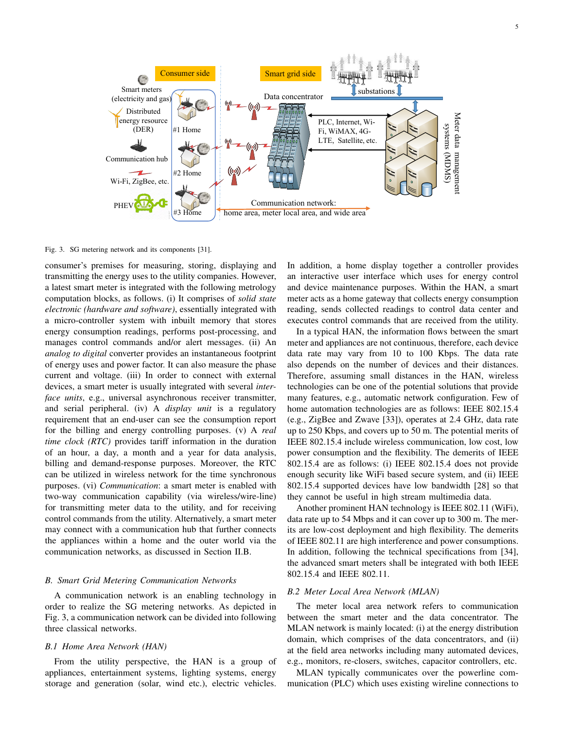

Fig. 3. SG metering network and its components [31].

consumer's premises for measuring, storing, displaying and transmitting the energy uses to the utility companies. However, a latest smart meter is integrated with the following metrology computation blocks, as follows. (i) It comprises of *solid state electronic (hardware and software)*, essentially integrated with a micro-controller system with inbuilt memory that stores energy consumption readings, performs post-processing, and manages control commands and/or alert messages. (ii) An *analog to digital* converter provides an instantaneous footprint of energy uses and power factor. It can also measure the phase current and voltage. (iii) In order to connect with external devices, a smart meter is usually integrated with several *interface units*, e.g., universal asynchronous receiver transmitter, and serial peripheral. (iv) A *display unit* is a regulatory requirement that an end-user can see the consumption report for the billing and energy controlling purposes. (v) A *real time clock (RTC)* provides tariff information in the duration of an hour, a day, a month and a year for data analysis, billing and demand-response purposes. Moreover, the RTC can be utilized in wireless network for the time synchronous purposes. (vi) *Communication*: a smart meter is enabled with two-way communication capability (via wireless/wire-line) for transmitting meter data to the utility, and for receiving control commands from the utility. Alternatively, a smart meter may connect with a communication hub that further connects the appliances within a home and the outer world via the communication networks, as discussed in Section II.B.

#### *B. Smart Grid Metering Communication Networks*

A communication network is an enabling technology in order to realize the SG metering networks. As depicted in Fig. 3, a communication network can be divided into following three classical networks.

# *B.1 Home Area Network (HAN)*

From the utility perspective, the HAN is a group of appliances, entertainment systems, lighting systems, energy storage and generation (solar, wind etc.), electric vehicles. In addition, a home display together a controller provides an interactive user interface which uses for energy control and device maintenance purposes. Within the HAN, a smart meter acts as a home gateway that collects energy consumption reading, sends collected readings to control data center and executes control commands that are received from the utility.

In a typical HAN, the information flows between the smart meter and appliances are not continuous, therefore, each device data rate may vary from 10 to 100 Kbps. The data rate also depends on the number of devices and their distances. Therefore, assuming small distances in the HAN, wireless technologies can be one of the potential solutions that provide many features, e.g., automatic network configuration. Few of home automation technologies are as follows: IEEE 802.15.4 (e.g., ZigBee and Zwave [33]), operates at 2.4 GHz, data rate up to 250 Kbps, and covers up to 50 m. The potential merits of IEEE 802.15.4 include wireless communication, low cost, low power consumption and the flexibility. The demerits of IEEE 802.15.4 are as follows: (i) IEEE 802.15.4 does not provide enough security like WiFi based secure system, and (ii) IEEE 802.15.4 supported devices have low bandwidth [28] so that they cannot be useful in high stream multimedia data.

Another prominent HAN technology is IEEE 802.11 (WiFi), data rate up to 54 Mbps and it can cover up to 300 m. The merits are low-cost deployment and high flexibility. The demerits of IEEE 802.11 are high interference and power consumptions. In addition, following the technical specifications from [34], the advanced smart meters shall be integrated with both IEEE 802.15.4 and IEEE 802.11.

# *B.2 Meter Local Area Network (MLAN)*

The meter local area network refers to communication between the smart meter and the data concentrator. The MLAN network is mainly located: (i) at the energy distribution domain, which comprises of the data concentrators, and (ii) at the field area networks including many automated devices, e.g., monitors, re-closers, switches, capacitor controllers, etc.

MLAN typically communicates over the powerline communication (PLC) which uses existing wireline connections to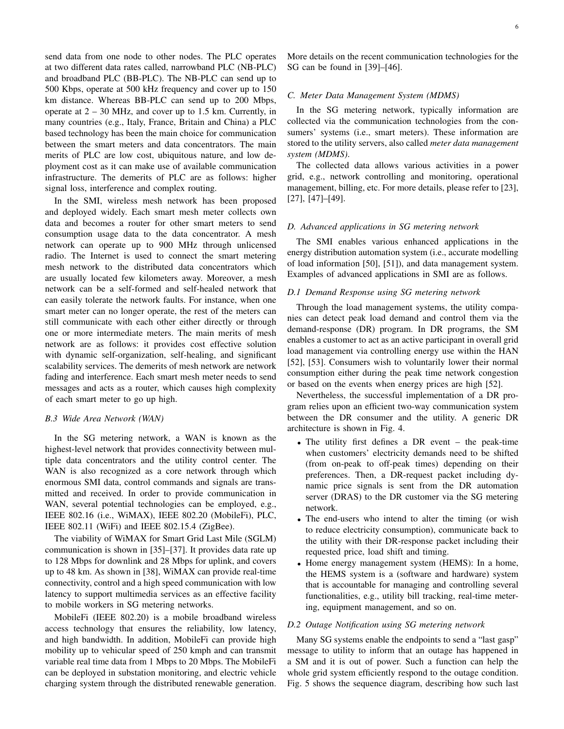send data from one node to other nodes. The PLC operates at two different data rates called, narrowband PLC (NB-PLC) and broadband PLC (BB-PLC). The NB-PLC can send up to 500 Kbps, operate at 500 kHz frequency and cover up to 150 km distance. Whereas BB-PLC can send up to 200 Mbps, operate at  $2 - 30$  MHz, and cover up to 1.5 km. Currently, in many countries (e.g., Italy, France, Britain and China) a PLC based technology has been the main choice for communication between the smart meters and data concentrators. The main merits of PLC are low cost, ubiquitous nature, and low deployment cost as it can make use of available communication infrastructure. The demerits of PLC are as follows: higher signal loss, interference and complex routing.

In the SMI, wireless mesh network has been proposed and deployed widely. Each smart mesh meter collects own data and becomes a router for other smart meters to send consumption usage data to the data concentrator. A mesh network can operate up to 900 MHz through unlicensed radio. The Internet is used to connect the smart metering mesh network to the distributed data concentrators which are usually located few kilometers away. Moreover, a mesh network can be a self-formed and self-healed network that can easily tolerate the network faults. For instance, when one smart meter can no longer operate, the rest of the meters can still communicate with each other either directly or through one or more intermediate meters. The main merits of mesh network are as follows: it provides cost effective solution with dynamic self-organization, self-healing, and significant scalability services. The demerits of mesh network are network fading and interference. Each smart mesh meter needs to send messages and acts as a router, which causes high complexity of each smart meter to go up high.

### *B.3 Wide Area Network (WAN)*

In the SG metering network, a WAN is known as the highest-level network that provides connectivity between multiple data concentrators and the utility control center. The WAN is also recognized as a core network through which enormous SMI data, control commands and signals are transmitted and received. In order to provide communication in WAN, several potential technologies can be employed, e.g., IEEE 802.16 (i.e., WiMAX), IEEE 802.20 (MobileFi), PLC, IEEE 802.11 (WiFi) and IEEE 802.15.4 (ZigBee).

The viability of WiMAX for Smart Grid Last Mile (SGLM) communication is shown in [35]–[37]. It provides data rate up to 128 Mbps for downlink and 28 Mbps for uplink, and covers up to 48 km. As shown in [38], WiMAX can provide real-time connectivity, control and a high speed communication with low latency to support multimedia services as an effective facility to mobile workers in SG metering networks.

MobileFi (IEEE 802.20) is a mobile broadband wireless access technology that ensures the reliability, low latency, and high bandwidth. In addition, MobileFi can provide high mobility up to vehicular speed of 250 kmph and can transmit variable real time data from 1 Mbps to 20 Mbps. The MobileFi can be deployed in substation monitoring, and electric vehicle charging system through the distributed renewable generation.

More details on the recent communication technologies for the SG can be found in [39]–[46].

# *C. Meter Data Management System (MDMS)*

In the SG metering network, typically information are collected via the communication technologies from the consumers' systems (i.e., smart meters). These information are stored to the utility servers, also called *meter data management system (MDMS)*.

The collected data allows various activities in a power grid, e.g., network controlling and monitoring, operational management, billing, etc. For more details, please refer to [23], [27], [47]–[49].

#### *D. Advanced applications in SG metering network*

The SMI enables various enhanced applications in the energy distribution automation system (i.e., accurate modelling of load information [50], [51]), and data management system. Examples of advanced applications in SMI are as follows.

#### *D.1 Demand Response using SG metering network*

Through the load management systems, the utility companies can detect peak load demand and control them via the demand-response (DR) program. In DR programs, the SM enables a customer to act as an active participant in overall grid load management via controlling energy use within the HAN [52], [53]. Consumers wish to voluntarily lower their normal consumption either during the peak time network congestion or based on the events when energy prices are high [52].

Nevertheless, the successful implementation of a DR program relies upon an efficient two-way communication system between the DR consumer and the utility. A generic DR architecture is shown in Fig. 4.

- The utility first defines a DR event the peak-time when customers' electricity demands need to be shifted (from on-peak to off-peak times) depending on their preferences. Then, a DR-request packet including dynamic price signals is sent from the DR automation server (DRAS) to the DR customer via the SG metering network.
- The end-users who intend to alter the timing (or wish to reduce electricity consumption), communicate back to the utility with their DR-response packet including their requested price, load shift and timing.
- Home energy management system (HEMS): In a home, the HEMS system is a (software and hardware) system that is accountable for managing and controlling several functionalities, e.g., utility bill tracking, real-time metering, equipment management, and so on.

#### *D.2 Outage Notification using SG metering network*

Many SG systems enable the endpoints to send a "last gasp" message to utility to inform that an outage has happened in a SM and it is out of power. Such a function can help the whole grid system efficiently respond to the outage condition. Fig. 5 shows the sequence diagram, describing how such last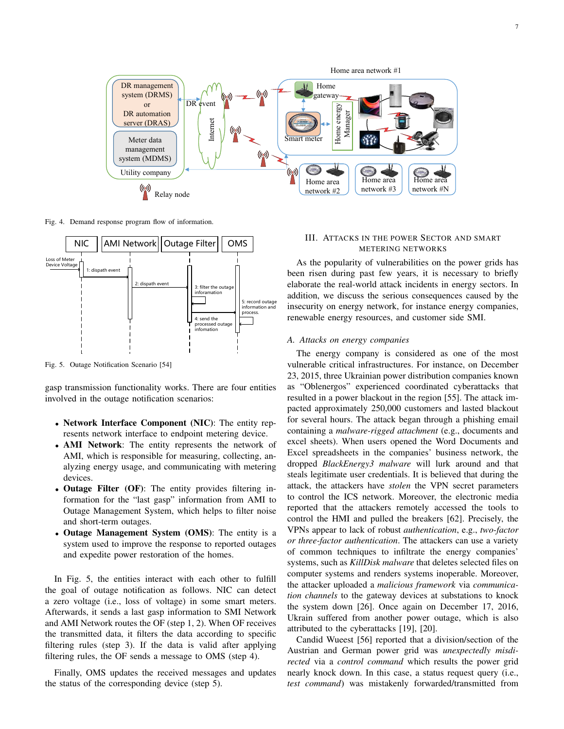

Fig. 4. Demand response program flow of information.



Fig. 5. Outage Notification Scenario [54]

gasp transmission functionality works. There are four entities involved in the outage notification scenarios:

- Network Interface Component (NIC): The entity represents network interface to endpoint metering device.
- AMI Network: The entity represents the network of AMI, which is responsible for measuring, collecting, analyzing energy usage, and communicating with metering devices.
- Outage Filter (OF): The entity provides filtering information for the "last gasp" information from AMI to Outage Management System, which helps to filter noise and short-term outages.
- Outage Management System (OMS): The entity is a system used to improve the response to reported outages and expedite power restoration of the homes.

In Fig. 5, the entities interact with each other to fulfill the goal of outage notification as follows. NIC can detect a zero voltage (i.e., loss of voltage) in some smart meters. Afterwards, it sends a last gasp information to SMI Network and AMI Network routes the OF (step 1, 2). When OF receives the transmitted data, it filters the data according to specific filtering rules (step 3). If the data is valid after applying filtering rules, the OF sends a message to OMS (step 4).

Finally, OMS updates the received messages and updates the status of the corresponding device (step 5).

# III. ATTACKS IN THE POWER SECTOR AND SMART METERING NETWORKS

As the popularity of vulnerabilities on the power grids has been risen during past few years, it is necessary to briefly elaborate the real-world attack incidents in energy sectors. In addition, we discuss the serious consequences caused by the insecurity on energy network, for instance energy companies, renewable energy resources, and customer side SMI.

#### *A. Attacks on energy companies*

The energy company is considered as one of the most vulnerable critical infrastructures. For instance, on December 23, 2015, three Ukrainian power distribution companies known as "Oblenergos" experienced coordinated cyberattacks that resulted in a power blackout in the region [55]. The attack impacted approximately 250,000 customers and lasted blackout for several hours. The attack began through a phishing email containing a *malware-rigged attachment* (e.g., documents and excel sheets). When users opened the Word Documents and Excel spreadsheets in the companies' business network, the dropped *BlackEnergy3 malware* will lurk around and that steals legitimate user credentials. It is believed that during the attack, the attackers have *stolen* the VPN secret parameters to control the ICS network. Moreover, the electronic media reported that the attackers remotely accessed the tools to control the HMI and pulled the breakers [62]. Precisely, the VPNs appear to lack of robust *authentication*, e.g., *two-factor or three-factor authentication*. The attackers can use a variety of common techniques to infiltrate the energy companies' systems, such as *KillDisk malware* that deletes selected files on computer systems and renders systems inoperable. Moreover, the attacker uploaded a *malicious framework* via *communication channels* to the gateway devices at substations to knock the system down [26]. Once again on December 17, 2016, Ukrain suffered from another power outage, which is also attributed to the cyberattacks [19], [20].

Candid Wueest [56] reported that a division/section of the Austrian and German power grid was *unexpectedly misdirected* via a *control command* which results the power grid nearly knock down. In this case, a status request query (i.e., *test command*) was mistakenly forwarded/transmitted from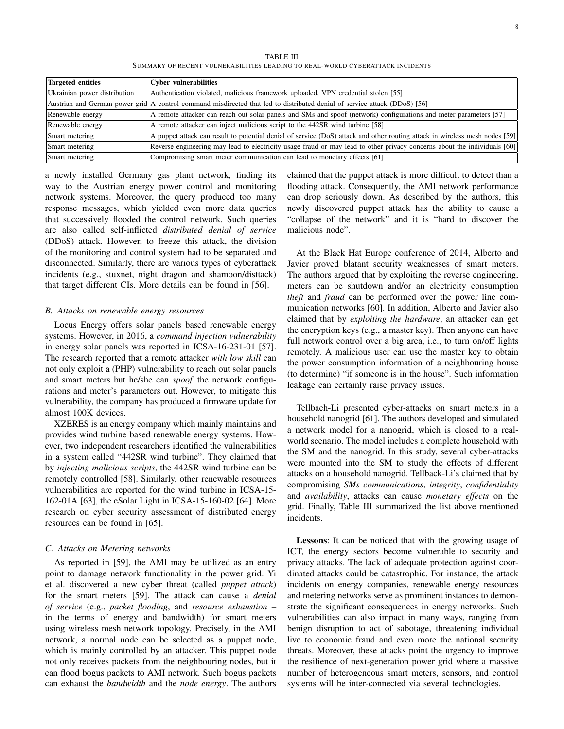TABLE III SUMMARY OF RECENT VULNERABILITIES LEADING TO REAL-WORLD CYBERATTACK INCIDENTS

| Targeted entities            | <b>Cyber vulnerabilities</b>                                                                                                |
|------------------------------|-----------------------------------------------------------------------------------------------------------------------------|
| Ukrainian power distribution | Authentication violated, malicious framework uploaded, VPN credential stolen [55]                                           |
|                              | Austrian and German power grid A control command misdirected that led to distributed denial of service attack (DDoS) [56]   |
| Renewable energy             | A remote attacker can reach out solar panels and SMs and spoof (network) configurations and meter parameters [57]           |
| Renewable energy             | A remote attacker can inject malicious script to the 442SR wind turbine [58]                                                |
| Smart metering               | A puppet attack can result to potential denial of service (DoS) attack and other routing attack in wireless mesh nodes [59] |
| Smart metering               | Reverse engineering may lead to electricity usage fraud or may lead to other privacy concerns about the individuals [60]    |
| Smart metering               | Compromising smart meter communication can lead to monetary effects [61]                                                    |

a newly installed Germany gas plant network, finding its way to the Austrian energy power control and monitoring network systems. Moreover, the query produced too many response messages, which yielded even more data queries that successively flooded the control network. Such queries are also called self-inflicted *distributed denial of service* (DDoS) attack. However, to freeze this attack, the division of the monitoring and control system had to be separated and disconnected. Similarly, there are various types of cyberattack incidents (e.g., stuxnet, night dragon and shamoon/disttack) that target different CIs. More details can be found in [56].

#### *B. Attacks on renewable energy resources*

Locus Energy offers solar panels based renewable energy systems. However, in 2016, a *command injection vulnerability* in energy solar panels was reported in ICSA-16-231-01 [57]. The research reported that a remote attacker *with low skill* can not only exploit a (PHP) vulnerability to reach out solar panels and smart meters but he/she can *spoof* the network configurations and meter's parameters out. However, to mitigate this vulnerability, the company has produced a firmware update for almost 100K devices.

XZERES is an energy company which mainly maintains and provides wind turbine based renewable energy systems. However, two independent researchers identified the vulnerabilities in a system called "442SR wind turbine". They claimed that by *injecting malicious scripts*, the 442SR wind turbine can be remotely controlled [58]. Similarly, other renewable resources vulnerabilities are reported for the wind turbine in ICSA-15- 162-01A [63], the eSolar Light in ICSA-15-160-02 [64]. More research on cyber security assessment of distributed energy resources can be found in [65].

#### *C. Attacks on Metering networks*

As reported in [59], the AMI may be utilized as an entry point to damage network functionality in the power grid. Yi et al. discovered a new cyber threat (called *puppet attack*) for the smart meters [59]. The attack can cause a *denial of service* (e.g., *packet flooding*, and *resource exhaustion* – in the terms of energy and bandwidth) for smart meters using wireless mesh network topology. Precisely, in the AMI network, a normal node can be selected as a puppet node, which is mainly controlled by an attacker. This puppet node not only receives packets from the neighbouring nodes, but it can flood bogus packets to AMI network. Such bogus packets can exhaust the *bandwidth* and the *node energy*. The authors

claimed that the puppet attack is more difficult to detect than a flooding attack. Consequently, the AMI network performance can drop seriously down. As described by the authors, this newly discovered puppet attack has the ability to cause a "collapse of the network" and it is "hard to discover the malicious node".

At the Black Hat Europe conference of 2014, Alberto and Javier proved blatant security weaknesses of smart meters. The authors argued that by exploiting the reverse engineering, meters can be shutdown and/or an electricity consumption *theft* and *fraud* can be performed over the power line communication networks [60]. In addition, Alberto and Javier also claimed that by *exploiting the hardware*, an attacker can get the encryption keys (e.g., a master key). Then anyone can have full network control over a big area, i.e., to turn on/off lights remotely. A malicious user can use the master key to obtain the power consumption information of a neighbouring house (to determine) "if someone is in the house". Such information leakage can certainly raise privacy issues.

Tellbach-Li presented cyber-attacks on smart meters in a household nanogrid [61]. The authors developed and simulated a network model for a nanogrid, which is closed to a realworld scenario. The model includes a complete household with the SM and the nanogrid. In this study, several cyber-attacks were mounted into the SM to study the effects of different attacks on a household nanogrid. Tellback-Li's claimed that by compromising *SMs communications*, *integrity*, *confidentiality* and *availability*, attacks can cause *monetary effects* on the grid. Finally, Table III summarized the list above mentioned incidents.

Lessons: It can be noticed that with the growing usage of ICT, the energy sectors become vulnerable to security and privacy attacks. The lack of adequate protection against coordinated attacks could be catastrophic. For instance, the attack incidents on energy companies, renewable energy resources and metering networks serve as prominent instances to demonstrate the significant consequences in energy networks. Such vulnerabilities can also impact in many ways, ranging from benign disruption to act of sabotage, threatening individual live to economic fraud and even more the national security threats. Moreover, these attacks point the urgency to improve the resilience of next-generation power grid where a massive number of heterogeneous smart meters, sensors, and control systems will be inter-connected via several technologies.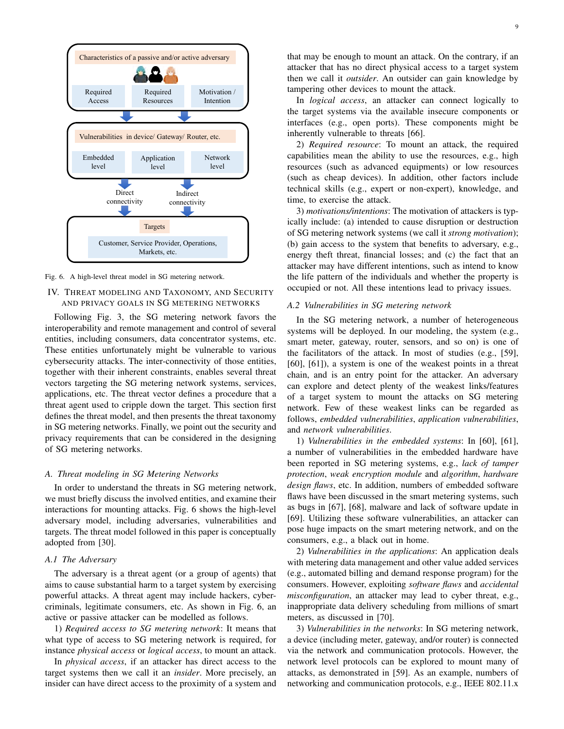

Fig. 6. A high-level threat model in SG metering network.

# IV. THREAT MODELING AND TAXONOMY, AND SECURITY AND PRIVACY GOALS IN SG METERING NETWORKS

Following Fig. 3, the SG metering network favors the interoperability and remote management and control of several entities, including consumers, data concentrator systems, etc. These entities unfortunately might be vulnerable to various cybersecurity attacks. The inter-connectivity of those entities, together with their inherent constraints, enables several threat vectors targeting the SG metering network systems, services, applications, etc. The threat vector defines a procedure that a threat agent used to cripple down the target. This section first defines the threat model, and then presents the threat taxonomy in SG metering networks. Finally, we point out the security and privacy requirements that can be considered in the designing of SG metering networks.

#### *A. Threat modeling in SG Metering Networks*

In order to understand the threats in SG metering network, we must briefly discuss the involved entities, and examine their interactions for mounting attacks. Fig. 6 shows the high-level adversary model, including adversaries, vulnerabilities and targets. The threat model followed in this paper is conceptually adopted from [30].

#### *A.1 The Adversary*

The adversary is a threat agent (or a group of agents) that aims to cause substantial harm to a target system by exercising powerful attacks. A threat agent may include hackers, cybercriminals, legitimate consumers, etc. As shown in Fig. 6, an active or passive attacker can be modelled as follows.

1) *Required access to SG metering network*: It means that what type of access to SG metering network is required, for instance *physical access* or *logical access*, to mount an attack.

In *physical access*, if an attacker has direct access to the target systems then we call it an *insider*. More precisely, an insider can have direct access to the proximity of a system and that may be enough to mount an attack. On the contrary, if an attacker that has no direct physical access to a target system then we call it *outsider*. An outsider can gain knowledge by tampering other devices to mount the attack.

In *logical access*, an attacker can connect logically to the target systems via the available insecure components or interfaces (e.g., open ports). These components might be inherently vulnerable to threats [66].

2) *Required resource*: To mount an attack, the required capabilities mean the ability to use the resources, e.g., high resources (such as advanced equipments) or low resources (such as cheap devices). In addition, other factors include technical skills (e.g., expert or non-expert), knowledge, and time, to exercise the attack.

3) *motivations/intentions*: The motivation of attackers is typically include: (a) intended to cause disruption or destruction of SG metering network systems (we call it *strong motivation*); (b) gain access to the system that benefits to adversary, e.g., energy theft threat, financial losses; and (c) the fact that an attacker may have different intentions, such as intend to know the life pattern of the individuals and whether the property is occupied or not. All these intentions lead to privacy issues.

#### *A.2 Vulnerabilities in SG metering network*

In the SG metering network, a number of heterogeneous systems will be deployed. In our modeling, the system (e.g., smart meter, gateway, router, sensors, and so on) is one of the facilitators of the attack. In most of studies (e.g., [59], [60], [61]), a system is one of the weakest points in a threat chain, and is an entry point for the attacker. An adversary can explore and detect plenty of the weakest links/features of a target system to mount the attacks on SG metering network. Few of these weakest links can be regarded as follows, *embedded vulnerabilities*, *application vulnerabilities*, and *network vulnerabilities*.

1) *Vulnerabilities in the embedded systems*: In [60], [61], a number of vulnerabilities in the embedded hardware have been reported in SG metering systems, e.g., *lack of tamper protection*, *weak encryption module* and *algorithm*, *hardware design flaws*, etc. In addition, numbers of embedded software flaws have been discussed in the smart metering systems, such as bugs in [67], [68], malware and lack of software update in [69]. Utilizing these software vulnerabilities, an attacker can pose huge impacts on the smart metering network, and on the consumers, e.g., a black out in home.

2) *Vulnerabilities in the applications*: An application deals with metering data management and other value added services (e.g., automated billing and demand response program) for the consumers. However, exploiting *software flaws* and *accidental misconfiguration*, an attacker may lead to cyber threat, e.g., inappropriate data delivery scheduling from millions of smart meters, as discussed in [70].

3) *Vulnerabilities in the networks*: In SG metering network, a device (including meter, gateway, and/or router) is connected via the network and communication protocols. However, the network level protocols can be explored to mount many of attacks, as demonstrated in [59]. As an example, numbers of networking and communication protocols, e.g., IEEE 802.11.x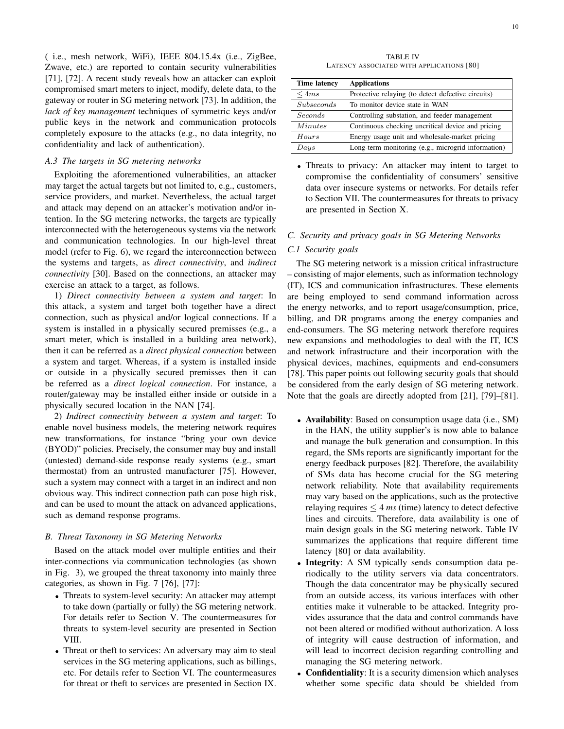( i.e., mesh network, WiFi), IEEE 804.15.4x (i.e., ZigBee, Zwave, etc.) are reported to contain security vulnerabilities [71], [72]. A recent study reveals how an attacker can exploit compromised smart meters to inject, modify, delete data, to the gateway or router in SG metering network [73]. In addition, the *lack of key management* techniques of symmetric keys and/or public keys in the network and communication protocols completely exposure to the attacks (e.g., no data integrity, no confidentiality and lack of authentication).

#### *A.3 The targets in SG metering networks*

Exploiting the aforementioned vulnerabilities, an attacker may target the actual targets but not limited to, e.g., customers, service providers, and market. Nevertheless, the actual target and attack may depend on an attacker's motivation and/or intention. In the SG metering networks, the targets are typically interconnected with the heterogeneous systems via the network and communication technologies. In our high-level threat model (refer to Fig. 6), we regard the interconnection between the systems and targets, as *direct connectivity*, and *indirect connectivity* [30]. Based on the connections, an attacker may exercise an attack to a target, as follows.

1) *Direct connectivity between a system and target*: In this attack, a system and target both together have a direct connection, such as physical and/or logical connections. If a system is installed in a physically secured premisses (e.g., a smart meter, which is installed in a building area network), then it can be referred as a *direct physical connection* between a system and target. Whereas, if a system is installed inside or outside in a physically secured premisses then it can be referred as a *direct logical connection*. For instance, a router/gateway may be installed either inside or outside in a physically secured location in the NAN [74].

2) *Indirect connectivity between a system and target*: To enable novel business models, the metering network requires new transformations, for instance "bring your own device (BYOD)" policies. Precisely, the consumer may buy and install (untested) demand-side response ready systems (e.g., smart thermostat) from an untrusted manufacturer [75]. However, such a system may connect with a target in an indirect and non obvious way. This indirect connection path can pose high risk, and can be used to mount the attack on advanced applications, such as demand response programs.

#### *B. Threat Taxonomy in SG Metering Networks*

Based on the attack model over multiple entities and their inter-connections via communication technologies (as shown in Fig. 3), we grouped the threat taxonomy into mainly three categories, as shown in Fig. 7 [76], [77]:

- Threats to system-level security: An attacker may attempt to take down (partially or fully) the SG metering network. For details refer to Section V. The countermeasures for threats to system-level security are presented in Section VIII.
- Threat or theft to services: An adversary may aim to steal services in the SG metering applications, such as billings, etc. For details refer to Section VI. The countermeasures for threat or theft to services are presented in Section IX.

TABLE IV LATENCY ASSOCIATED WITH APPLICATIONS [80]

| <b>Time latency</b> | <b>Applications</b>                                |
|---------------------|----------------------------------------------------|
| $\leq 4ms$          | Protective relaying (to detect defective circuits) |
| <i>Subseconds</i>   | To monitor device state in WAN                     |
| <i>Seconds</i>      | Controlling substation, and feeder management      |
| <i>Minutes</i>      | Continuous checking uncritical device and pricing  |
| Hours               | Energy usage unit and wholesale-market pricing     |
| $_{Days}$           | Long-term monitoring (e.g., microgrid information) |

• Threats to privacy: An attacker may intent to target to compromise the confidentiality of consumers' sensitive data over insecure systems or networks. For details refer to Section VII. The countermeasures for threats to privacy are presented in Section X.

#### *C. Security and privacy goals in SG Metering Networks*

#### *C.1 Security goals*

The SG metering network is a mission critical infrastructure – consisting of major elements, such as information technology (IT), ICS and communication infrastructures. These elements are being employed to send command information across the energy networks, and to report usage/consumption, price, billing, and DR programs among the energy companies and end-consumers. The SG metering network therefore requires new expansions and methodologies to deal with the IT, ICS and network infrastructure and their incorporation with the physical devices, machines, equipments and end-consumers [78]. This paper points out following security goals that should be considered from the early design of SG metering network. Note that the goals are directly adopted from [21], [79]–[81].

- Availability: Based on consumption usage data (i.e., SM) in the HAN, the utility supplier's is now able to balance and manage the bulk generation and consumption. In this regard, the SMs reports are significantly important for the energy feedback purposes [82]. Therefore, the availability of SMs data has become crucial for the SG metering network reliability. Note that availability requirements may vary based on the applications, such as the protective relaying requires  $\leq 4$  *ms* (time) latency to detect defective lines and circuits. Therefore, data availability is one of main design goals in the SG metering network. Table IV summarizes the applications that require different time latency [80] or data availability.
- Integrity: A SM typically sends consumption data periodically to the utility servers via data concentrators. Though the data concentrator may be physically secured from an outside access, its various interfaces with other entities make it vulnerable to be attacked. Integrity provides assurance that the data and control commands have not been altered or modified without authorization. A loss of integrity will cause destruction of information, and will lead to incorrect decision regarding controlling and managing the SG metering network.
- Confidentiality: It is a security dimension which analyses whether some specific data should be shielded from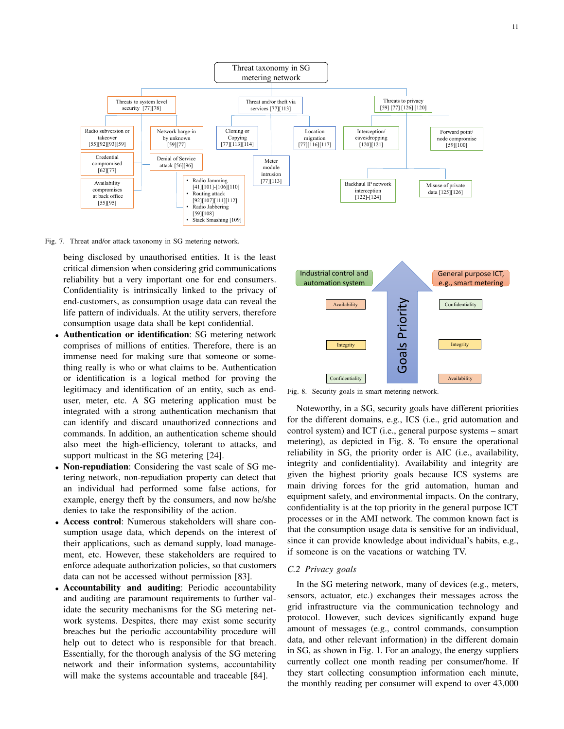

Fig. 7. Threat and/or attack taxonomy in SG metering network.

being disclosed by unauthorised entities. It is the least critical dimension when considering grid communications reliability but a very important one for end consumers. Confidentiality is intrinsically linked to the privacy of end-customers, as consumption usage data can reveal the life pattern of individuals. At the utility servers, therefore consumption usage data shall be kept confidential.

- Authentication or identification: SG metering network comprises of millions of entities. Therefore, there is an immense need for making sure that someone or something really is who or what claims to be. Authentication or identification is a logical method for proving the legitimacy and identification of an entity, such as enduser, meter, etc. A SG metering application must be integrated with a strong authentication mechanism that can identify and discard unauthorized connections and commands. In addition, an authentication scheme should also meet the high-efficiency, tolerant to attacks, and support multicast in the SG metering [24].
- Non-repudiation: Considering the vast scale of SG metering network, non-repudiation property can detect that an individual had performed some false actions, for example, energy theft by the consumers, and now he/she denies to take the responsibility of the action.
- Access control: Numerous stakeholders will share consumption usage data, which depends on the interest of their applications, such as demand supply, load management, etc. However, these stakeholders are required to enforce adequate authorization policies, so that customers data can not be accessed without permission [83].
- Accountability and auditing: Periodic accountability and auditing are paramount requirements to further validate the security mechanisms for the SG metering network systems. Despites, there may exist some security breaches but the periodic accountability procedure will help out to detect who is responsible for that breach. Essentially, for the thorough analysis of the SG metering network and their information systems, accountability will make the systems accountable and traceable [84].



Fig. 8. Security goals in smart metering network.

Noteworthy, in a SG, security goals have different priorities for the different domains, e.g., ICS (i.e., grid automation and control system) and ICT (i.e., general purpose systems – smart metering), as depicted in Fig. 8. To ensure the operational reliability in SG, the priority order is AIC (i.e., availability, integrity and confidentiality). Availability and integrity are given the highest priority goals because ICS systems are main driving forces for the grid automation, human and equipment safety, and environmental impacts. On the contrary, confidentiality is at the top priority in the general purpose ICT processes or in the AMI network. The common known fact is that the consumption usage data is sensitive for an individual, since it can provide knowledge about individual's habits, e.g., if someone is on the vacations or watching TV.

# *C.2 Privacy goals*

In the SG metering network, many of devices (e.g., meters, sensors, actuator, etc.) exchanges their messages across the grid infrastructure via the communication technology and protocol. However, such devices significantly expand huge amount of messages (e.g., control commands, consumption data, and other relevant information) in the different domain in SG, as shown in Fig. 1. For an analogy, the energy suppliers currently collect one month reading per consumer/home. If they start collecting consumption information each minute, the monthly reading per consumer will expend to over 43,000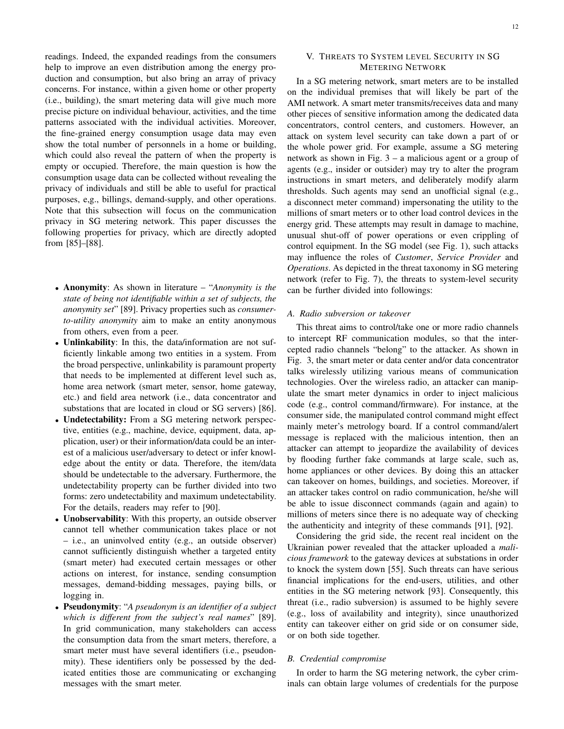readings. Indeed, the expanded readings from the consumers help to improve an even distribution among the energy production and consumption, but also bring an array of privacy concerns. For instance, within a given home or other property (i.e., building), the smart metering data will give much more precise picture on individual behaviour, activities, and the time patterns associated with the individual activities. Moreover, the fine-grained energy consumption usage data may even show the total number of personnels in a home or building, which could also reveal the pattern of when the property is empty or occupied. Therefore, the main question is how the consumption usage data can be collected without revealing the privacy of individuals and still be able to useful for practical purposes, e,g., billings, demand-supply, and other operations. Note that this subsection will focus on the communication privacy in SG metering network. This paper discusses the following properties for privacy, which are directly adopted from [85]–[88].

- Anonymity: As shown in literature "*Anonymity is the state of being not identifiable within a set of subjects, the anonymity set*" [89]. Privacy properties such as *consumerto-utility anonymity* aim to make an entity anonymous from others, even from a peer.
- Unlinkability: In this, the data/information are not sufficiently linkable among two entities in a system. From the broad perspective, unlinkability is paramount property that needs to be implemented at different level such as, home area network (smart meter, sensor, home gateway, etc.) and field area network (i.e., data concentrator and substations that are located in cloud or SG servers) [86].
- Undetectability: From a SG metering network perspective, entities (e.g., machine, device, equipment, data, application, user) or their information/data could be an interest of a malicious user/adversary to detect or infer knowledge about the entity or data. Therefore, the item/data should be undetectable to the adversary. Furthermore, the undetectability property can be further divided into two forms: zero undetectability and maximum undetectability. For the details, readers may refer to [90].
- Unobservability: With this property, an outside observer cannot tell whether communication takes place or not – i.e., an uninvolved entity (e.g., an outside observer) cannot sufficiently distinguish whether a targeted entity (smart meter) had executed certain messages or other actions on interest, for instance, sending consumption messages, demand-bidding messages, paying bills, or logging in.
- Pseudonymity: "*A pseudonym is an identifier of a subject which is different from the subject's real names*" [89]. In grid communication, many stakeholders can access the consumption data from the smart meters, therefore, a smart meter must have several identifiers (i.e., pseudonmity). These identifiers only be possessed by the dedicated entities those are communicating or exchanging messages with the smart meter.

# V. THREATS TO SYSTEM LEVEL SECURITY IN SG METERING NETWORK

In a SG metering network, smart meters are to be installed on the individual premises that will likely be part of the AMI network. A smart meter transmits/receives data and many other pieces of sensitive information among the dedicated data concentrators, control centers, and customers. However, an attack on system level security can take down a part of or the whole power grid. For example, assume a SG metering network as shown in Fig. 3 – a malicious agent or a group of agents (e.g., insider or outsider) may try to alter the program instructions in smart meters, and deliberately modify alarm thresholds. Such agents may send an unofficial signal (e.g., a disconnect meter command) impersonating the utility to the millions of smart meters or to other load control devices in the energy grid. These attempts may result in damage to machine, unusual shut-off of power operations or even crippling of control equipment. In the SG model (see Fig. 1), such attacks may influence the roles of *Customer*, *Service Provider* and *Operations*. As depicted in the threat taxonomy in SG metering network (refer to Fig. 7), the threats to system-level security can be further divided into followings:

#### *A. Radio subversion or takeover*

This threat aims to control/take one or more radio channels to intercept RF communication modules, so that the intercepted radio channels "belong" to the attacker. As shown in Fig. 3, the smart meter or data center and/or data concentrator talks wirelessly utilizing various means of communication technologies. Over the wireless radio, an attacker can manipulate the smart meter dynamics in order to inject malicious code (e.g., control command/firmware). For instance, at the consumer side, the manipulated control command might effect mainly meter's metrology board. If a control command/alert message is replaced with the malicious intention, then an attacker can attempt to jeopardize the availability of devices by flooding further fake commands at large scale, such as, home appliances or other devices. By doing this an attacker can takeover on homes, buildings, and societies. Moreover, if an attacker takes control on radio communication, he/she will be able to issue disconnect commands (again and again) to millions of meters since there is no adequate way of checking the authenticity and integrity of these commands [91], [92].

Considering the grid side, the recent real incident on the Ukrainian power revealed that the attacker uploaded a *malicious framework* to the gateway devices at substations in order to knock the system down [55]. Such threats can have serious financial implications for the end-users, utilities, and other entities in the SG metering network [93]. Consequently, this threat (i.e., radio subversion) is assumed to be highly severe (e.g., loss of availability and integrity), since unauthorized entity can takeover either on grid side or on consumer side, or on both side together.

## *B. Credential compromise*

In order to harm the SG metering network, the cyber criminals can obtain large volumes of credentials for the purpose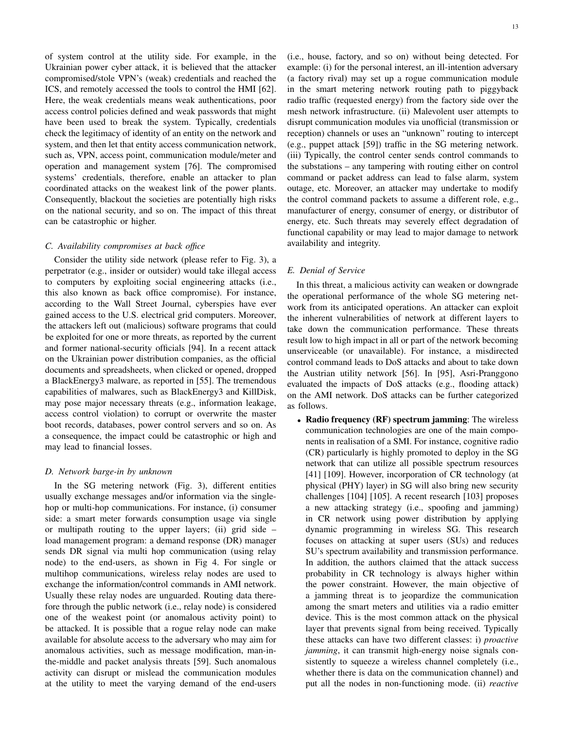of system control at the utility side. For example, in the Ukrainian power cyber attack, it is believed that the attacker compromised/stole VPN's (weak) credentials and reached the ICS, and remotely accessed the tools to control the HMI [62]. Here, the weak credentials means weak authentications, poor access control policies defined and weak passwords that might have been used to break the system. Typically, credentials check the legitimacy of identity of an entity on the network and system, and then let that entity access communication network, such as, VPN, access point, communication module/meter and operation and management system [76]. The compromised systems' credentials, therefore, enable an attacker to plan coordinated attacks on the weakest link of the power plants. Consequently, blackout the societies are potentially high risks on the national security, and so on. The impact of this threat can be catastrophic or higher.

#### *C. Availability compromises at back office*

Consider the utility side network (please refer to Fig. 3), a perpetrator (e.g., insider or outsider) would take illegal access to computers by exploiting social engineering attacks (i.e., this also known as back office compromise). For instance, according to the Wall Street Journal, cyberspies have ever gained access to the U.S. electrical grid computers. Moreover, the attackers left out (malicious) software programs that could be exploited for one or more threats, as reported by the current and former national-security officials [94]. In a recent attack on the Ukrainian power distribution companies, as the official documents and spreadsheets, when clicked or opened, dropped a BlackEnergy3 malware, as reported in [55]. The tremendous capabilities of malwares, such as BlackEnergy3 and KillDisk, may pose major necessary threats (e.g., information leakage, access control violation) to corrupt or overwrite the master boot records, databases, power control servers and so on. As a consequence, the impact could be catastrophic or high and may lead to financial losses.

#### *D. Network barge-in by unknown*

In the SG metering network (Fig. 3), different entities usually exchange messages and/or information via the singlehop or multi-hop communications. For instance, (i) consumer side: a smart meter forwards consumption usage via single or multipath routing to the upper layers; (ii) grid side – load management program: a demand response (DR) manager sends DR signal via multi hop communication (using relay node) to the end-users, as shown in Fig 4. For single or multihop communications, wireless relay nodes are used to exchange the information/control commands in AMI network. Usually these relay nodes are unguarded. Routing data therefore through the public network (i.e., relay node) is considered one of the weakest point (or anomalous activity point) to be attacked. It is possible that a rogue relay node can make available for absolute access to the adversary who may aim for anomalous activities, such as message modification, man-inthe-middle and packet analysis threats [59]. Such anomalous activity can disrupt or mislead the communication modules at the utility to meet the varying demand of the end-users (i.e., house, factory, and so on) without being detected. For example: (i) for the personal interest, an ill-intention adversary (a factory rival) may set up a rogue communication module in the smart metering network routing path to piggyback radio traffic (requested energy) from the factory side over the mesh network infrastructure. (ii) Malevolent user attempts to disrupt communication modules via unofficial (transmission or reception) channels or uses an "unknown" routing to intercept (e.g., puppet attack [59]) traffic in the SG metering network. (iii) Typically, the control center sends control commands to the substations – any tampering with routing either on control command or packet address can lead to false alarm, system outage, etc. Moreover, an attacker may undertake to modify the control command packets to assume a different role, e.g., manufacturer of energy, consumer of energy, or distributor of energy, etc. Such threats may severely effect degradation of functional capability or may lead to major damage to network availability and integrity.

# *E. Denial of Service*

In this threat, a malicious activity can weaken or downgrade the operational performance of the whole SG metering network from its anticipated operations. An attacker can exploit the inherent vulnerabilities of network at different layers to take down the communication performance. These threats result low to high impact in all or part of the network becoming unserviceable (or unavailable). For instance, a misdirected control command leads to DoS attacks and about to take down the Austrian utility network [56]. In [95], Asri-Pranggono evaluated the impacts of DoS attacks (e.g., flooding attack) on the AMI network. DoS attacks can be further categorized as follows.

• Radio frequency (RF) spectrum jamming: The wireless communication technologies are one of the main components in realisation of a SMI. For instance, cognitive radio (CR) particularly is highly promoted to deploy in the SG network that can utilize all possible spectrum resources [41] [109]. However, incorporation of CR technology (at physical (PHY) layer) in SG will also bring new security challenges [104] [105]. A recent research [103] proposes a new attacking strategy (i.e., spoofing and jamming) in CR network using power distribution by applying dynamic programming in wireless SG. This research focuses on attacking at super users (SUs) and reduces SU's spectrum availability and transmission performance. In addition, the authors claimed that the attack success probability in CR technology is always higher within the power constraint. However, the main objective of a jamming threat is to jeopardize the communication among the smart meters and utilities via a radio emitter device. This is the most common attack on the physical layer that prevents signal from being received. Typically these attacks can have two different classes: i) *proactive jamming*, it can transmit high-energy noise signals consistently to squeeze a wireless channel completely (i.e., whether there is data on the communication channel) and put all the nodes in non-functioning mode. (ii) *reactive*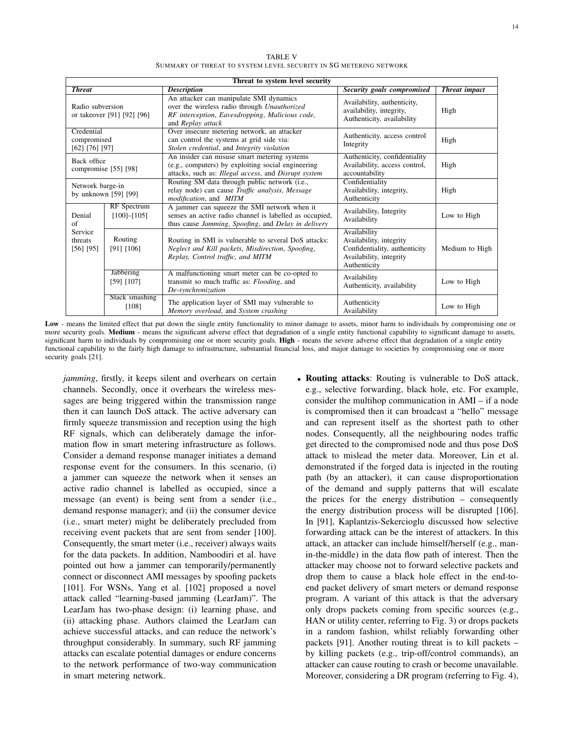TABLE V SUMMARY OF THREAT TO SYSTEM LEVEL SECURITY IN SG METERING NETWORK

|                                             |                                    | Threat to system level security                                                                                                                                 |                                                                                                                     |                      |
|---------------------------------------------|------------------------------------|-----------------------------------------------------------------------------------------------------------------------------------------------------------------|---------------------------------------------------------------------------------------------------------------------|----------------------|
| <b>Threat</b>                               |                                    | <b>Description</b>                                                                                                                                              | Security goals compromised                                                                                          | <b>Threat impact</b> |
| Radio subversion                            | or takeover [91] [92] [96]         | An attacker can manipulate SMI dynamics<br>over the wireless radio through Unauthorized<br>RF interception, Eavesdropping, Malicious code,<br>and Replay attack | Availability, authenticity,<br>availability, integrity,<br>Authenticity, availability                               | High                 |
| Credential<br>compromised<br>[62] [76] [97] |                                    | Over insecure metering network, an attacker<br>can control the systems at grid side via:<br>Stolen credential, and Integrity violation                          | Authenticity, access control<br>Integrity                                                                           | High                 |
| Back office                                 | compromise [55] [98]               | An insider can misuse smart metering systems<br>(e.g., computers) by exploiting social engineering<br>attacks, such as: Illegal access, and Disrupt system      | Authenticity, confidentiality<br>Availability, access control,<br>accountability                                    | High                 |
| Network barge-in<br>by unknown [59] [99]    |                                    | Routing SM data through public network (i.e.,<br>relay node) can cause <i>Traffic analysis</i> , <i>Message</i><br>modification, and MITM                       | Confidentiality<br>Availability, integrity,<br>Authenticity                                                         | High                 |
| Denial<br>of                                | RF Spectrum<br>$[100] - [105]$     | A jammer can squeeze the SMI network when it<br>senses an active radio channel is labelled as occupied,<br>thus cause Jamming, Spoofing, and Delay in delivery  | Availability, Integrity<br>Availability                                                                             | Low to High          |
| Service<br>threats<br>$[56]$ [95]           | Routing<br>[91] [106]              | Routing in SMI is vulnerable to several DoS attacks:<br>Neglect and Kill packets, Misdirection, Spoofing,<br>Replay, Control traffic, and MITM                  | Availability<br>Availability, integrity<br>Confidentiality, authenticity<br>Availability, integrity<br>Authenticity | Medium to High       |
|                                             | <b>Jabbering</b><br>$[59]$ $[107]$ | A malfunctioning smart meter can be co-opted to<br>transmit so much traffic as: Flooding, and<br>De-synchronization                                             | Availability<br>Authenticity, availability                                                                          | Low to High          |
|                                             | Stack smashing<br>[108]            | The application layer of SMI may vulnerable to<br>Memory overload, and System crashing                                                                          | Authenticity<br>Availability                                                                                        | Low to High          |

Low - means the limited effect that put down the single entity functionality to minor damage to assets, minor harm to individuals by compromising one or more security goals. Medium - means the significant adverse effect that degradation of a single entity functional capability to significant damage to assets, significant harm to individuals by compromising one or more security goals. High - means the severe adverse effect that degradation of a single entity functional capability to the fairly high damage to infrastructure, substantial financial loss, and major damage to societies by compromising one or more security goals [21].

*jamming*, firstly, it keeps silent and overhears on certain channels. Secondly, once it overhears the wireless messages are being triggered within the transmission range then it can launch DoS attack. The active adversary can firmly squeeze transmission and reception using the high RF signals, which can deliberately damage the information flow in smart metering infrastructure as follows. Consider a demand response manager initiates a demand response event for the consumers. In this scenario, (i) a jammer can squeeze the network when it senses an active radio channel is labelled as occupied, since a message (an event) is being sent from a sender (i.e., demand response manager); and (ii) the consumer device (i.e., smart meter) might be deliberately precluded from receiving event packets that are sent from sender [100]. Consequently, the smart meter (i.e., receiver) always waits for the data packets. In addition, Namboodiri et al. have pointed out how a jammer can temporarily/permanently connect or disconnect AMI messages by spoofing packets [101]. For WSNs, Yang et al. [102] proposed a novel attack called "learning-based jamming (LearJam)". The LearJam has two-phase design: (i) learning phase, and (ii) attacking phase. Authors claimed the LearJam can achieve successful attacks, and can reduce the network's throughput considerably. In summary, such RF jamming attacks can escalate potential damages or endure concerns to the network performance of two-way communication in smart metering network.

• Routing attacks: Routing is vulnerable to DoS attack, e.g., selective forwarding, black hole, etc. For example, consider the multihop communication in AMI – if a node is compromised then it can broadcast a "hello" message and can represent itself as the shortest path to other nodes. Consequently, all the neighbouring nodes traffic get directed to the compromised node and thus pose DoS attack to mislead the meter data. Moreover, Lin et al. demonstrated if the forged data is injected in the routing path (by an attacker), it can cause disproportionation of the demand and supply patterns that will escalate the prices for the energy distribution – consequently the energy distribution process will be disrupted [106]. In [91], Kaplantzis-Sekercioglu discussed how selective forwarding attack can be the interest of attackers. In this attack, an attacker can include himself/herself (e.g., manin-the-middle) in the data flow path of interest. Then the attacker may choose not to forward selective packets and drop them to cause a black hole effect in the end-toend packet delivery of smart meters or demand response program. A variant of this attack is that the adversary only drops packets coming from specific sources (e.g., HAN or utility center, referring to Fig. 3) or drops packets in a random fashion, whilst reliably forwarding other packets [91]. Another routing threat is to kill packets – by killing packets (e.g., trip-off/control commands), an attacker can cause routing to crash or become unavailable. Moreover, considering a DR program (referring to Fig. 4),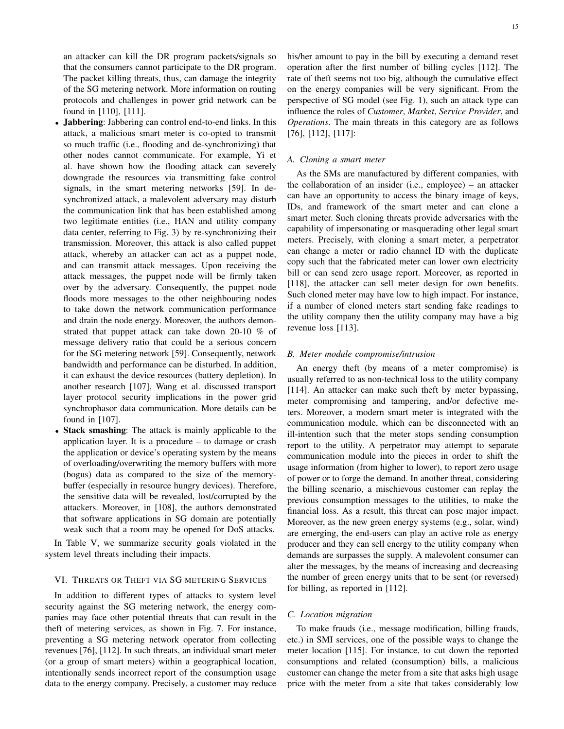an attacker can kill the DR program packets/signals so that the consumers cannot participate to the DR program. The packet killing threats, thus, can damage the integrity of the SG metering network. More information on routing protocols and challenges in power grid network can be found in [110], [111].

- Jabbering: Jabbering can control end-to-end links. In this attack, a malicious smart meter is co-opted to transmit so much traffic (i.e., flooding and de-synchronizing) that other nodes cannot communicate. For example, Yi et al. have shown how the flooding attack can severely downgrade the resources via transmitting fake control signals, in the smart metering networks [59]. In desynchronized attack, a malevolent adversary may disturb the communication link that has been established among two legitimate entities (i.e., HAN and utility company data center, referring to Fig. 3) by re-synchronizing their transmission. Moreover, this attack is also called puppet attack, whereby an attacker can act as a puppet node, and can transmit attack messages. Upon receiving the attack messages, the puppet node will be firmly taken over by the adversary. Consequently, the puppet node floods more messages to the other neighbouring nodes to take down the network communication performance and drain the node energy. Moreover, the authors demonstrated that puppet attack can take down 20-10 % of message delivery ratio that could be a serious concern for the SG metering network [59]. Consequently, network bandwidth and performance can be disturbed. In addition, it can exhaust the device resources (battery depletion). In another research [107], Wang et al. discussed transport layer protocol security implications in the power grid synchrophasor data communication. More details can be found in [107].
- Stack smashing: The attack is mainly applicable to the application layer. It is a procedure – to damage or crash the application or device's operating system by the means of overloading/overwriting the memory buffers with more (bogus) data as compared to the size of the memorybuffer (especially in resource hungry devices). Therefore, the sensitive data will be revealed, lost/corrupted by the attackers. Moreover, in [108], the authors demonstrated that software applications in SG domain are potentially weak such that a room may be opened for DoS attacks.

In Table V, we summarize security goals violated in the system level threats including their impacts.

## VI. THREATS OR THEFT VIA SG METERING SERVICES

In addition to different types of attacks to system level security against the SG metering network, the energy companies may face other potential threats that can result in the theft of metering services, as shown in Fig. 7. For instance, preventing a SG metering network operator from collecting revenues [76], [112]. In such threats, an individual smart meter (or a group of smart meters) within a geographical location, intentionally sends incorrect report of the consumption usage data to the energy company. Precisely, a customer may reduce

his/her amount to pay in the bill by executing a demand reset operation after the first number of billing cycles [112]. The rate of theft seems not too big, although the cumulative effect on the energy companies will be very significant. From the perspective of SG model (see Fig. 1), such an attack type can influence the roles of *Customer*, *Market*, *Service Provider*, and *Operations*. The main threats in this category are as follows [76], [112], [117]:

#### *A. Cloning a smart meter*

As the SMs are manufactured by different companies, with the collaboration of an insider (i.e., employee) – an attacker can have an opportunity to access the binary image of keys, IDs, and framework of the smart meter and can clone a smart meter. Such cloning threats provide adversaries with the capability of impersonating or masquerading other legal smart meters. Precisely, with cloning a smart meter, a perpetrator can change a meter or radio channel ID with the duplicate copy such that the fabricated meter can lower own electricity bill or can send zero usage report. Moreover, as reported in [118], the attacker can sell meter design for own benefits. Such cloned meter may have low to high impact. For instance, if a number of cloned meters start sending fake readings to the utility company then the utility company may have a big revenue loss [113].

#### *B. Meter module compromise/intrusion*

An energy theft (by means of a meter compromise) is usually referred to as non-technical loss to the utility company [114]. An attacker can make such theft by meter bypassing, meter compromising and tampering, and/or defective meters. Moreover, a modern smart meter is integrated with the communication module, which can be disconnected with an ill-intention such that the meter stops sending consumption report to the utility. A perpetrator may attempt to separate communication module into the pieces in order to shift the usage information (from higher to lower), to report zero usage of power or to forge the demand. In another threat, considering the billing scenario, a mischievous customer can replay the previous consumption messages to the utilities, to make the financial loss. As a result, this threat can pose major impact. Moreover, as the new green energy systems (e.g., solar, wind) are emerging, the end-users can play an active role as energy producer and they can sell energy to the utility company when demands are surpasses the supply. A malevolent consumer can alter the messages, by the means of increasing and decreasing the number of green energy units that to be sent (or reversed) for billing, as reported in [112].

#### *C. Location migration*

To make frauds (i.e., message modification, billing frauds, etc.) in SMI services, one of the possible ways to change the meter location [115]. For instance, to cut down the reported consumptions and related (consumption) bills, a malicious customer can change the meter from a site that asks high usage price with the meter from a site that takes considerably low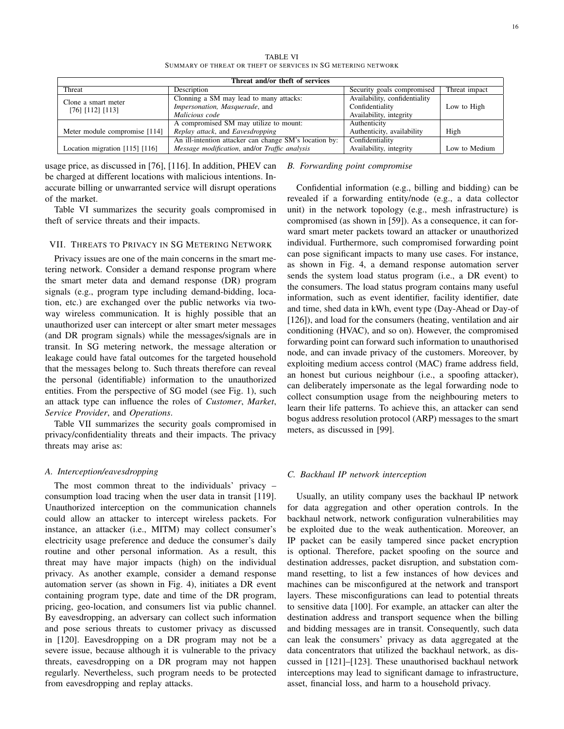TABLE VI SUMMARY OF THREAT OR THEFT OF SERVICES IN SG METERING NETWORK

|                                | Threat and/or theft of services                        |                               |               |
|--------------------------------|--------------------------------------------------------|-------------------------------|---------------|
| Threat                         | Description                                            | Security goals compromised    | Threat impact |
| Clone a smart meter            | Clonning a SM may lead to many attacks:                | Availability, confidentiality |               |
| $[76]$ $[112]$ $[113]$         | Impersonation, Masquerade, and                         | Confidentiality               | Low to High   |
|                                | Malicious code                                         | Availability, integrity       |               |
|                                | A compromised SM may utilize to mount:                 | Authenticity                  |               |
| Meter module compromise [114]  | Replay attack, and Eavesdropping                       | Authenticity, availability    | High          |
|                                | An ill-intention attacker can change SM's location by: | Confidentiality               |               |
| Location migration [115] [116] | Message modification, and/or Traffic analysis          | Availability, integrity       | Low to Medium |

usage price, as discussed in [76], [116]. In addition, PHEV can be charged at different locations with malicious intentions. Inaccurate billing or unwarranted service will disrupt operations of the market.

Table VI summarizes the security goals compromised in theft of service threats and their impacts.

#### VII. THREATS TO PRIVACY IN SG METERING NETWORK

Privacy issues are one of the main concerns in the smart metering network. Consider a demand response program where the smart meter data and demand response (DR) program signals (e.g., program type including demand-bidding, location, etc.) are exchanged over the public networks via twoway wireless communication. It is highly possible that an unauthorized user can intercept or alter smart meter messages (and DR program signals) while the messages/signals are in transit. In SG metering network, the message alteration or leakage could have fatal outcomes for the targeted household that the messages belong to. Such threats therefore can reveal the personal (identifiable) information to the unauthorized entities. From the perspective of SG model (see Fig. 1), such an attack type can influence the roles of *Customer*, *Market*, *Service Provider*, and *Operations*.

Table VII summarizes the security goals compromised in privacy/confidentiality threats and their impacts. The privacy threats may arise as:

# *A. Interception/eavesdropping*

The most common threat to the individuals' privacy – consumption load tracing when the user data in transit [119]. Unauthorized interception on the communication channels could allow an attacker to intercept wireless packets. For instance, an attacker (i.e., MITM) may collect consumer's electricity usage preference and deduce the consumer's daily routine and other personal information. As a result, this threat may have major impacts (high) on the individual privacy. As another example, consider a demand response automation server (as shown in Fig. 4), initiates a DR event containing program type, date and time of the DR program, pricing, geo-location, and consumers list via public channel. By eavesdropping, an adversary can collect such information and pose serious threats to customer privacy as discussed in [120]. Eavesdropping on a DR program may not be a severe issue, because although it is vulnerable to the privacy threats, eavesdropping on a DR program may not happen regularly. Nevertheless, such program needs to be protected from eavesdropping and replay attacks.

# *B. Forwarding point compromise*

Confidential information (e.g., billing and bidding) can be revealed if a forwarding entity/node (e.g., a data collector unit) in the network topology (e.g., mesh infrastructure) is compromised (as shown in [59]). As a consequence, it can forward smart meter packets toward an attacker or unauthorized individual. Furthermore, such compromised forwarding point can pose significant impacts to many use cases. For instance, as shown in Fig. 4, a demand response automation server sends the system load status program (i.e., a DR event) to the consumers. The load status program contains many useful information, such as event identifier, facility identifier, date and time, shed data in kWh, event type (Day-Ahead or Day-of [126]), and load for the consumers (heating, ventilation and air conditioning (HVAC), and so on). However, the compromised forwarding point can forward such information to unauthorised node, and can invade privacy of the customers. Moreover, by exploiting medium access control (MAC) frame address field, an honest but curious neighbour (i.e., a spoofing attacker), can deliberately impersonate as the legal forwarding node to collect consumption usage from the neighbouring meters to learn their life patterns. To achieve this, an attacker can send bogus address resolution protocol (ARP) messages to the smart meters, as discussed in [99].

#### *C. Backhaul IP network interception*

Usually, an utility company uses the backhaul IP network for data aggregation and other operation controls. In the backhaul network, network configuration vulnerabilities may be exploited due to the weak authentication. Moreover, an IP packet can be easily tampered since packet encryption is optional. Therefore, packet spoofing on the source and destination addresses, packet disruption, and substation command resetting, to list a few instances of how devices and machines can be misconfigured at the network and transport layers. These misconfigurations can lead to potential threats to sensitive data [100]. For example, an attacker can alter the destination address and transport sequence when the billing and bidding messages are in transit. Consequently, such data can leak the consumers' privacy as data aggregated at the data concentrators that utilized the backhaul network, as discussed in [121]–[123]. These unauthorised backhaul network interceptions may lead to significant damage to infrastructure, asset, financial loss, and harm to a household privacy.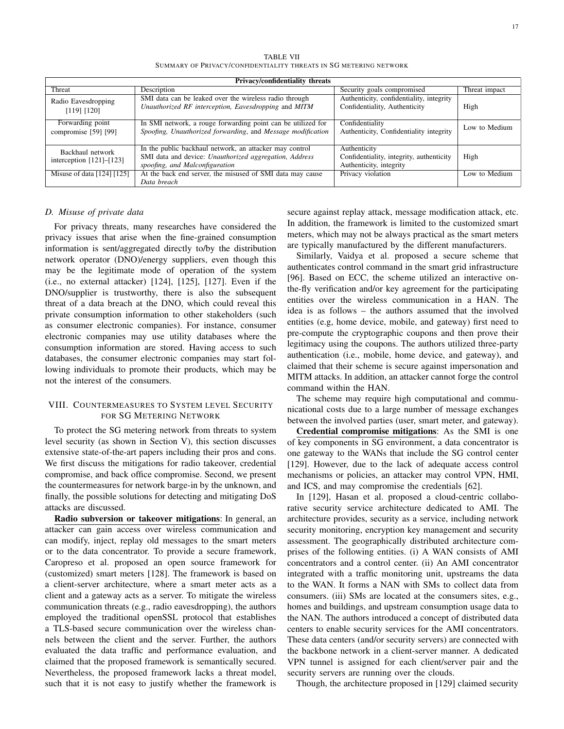TABLE VII SUMMARY OF PRIVACY/CONFIDENTIALITY THREATS IN SG METERING NETWORK

|                                                    | Privacy/confidentiality threats                                                                                                                     |                                                                                     |               |
|----------------------------------------------------|-----------------------------------------------------------------------------------------------------------------------------------------------------|-------------------------------------------------------------------------------------|---------------|
| Threat                                             | Description                                                                                                                                         | Security goals compromised                                                          | Threat impact |
| Radio Eavesdropping<br>$[119]$ $[120]$             | SMI data can be leaked over the wireless radio through<br>Unauthorized RF interception, Eavesdropping and MITM                                      | Authenticity, confidentiality, integrity<br>Confidentiality, Authenticity           | High          |
| Forwarding point<br>compromise [59] [99]           | In SMI network, a rouge forwarding point can be utilized for<br>Spoofing, Unauthorized forwarding, and Message modification                         | Confidentiality<br>Authenticity, Confidentiality integrity                          | Low to Medium |
| Backhaul network<br>interception $[121]$ – $[123]$ | In the public backhaul network, an attacker may control<br>SMI data and device: Unauthorized aggregation, Address<br>spoofing, and Malconfiguration | Authenticity<br>Confidentiality, integrity, authenticity<br>Authenticity, integrity | High          |
| Misuse of data [124] [125]                         | At the back end server, the misused of SMI data may cause<br>Data breach                                                                            | Privacy violation                                                                   | Low to Medium |

# *D. Misuse of private data*

For privacy threats, many researches have considered the privacy issues that arise when the fine-grained consumption information is sent/aggregated directly to/by the distribution network operator (DNO)/energy suppliers, even though this may be the legitimate mode of operation of the system (i.e., no external attacker) [124], [125], [127]. Even if the DNO/supplier is trustworthy, there is also the subsequent threat of a data breach at the DNO, which could reveal this private consumption information to other stakeholders (such as consumer electronic companies). For instance, consumer electronic companies may use utility databases where the consumption information are stored. Having access to such databases, the consumer electronic companies may start following individuals to promote their products, which may be not the interest of the consumers.

# VIII. COUNTERMEASURES TO SYSTEM LEVEL SECURITY FOR SG METERING NETWORK

To protect the SG metering network from threats to system level security (as shown in Section V), this section discusses extensive state-of-the-art papers including their pros and cons. We first discuss the mitigations for radio takeover, credential compromise, and back office compromise. Second, we present the countermeasures for network barge-in by the unknown, and finally, the possible solutions for detecting and mitigating DoS attacks are discussed.

Radio subversion or takeover mitigations: In general, an attacker can gain access over wireless communication and can modify, inject, replay old messages to the smart meters or to the data concentrator. To provide a secure framework, Caropreso et al. proposed an open source framework for (customized) smart meters [128]. The framework is based on a client-server architecture, where a smart meter acts as a client and a gateway acts as a server. To mitigate the wireless communication threats (e.g., radio eavesdropping), the authors employed the traditional openSSL protocol that establishes a TLS-based secure communication over the wireless channels between the client and the server. Further, the authors evaluated the data traffic and performance evaluation, and claimed that the proposed framework is semantically secured. Nevertheless, the proposed framework lacks a threat model, such that it is not easy to justify whether the framework is

secure against replay attack, message modification attack, etc. In addition, the framework is limited to the customized smart meters, which may not be always practical as the smart meters are typically manufactured by the different manufacturers.

Similarly, Vaidya et al. proposed a secure scheme that authenticates control command in the smart grid infrastructure [96]. Based on ECC, the scheme utilized an interactive onthe-fly verification and/or key agreement for the participating entities over the wireless communication in a HAN. The idea is as follows – the authors assumed that the involved entities (e.g, home device, mobile, and gateway) first need to pre-compute the cryptographic coupons and then prove their legitimacy using the coupons. The authors utilized three-party authentication (i.e., mobile, home device, and gateway), and claimed that their scheme is secure against impersonation and MITM attacks. In addition, an attacker cannot forge the control command within the HAN.

The scheme may require high computational and communicational costs due to a large number of message exchanges between the involved parties (user, smart meter, and gateway).

Credential compromise mitigations: As the SMI is one of key components in SG environment, a data concentrator is one gateway to the WANs that include the SG control center [129]. However, due to the lack of adequate access control mechanisms or policies, an attacker may control VPN, HMI, and ICS, and may compromise the credentials [62].

In [129], Hasan et al. proposed a cloud-centric collaborative security service architecture dedicated to AMI. The architecture provides, security as a service, including network security monitoring, encryption key management and security assessment. The geographically distributed architecture comprises of the following entities. (i) A WAN consists of AMI concentrators and a control center. (ii) An AMI concentrator integrated with a traffic monitoring unit, upstreams the data to the WAN. It forms a NAN with SMs to collect data from consumers. (iii) SMs are located at the consumers sites, e.g., homes and buildings, and upstream consumption usage data to the NAN. The authors introduced a concept of distributed data centers to enable security services for the AMI concentrators. These data centers (and/or security servers) are connected with the backbone network in a client-server manner. A dedicated VPN tunnel is assigned for each client/server pair and the security servers are running over the clouds.

Though, the architecture proposed in [129] claimed security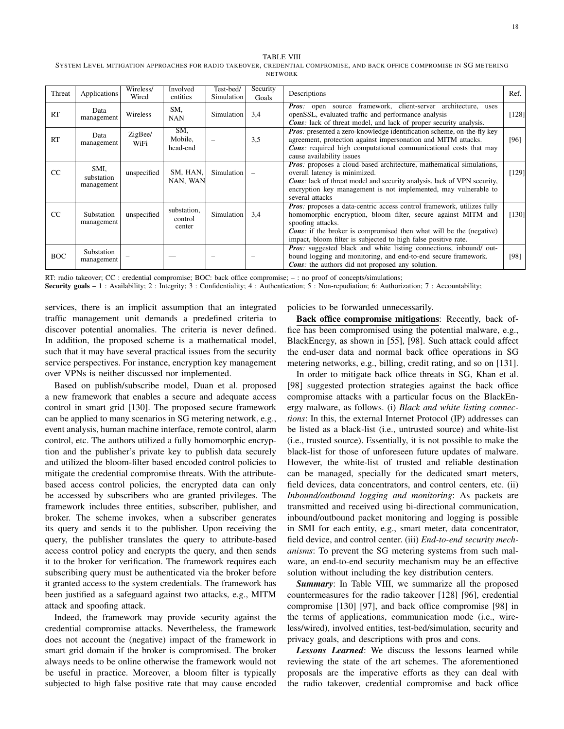#### TABLE VIII

SYSTEM LEVEL MITIGATION APPROACHES FOR RADIO TAKEOVER, CREDENTIAL COMPROMISE, AND BACK OFFICE COMPROMISE IN SG METERING NETWORK

| Threat     | Applications                     | Wireless/<br>Wired | Involved<br>entities             | Test-bed/<br>Simulation | Security<br>Goals | Descriptions                                                                                                                                                                                                                                                                                                        | Ref.    |
|------------|----------------------------------|--------------------|----------------------------------|-------------------------|-------------------|---------------------------------------------------------------------------------------------------------------------------------------------------------------------------------------------------------------------------------------------------------------------------------------------------------------------|---------|
| RT         | Data<br>management               | Wireless           | SM.<br><b>NAN</b>                | Simulation              | 3.4               | <b>Pros:</b> open source framework, client-server architecture, uses<br>openSSL, evaluated traffic and performance analysis<br><b>Cons</b> : lack of threat model, and lack of proper security analysis.                                                                                                            | [128]   |
| RT         | Data<br>management               | ZigBee/<br>WiFi    | SM,<br>Mobile,<br>head-end       |                         | 3,5               | Pros: presented a zero-knowledge identification scheme, on-the-fly key<br>agreement, protection against impersonation and MITM attacks.<br><b>Cons:</b> required high computational communicational costs that may<br>cause availability issues                                                                     | [96]    |
| CC         | SMI,<br>substation<br>management | unspecified        | SM, HAN,<br>NAN, WAN             | Simulation              |                   | <b>Pros:</b> proposes a cloud-based architecture, mathematical simulations,<br>overall latency is minimized.<br><b>Cons</b> : lack of threat model and security analysis, lack of VPN security,<br>encryption key management is not implemented, may vulnerable to<br>several attacks                               | $[129]$ |
| CC         | Substation<br>management         | unspecified        | substation,<br>control<br>center | Simulation              | 3.4               | <b>Pros:</b> proposes a data-centric access control framework, utilizes fully<br>homomorphic encryption, bloom filter, secure against MITM and<br>spoofing attacks.<br><b>Cons:</b> if the broker is compromised then what will be the (negative)<br>impact, bloom filter is subjected to high false positive rate. | [130]   |
| <b>BOC</b> | Substation<br>management         |                    |                                  |                         |                   | <b>Pros:</b> suggested black and white listing connections, inbound/ out-<br>bound logging and monitoring, and end-to-end secure framework.<br><b>Cons</b> : the authors did not proposed any solution.                                                                                                             | [98]    |

RT: radio takeover; CC : credential compromise; BOC: back office compromise; – : no proof of concepts/simulations;

Security goals - 1 : Availability; 2 : Integrity; 3 : Confidentiality; 4 : Authentication; 5 : Non-repudiation; 6: Authorization; 7 : Accountability;

services, there is an implicit assumption that an integrated traffic management unit demands a predefined criteria to discover potential anomalies. The criteria is never defined. In addition, the proposed scheme is a mathematical model, such that it may have several practical issues from the security service perspectives. For instance, encryption key management over VPNs is neither discussed nor implemented.

Based on publish/subscribe model, Duan et al. proposed a new framework that enables a secure and adequate access control in smart grid [130]. The proposed secure framework can be applied to many scenarios in SG metering network, e.g., event analysis, human machine interface, remote control, alarm control, etc. The authors utilized a fully homomorphic encryption and the publisher's private key to publish data securely and utilized the bloom-filter based encoded control policies to mitigate the credential compromise threats. With the attributebased access control policies, the encrypted data can only be accessed by subscribers who are granted privileges. The framework includes three entities, subscriber, publisher, and broker. The scheme invokes, when a subscriber generates its query and sends it to the publisher. Upon receiving the query, the publisher translates the query to attribute-based access control policy and encrypts the query, and then sends it to the broker for verification. The framework requires each subscribing query must be authenticated via the broker before it granted access to the system credentials. The framework has been justified as a safeguard against two attacks, e.g., MITM attack and spoofing attack.

Indeed, the framework may provide security against the credential compromise attacks. Nevertheless, the framework does not account the (negative) impact of the framework in smart grid domain if the broker is compromised. The broker always needs to be online otherwise the framework would not be useful in practice. Moreover, a bloom filter is typically subjected to high false positive rate that may cause encoded policies to be forwarded unnecessarily.

Back office compromise mitigations: Recently, back office has been compromised using the potential malware, e.g., BlackEnergy, as shown in [55], [98]. Such attack could affect the end-user data and normal back office operations in SG metering networks, e.g., billing, credit rating, and so on [131].

In order to mitigate back office threats in SG, Khan et al. [98] suggested protection strategies against the back office compromise attacks with a particular focus on the BlackEnergy malware, as follows. (i) *Black and white listing connections*: In this, the external Internet Protocol (IP) addresses can be listed as a black-list (i.e., untrusted source) and white-list (i.e., trusted source). Essentially, it is not possible to make the black-list for those of unforeseen future updates of malware. However, the white-list of trusted and reliable destination can be managed, specially for the dedicated smart meters, field devices, data concentrators, and control centers, etc. (ii) *Inbound/outbound logging and monitoring*: As packets are transmitted and received using bi-directional communication, inbound/outbound packet monitoring and logging is possible in SMI for each entity, e.g., smart meter, data concentrator, field device, and control center. (iii) *End-to-end security mechanisms*: To prevent the SG metering systems from such malware, an end-to-end security mechanism may be an effective solution without including the key distribution centers.

*Summary*: In Table VIII, we summarize all the proposed countermeasures for the radio takeover [128] [96], credential compromise [130] [97], and back office compromise [98] in the terms of applications, communication mode (i.e., wireless/wired), involved entities, test-bed/simulation, security and privacy goals, and descriptions with pros and cons.

*Lessons Learned*: We discuss the lessons learned while reviewing the state of the art schemes. The aforementioned proposals are the imperative efforts as they can deal with the radio takeover, credential compromise and back office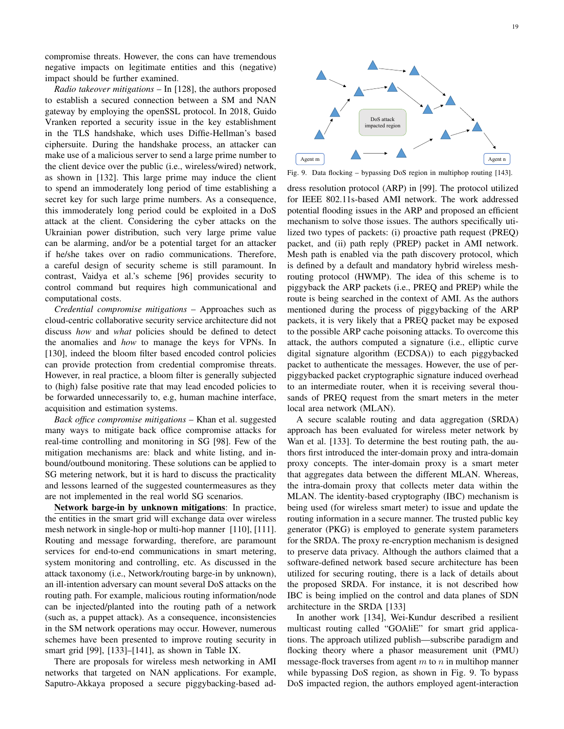compromise threats. However, the cons can have tremendous negative impacts on legitimate entities and this (negative) impact should be further examined.

*Radio takeover mitigations* – In [128], the authors proposed to establish a secured connection between a SM and NAN gateway by employing the openSSL protocol. In 2018, Guido Vranken reported a security issue in the key establishment in the TLS handshake, which uses Diffie-Hellman's based ciphersuite. During the handshake process, an attacker can make use of a malicious server to send a large prime number to the client device over the public (i.e., wireless/wired) network, as shown in [132]. This large prime may induce the client to spend an immoderately long period of time establishing a secret key for such large prime numbers. As a consequence, this immoderately long period could be exploited in a DoS attack at the client. Considering the cyber attacks on the Ukrainian power distribution, such very large prime value can be alarming, and/or be a potential target for an attacker if he/she takes over on radio communications. Therefore, a careful design of security scheme is still paramount. In contrast, Vaidya et al.'s scheme [96] provides security to control command but requires high communicational and computational costs.

*Credential compromise mitigations* – Approaches such as cloud-centric collaborative security service architecture did not discuss *how* and *what* policies should be defined to detect the anomalies and *how* to manage the keys for VPNs. In [130], indeed the bloom filter based encoded control policies can provide protection from credential compromise threats. However, in real practice, a bloom filter is generally subjected to (high) false positive rate that may lead encoded policies to be forwarded unnecessarily to, e.g, human machine interface, acquisition and estimation systems.

*Back office compromise mitigations* – Khan et al. suggested many ways to mitigate back office compromise attacks for real-time controlling and monitoring in SG [98]. Few of the mitigation mechanisms are: black and white listing, and inbound/outbound monitoring. These solutions can be applied to SG metering network, but it is hard to discuss the practicality and lessons learned of the suggested countermeasures as they are not implemented in the real world SG scenarios.

Network barge-in by unknown mitigations: In practice, the entities in the smart grid will exchange data over wireless mesh network in single-hop or multi-hop manner [110], [111]. Routing and message forwarding, therefore, are paramount services for end-to-end communications in smart metering, system monitoring and controlling, etc. As discussed in the attack taxonomy (i.e., Network/routing barge-in by unknown), an ill-intention adversary can mount several DoS attacks on the routing path. For example, malicious routing information/node can be injected/planted into the routing path of a network (such as, a puppet attack). As a consequence, inconsistencies in the SM network operations may occur. However, numerous schemes have been presented to improve routing security in smart grid [99], [133]–[141], as shown in Table IX.

There are proposals for wireless mesh networking in AMI networks that targeted on NAN applications. For example, Saputro-Akkaya proposed a secure piggybacking-based ad-



Fig. 9. Data flocking – bypassing DoS region in multiphop routing [143].

dress resolution protocol (ARP) in [99]. The protocol utilized for IEEE 802.11s-based AMI network. The work addressed potential flooding issues in the ARP and proposed an efficient mechanism to solve those issues. The authors specifically utilized two types of packets: (i) proactive path request (PREQ) packet, and (ii) path reply (PREP) packet in AMI network. Mesh path is enabled via the path discovery protocol, which is defined by a default and mandatory hybrid wireless meshrouting protocol (HWMP). The idea of this scheme is to piggyback the ARP packets (i.e., PREQ and PREP) while the route is being searched in the context of AMI. As the authors mentioned during the process of piggybacking of the ARP packets, it is very likely that a PREQ packet may be exposed to the possible ARP cache poisoning attacks. To overcome this attack, the authors computed a signature (i.e., elliptic curve digital signature algorithm (ECDSA)) to each piggybacked packet to authenticate the messages. However, the use of perpiggybacked packet cryptographic signature induced overhead to an intermediate router, when it is receiving several thousands of PREQ request from the smart meters in the meter local area network (MLAN).

A secure scalable routing and data aggregation (SRDA) approach has been evaluated for wireless meter network by Wan et al. [133]. To determine the best routing path, the authors first introduced the inter-domain proxy and intra-domain proxy concepts. The inter-domain proxy is a smart meter that aggregates data between the different MLAN. Whereas, the intra-domain proxy that collects meter data within the MLAN. The identity-based cryptography (IBC) mechanism is being used (for wireless smart meter) to issue and update the routing information in a secure manner. The trusted public key generator (PKG) is employed to generate system parameters for the SRDA. The proxy re-encryption mechanism is designed to preserve data privacy. Although the authors claimed that a software-defined network based secure architecture has been utilized for securing routing, there is a lack of details about the proposed SRDA. For instance, it is not described how IBC is being implied on the control and data planes of SDN architecture in the SRDA [133]

In another work [134], Wei-Kundur described a resilient multicast routing called "GOAliE" for smart grid applications. The approach utilized publish—subscribe paradigm and flocking theory where a phasor measurement unit (PMU) message-flock traverses from agent  $m$  to  $n$  in multihop manner while bypassing DoS region, as shown in Fig. 9. To bypass DoS impacted region, the authors employed agent-interaction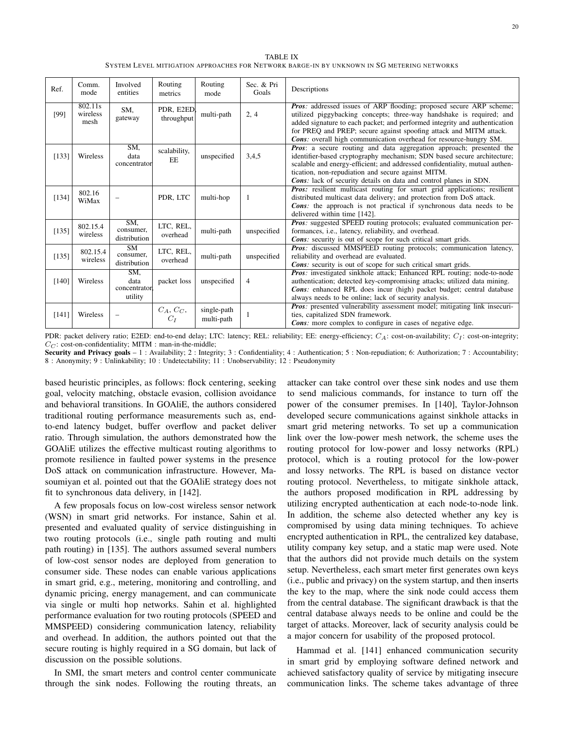TABLE IX SYSTEM LEVEL MITIGATION APPROACHES FOR NETWORK BARGE-IN BY UNKNOWN IN SG METERING NETWORKS

| Ref.    | Comm.<br>mode               | Involved<br>entities                   | Routing<br>metrics        | Routing<br>mode           | Sec. & Pri<br>Goals | Descriptions                                                                                                                                                                                                                                                                                                                                                                |
|---------|-----------------------------|----------------------------------------|---------------------------|---------------------------|---------------------|-----------------------------------------------------------------------------------------------------------------------------------------------------------------------------------------------------------------------------------------------------------------------------------------------------------------------------------------------------------------------------|
| [99]    | 802.11s<br>wireless<br>mesh | SM,<br>gateway                         | PDR, E2ED,<br>throughput  | multi-path                | 2, 4                | <b>Pros:</b> addressed issues of ARP flooding; proposed secure ARP scheme;<br>utilized piggybacking concepts; three-way handshake is required; and<br>added signature to each packet; and performed integrity and authentication<br>for PREQ and PREP; secure against spoofing attack and MITM attack.<br>Cons: overall high communication overhead for resource-hungry SM. |
| [133]   | Wireless                    | SM,<br>data<br>concentrator            | scalability,<br><b>EE</b> | unspecified               | 3,4,5               | <b>Pros:</b> a secure routing and data aggregation approach; presented the<br>identifier-based cryptography mechanism; SDN based secure architecture;<br>scalable and energy-efficient; and addressed confidentiality, mutual authen-<br>tication, non-repudiation and secure against MITM.<br><b>Cons:</b> lack of security details on data and control planes in SDN.     |
| [134]   | 802.16<br>WiMax             |                                        | PDR, LTC                  | multi-hop                 | -1                  | <b>Pros:</b> resilient multicast routing for smart grid applications; resilient<br>distributed multicast data delivery; and protection from DoS attack.<br>Cons: the approach is not practical if synchronous data needs to be<br>delivered within time [142].                                                                                                              |
| [135]   | 802.15.4<br>wireless        | SM.<br>consumer,<br>distribution       | LTC, REL,<br>overhead     | multi-path                | unspecified         | <b>Pros:</b> suggested SPEED routing protocols; evaluated communication per-<br>formances, <i>i.e.</i> , <i>latency</i> , <i>reliability</i> , and <i>overhead</i> .<br><b>Cons:</b> security is out of scope for such critical smart grids.                                                                                                                                |
| [135]   | 802.15.4<br>wireless        | <b>SM</b><br>consumer.<br>distribution | LTC, REL,<br>overhead     | multi-path                | unspecified         | <b>Pros:</b> discussed MMSPEED routing protocols; communication latency,<br>reliability and overhead are evaluated.<br><b>Cons:</b> security is out of scope for such critical smart grids.                                                                                                                                                                                 |
| $[140]$ | Wireless                    | SM.<br>data<br>concentrator<br>utility | packet loss               | unspecified               | $\overline{4}$      | <b>Pros:</b> investigated sinkhole attack; Enhanced RPL routing; node-to-node<br>authentication; detected key-compromising attacks; utilized data mining.<br>Cons: enhanced RPL does incur (high) packet budget; central database<br>always needs to be online; lack of security analysis.                                                                                  |
| [141]   | Wireless                    |                                        | $C_A, C_C,$<br>$C_I$      | single-path<br>multi-path |                     | <b>Pros:</b> presented vulnerability assessment model; mitigating link insecuri-<br>ties, capitalized SDN framework.<br><b>Cons:</b> more complex to configure in cases of negative edge.                                                                                                                                                                                   |

PDR: packet delivery ratio; E2ED: end-to-end delay; LTC: latency; REL: reliability; EE: energy-efficiency;  $C_A$ : cost-on-availability;  $C_I$ : cost-on-integrity;  $C_C$ : cost-on-confidentiality; MITM : man-in-the-middle;

Security and Privacy goals - 1 : Availability; 2 : Integrity; 3 : Confidentiality; 4 : Authentication; 5 : Non-repudiation; 6: Authorization; 7 : Accountability; 8 : Anonymity; 9 : Unlinkability; 10 : Undetectability; 11 : Unobservability; 12 : Pseudonymity

based heuristic principles, as follows: flock centering, seeking goal, velocity matching, obstacle evasion, collision avoidance and behavioral transitions. In GOAliE, the authors considered traditional routing performance measurements such as, endto-end latency budget, buffer overflow and packet deliver ratio. Through simulation, the authors demonstrated how the GOAliE utilizes the effective multicast routing algorithms to promote resilience in faulted power systems in the presence DoS attack on communication infrastructure. However, Masoumiyan et al. pointed out that the GOAliE strategy does not fit to synchronous data delivery, in [142].

A few proposals focus on low-cost wireless sensor network (WSN) in smart grid networks. For instance, Sahin et al. presented and evaluated quality of service distinguishing in two routing protocols (i.e., single path routing and multi path routing) in [135]. The authors assumed several numbers of low-cost sensor nodes are deployed from generation to consumer side. These nodes can enable various applications in smart grid, e.g., metering, monitoring and controlling, and dynamic pricing, energy management, and can communicate via single or multi hop networks. Sahin et al. highlighted performance evaluation for two routing protocols (SPEED and MMSPEED) considering communication latency, reliability and overhead. In addition, the authors pointed out that the secure routing is highly required in a SG domain, but lack of discussion on the possible solutions.

In SMI, the smart meters and control center communicate through the sink nodes. Following the routing threats, an attacker can take control over these sink nodes and use them to send malicious commands, for instance to turn off the power of the consumer premises. In [140], Taylor-Johnson developed secure communications against sinkhole attacks in smart grid metering networks. To set up a communication link over the low-power mesh network, the scheme uses the routing protocol for low-power and lossy networks (RPL) protocol, which is a routing protocol for the low-power and lossy networks. The RPL is based on distance vector routing protocol. Nevertheless, to mitigate sinkhole attack, the authors proposed modification in RPL addressing by utilizing encrypted authentication at each node-to-node link. In addition, the scheme also detected whether any key is compromised by using data mining techniques. To achieve encrypted authentication in RPL, the centralized key database, utility company key setup, and a static map were used. Note that the authors did not provide much details on the system setup. Nevertheless, each smart meter first generates own keys (i.e., public and privacy) on the system startup, and then inserts the key to the map, where the sink node could access them from the central database. The significant drawback is that the central database always needs to be online and could be the target of attacks. Moreover, lack of security analysis could be a major concern for usability of the proposed protocol.

Hammad et al. [141] enhanced communication security in smart grid by employing software defined network and achieved satisfactory quality of service by mitigating insecure communication links. The scheme takes advantage of three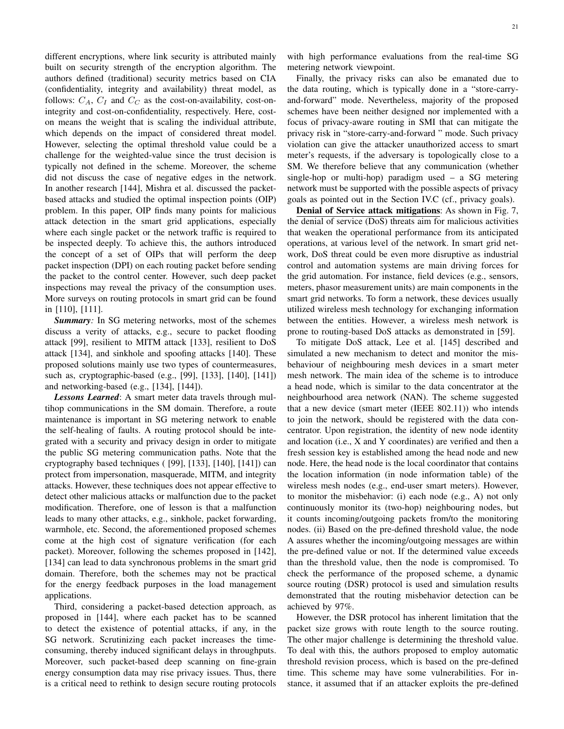different encryptions, where link security is attributed mainly built on security strength of the encryption algorithm. The authors defined (traditional) security metrics based on CIA (confidentiality, integrity and availability) threat model, as follows:  $C_A$ ,  $C_I$  and  $C_C$  as the cost-on-availability, cost-onintegrity and cost-on-confidentiality, respectively. Here, coston means the weight that is scaling the individual attribute, which depends on the impact of considered threat model. However, selecting the optimal threshold value could be a challenge for the weighted-value since the trust decision is typically not defined in the scheme. Moreover, the scheme did not discuss the case of negative edges in the network. In another research [144], Mishra et al. discussed the packetbased attacks and studied the optimal inspection points (OIP) problem. In this paper, OIP finds many points for malicious attack detection in the smart grid applications, especially where each single packet or the network traffic is required to be inspected deeply. To achieve this, the authors introduced the concept of a set of OIPs that will perform the deep packet inspection (DPI) on each routing packet before sending the packet to the control center. However, such deep packet inspections may reveal the privacy of the consumption uses. More surveys on routing protocols in smart grid can be found in [110], [111].

*Summary:* In SG metering networks, most of the schemes discuss a verity of attacks, e.g., secure to packet flooding attack [99], resilient to MITM attack [133], resilient to DoS attack [134], and sinkhole and spoofing attacks [140]. These proposed solutions mainly use two types of countermeasures, such as, cryptographic-based (e.g., [99], [133], [140], [141]) and networking-based (e.g., [134], [144]).

*Lessons Learned*: A smart meter data travels through multihop communications in the SM domain. Therefore, a route maintenance is important in SG metering network to enable the self-healing of faults. A routing protocol should be integrated with a security and privacy design in order to mitigate the public SG metering communication paths. Note that the cryptography based techniques ( [99], [133], [140], [141]) can protect from impersonation, masquerade, MITM, and integrity attacks. However, these techniques does not appear effective to detect other malicious attacks or malfunction due to the packet modification. Therefore, one of lesson is that a malfunction leads to many other attacks, e.g., sinkhole, packet forwarding, warmhole, etc. Second, the aforementioned proposed schemes come at the high cost of signature verification (for each packet). Moreover, following the schemes proposed in [142], [134] can lead to data synchronous problems in the smart grid domain. Therefore, both the schemes may not be practical for the energy feedback purposes in the load management applications.

Third, considering a packet-based detection approach, as proposed in [144], where each packet has to be scanned to detect the existence of potential attacks, if any, in the SG network. Scrutinizing each packet increases the timeconsuming, thereby induced significant delays in throughputs. Moreover, such packet-based deep scanning on fine-grain energy consumption data may rise privacy issues. Thus, there is a critical need to rethink to design secure routing protocols with high performance evaluations from the real-time SG metering network viewpoint.

Finally, the privacy risks can also be emanated due to the data routing, which is typically done in a "store-carryand-forward" mode. Nevertheless, majority of the proposed schemes have been neither designed nor implemented with a focus of privacy-aware routing in SMI that can mitigate the privacy risk in "store-carry-and-forward " mode. Such privacy violation can give the attacker unauthorized access to smart meter's requests, if the adversary is topologically close to a SM. We therefore believe that any communication (whether single-hop or multi-hop) paradigm used – a SG metering network must be supported with the possible aspects of privacy goals as pointed out in the Section IV.C (cf., privacy goals).

Denial of Service attack mitigations: As shown in Fig. 7, the denial of service (DoS) threats aim for malicious activities that weaken the operational performance from its anticipated operations, at various level of the network. In smart grid network, DoS threat could be even more disruptive as industrial control and automation systems are main driving forces for the grid automation. For instance, field devices (e.g., sensors, meters, phasor measurement units) are main components in the smart grid networks. To form a network, these devices usually utilized wireless mesh technology for exchanging information between the entities. However, a wireless mesh network is prone to routing-based DoS attacks as demonstrated in [59].

To mitigate DoS attack, Lee et al. [145] described and simulated a new mechanism to detect and monitor the misbehaviour of neighbouring mesh devices in a smart meter mesh network. The main idea of the scheme is to introduce a head node, which is similar to the data concentrator at the neighbourhood area network (NAN). The scheme suggested that a new device (smart meter (IEEE 802.11)) who intends to join the network, should be registered with the data concentrator. Upon registration, the identity of new node identity and location (i.e., X and Y coordinates) are verified and then a fresh session key is established among the head node and new node. Here, the head node is the local coordinator that contains the location information (in node information table) of the wireless mesh nodes (e.g., end-user smart meters). However, to monitor the misbehavior: (i) each node (e.g., A) not only continuously monitor its (two-hop) neighbouring nodes, but it counts incoming/outgoing packets from/to the monitoring nodes. (ii) Based on the pre-defined threshold value, the node A assures whether the incoming/outgoing messages are within the pre-defined value or not. If the determined value exceeds than the threshold value, then the node is compromised. To check the performance of the proposed scheme, a dynamic source routing (DSR) protocol is used and simulation results demonstrated that the routing misbehavior detection can be achieved by 97%.

However, the DSR protocol has inherent limitation that the packet size grows with route length to the source routing. The other major challenge is determining the threshold value. To deal with this, the authors proposed to employ automatic threshold revision process, which is based on the pre-defined time. This scheme may have some vulnerabilities. For instance, it assumed that if an attacker exploits the pre-defined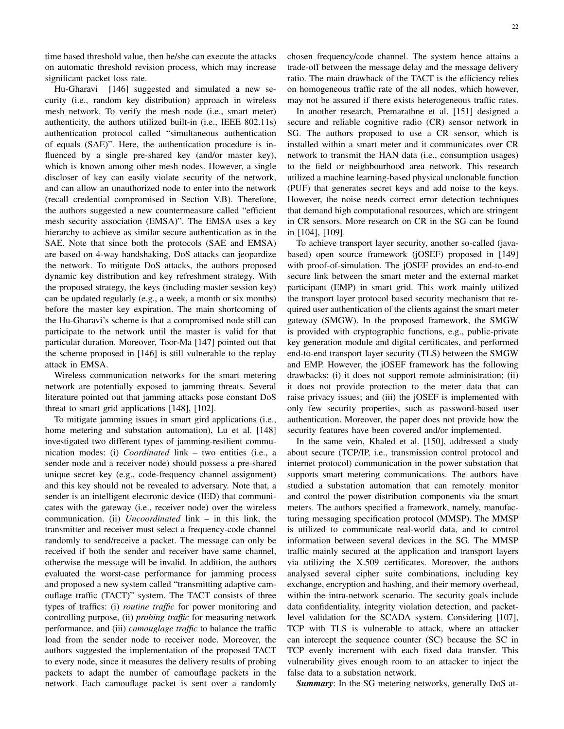time based threshold value, then he/she can execute the attacks on automatic threshold revision process, which may increase significant packet loss rate.

Hu-Gharavi [146] suggested and simulated a new security (i.e., random key distribution) approach in wireless mesh network. To verify the mesh node (i.e., smart meter) authenticity, the authors utilized built-in (i.e., IEEE 802.11s) authentication protocol called "simultaneous authentication of equals (SAE)". Here, the authentication procedure is influenced by a single pre-shared key (and/or master key), which is known among other mesh nodes. However, a single discloser of key can easily violate security of the network, and can allow an unauthorized node to enter into the network (recall credential compromised in Section V.B). Therefore, the authors suggested a new countermeasure called "efficient mesh security association (EMSA)". The EMSA uses a key hierarchy to achieve as similar secure authentication as in the SAE. Note that since both the protocols (SAE and EMSA) are based on 4-way handshaking, DoS attacks can jeopardize the network. To mitigate DoS attacks, the authors proposed dynamic key distribution and key refreshment strategy. With the proposed strategy, the keys (including master session key) can be updated regularly (e.g., a week, a month or six months) before the master key expiration. The main shortcoming of the Hu-Gharavi's scheme is that a compromised node still can participate to the network until the master is valid for that particular duration. Moreover, Toor-Ma [147] pointed out that the scheme proposed in [146] is still vulnerable to the replay attack in EMSA.

Wireless communication networks for the smart metering network are potentially exposed to jamming threats. Several literature pointed out that jamming attacks pose constant DoS threat to smart grid applications [148], [102].

To mitigate jamming issues in smart gird applications (i.e., home metering and substation automation), Lu et al. [148] investigated two different types of jamming-resilient communication modes: (i) *Coordinated* link – two entities (i.e., a sender node and a receiver node) should possess a pre-shared unique secret key (e.g., code-frequency channel assignment) and this key should not be revealed to adversary. Note that, a sender is an intelligent electronic device (IED) that communicates with the gateway (i.e., receiver node) over the wireless communication. (ii) *Uncoordinated* link – in this link, the transmitter and receiver must select a frequency-code channel randomly to send/receive a packet. The message can only be received if both the sender and receiver have same channel, otherwise the message will be invalid. In addition, the authors evaluated the worst-case performance for jamming process and proposed a new system called "transmitting adaptive camouflage traffic (TACT)" system. The TACT consists of three types of traffics: (i) *routine traffic* for power monitoring and controlling purpose, (ii) *probing traffic* for measuring network performance, and (iii) *camouglage traffic* to balance the traffic load from the sender node to receiver node. Moreover, the authors suggested the implementation of the proposed TACT to every node, since it measures the delivery results of probing packets to adapt the number of camouflage packets in the network. Each camouflage packet is sent over a randomly chosen frequency/code channel. The system hence attains a trade-off between the message delay and the message delivery ratio. The main drawback of the TACT is the efficiency relies on homogeneous traffic rate of the all nodes, which however, may not be assured if there exists heterogeneous traffic rates.

In another research, Premarathne et al. [151] designed a secure and reliable cognitive radio (CR) sensor network in SG. The authors proposed to use a CR sensor, which is installed within a smart meter and it communicates over CR network to transmit the HAN data (i.e., consumption usages) to the field or neighbourhood area network. This research utilized a machine learning-based physical unclonable function (PUF) that generates secret keys and add noise to the keys. However, the noise needs correct error detection techniques that demand high computational resources, which are stringent in CR sensors. More research on CR in the SG can be found in [104], [109].

To achieve transport layer security, another so-called (javabased) open source framework (jOSEF) proposed in [149] with proof-of-simulation. The jOSEF provides an end-to-end secure link between the smart meter and the external market participant (EMP) in smart grid. This work mainly utilized the transport layer protocol based security mechanism that required user authentication of the clients against the smart meter gateway (SMGW). In the proposed framework, the SMGW is provided with cryptographic functions, e.g., public-private key generation module and digital certificates, and performed end-to-end transport layer security (TLS) between the SMGW and EMP. However, the jOSEF framework has the following drawbacks: (i) it does not support remote administration; (ii) it does not provide protection to the meter data that can raise privacy issues; and (iii) the jOSEF is implemented with only few security properties, such as password-based user authentication. Moreover, the paper does not provide how the security features have been covered and/or implemented.

In the same vein, Khaled et al. [150], addressed a study about secure (TCP/IP, i.e., transmission control protocol and internet protocol) communication in the power substation that supports smart metering communications. The authors have studied a substation automation that can remotely monitor and control the power distribution components via the smart meters. The authors specified a framework, namely, manufacturing messaging specification protocol (MMSP). The MMSP is utilized to communicate real-world data, and to control information between several devices in the SG. The MMSP traffic mainly secured at the application and transport layers via utilizing the X.509 certificates. Moreover, the authors analysed several cipher suite combinations, including key exchange, encryption and hashing, and their memory overhead, within the intra-network scenario. The security goals include data confidentiality, integrity violation detection, and packetlevel validation for the SCADA system. Considering [107], TCP with TLS is vulnerable to attack, where an attacker can intercept the sequence counter (SC) because the SC in TCP evenly increment with each fixed data transfer. This vulnerability gives enough room to an attacker to inject the false data to a substation network.

*Summary*: In the SG metering networks, generally DoS at-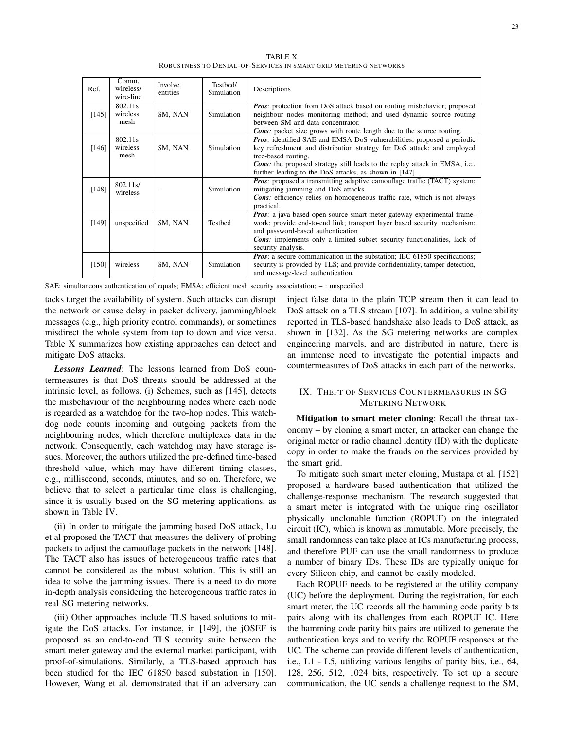TABLE X ROBUSTNESS TO DENIAL-OF-SERVICES IN SMART GRID METERING NETWORKS

| Ref.  | Comm.<br>wireless/<br>wire-line | Involve<br>entities | Testbed/<br>Simulation | Descriptions                                                                                                                                                                                                                                                                                                                   |
|-------|---------------------------------|---------------------|------------------------|--------------------------------------------------------------------------------------------------------------------------------------------------------------------------------------------------------------------------------------------------------------------------------------------------------------------------------|
| [145] | 802.11s<br>wireless<br>mesh     | SM, NAN             | <b>Simulation</b>      | <b>Pros:</b> protection from DoS attack based on routing misbehavior; proposed<br>neighbour nodes monitoring method; and used dynamic source routing<br>between SM and data concentrator.<br><b>Cons</b> : packet size grows with route length due to the source routing.                                                      |
| [146] | 802.11s<br>wireless<br>mesh     | SM, NAN             | Simulation             | <b>Pros:</b> identified SAE and EMSA DoS vulnerabilities; proposed a periodic<br>key refreshment and distribution strategy for DoS attack; and employed<br>tree-based routing.<br><b>Cons:</b> the proposed strategy still leads to the replay attack in EMSA, i.e.,<br>further leading to the DoS attacks, as shown in [147]. |
| [148] | 802.11 s/<br>wireless           |                     | <b>Simulation</b>      | <b>Pros:</b> proposed a transmitting adaptive camouflage traffic (TACT) system;<br>mitigating jamming and DoS attacks<br><b>Cons:</b> efficiency relies on homogeneous traffic rate, which is not always<br>practical.                                                                                                         |
| [149] | unspecified                     | SM, NAN             | Testbed                | Pros: a java based open source smart meter gateway experimental frame-<br>work; provide end-to-end link; transport layer based security mechanism;<br>and password-based authentication<br><b>Cons:</b> implements only a limited subset security functionalities, lack of<br>security analysis.                               |
| [150] | wireless                        | SM, NAN             | Simulation             | <b><i>Pros:</i></b> a secure communication in the substation; IEC 61850 specifications;<br>security is provided by TLS; and provide confidentiality, tamper detection,<br>and message-level authentication.                                                                                                                    |

SAE: simultaneous authentication of equals; EMSA: efficient mesh security associatation; – : unspecified

tacks target the availability of system. Such attacks can disrupt the network or cause delay in packet delivery, jamming/block messages (e.g., high priority control commands), or sometimes misdirect the whole system from top to down and vice versa. Table X summarizes how existing approaches can detect and mitigate DoS attacks.

*Lessons Learned*: The lessons learned from DoS countermeasures is that DoS threats should be addressed at the intrinsic level, as follows. (i) Schemes, such as [145], detects the misbehaviour of the neighbouring nodes where each node is regarded as a watchdog for the two-hop nodes. This watchdog node counts incoming and outgoing packets from the neighbouring nodes, which therefore multiplexes data in the network. Consequently, each watchdog may have storage issues. Moreover, the authors utilized the pre-defined time-based threshold value, which may have different timing classes, e.g., millisecond, seconds, minutes, and so on. Therefore, we believe that to select a particular time class is challenging, since it is usually based on the SG metering applications, as shown in Table IV.

(ii) In order to mitigate the jamming based DoS attack, Lu et al proposed the TACT that measures the delivery of probing packets to adjust the camouflage packets in the network [148]. The TACT also has issues of heterogeneous traffic rates that cannot be considered as the robust solution. This is still an idea to solve the jamming issues. There is a need to do more in-depth analysis considering the heterogeneous traffic rates in real SG metering networks.

(iii) Other approaches include TLS based solutions to mitigate the DoS attacks. For instance, in [149], the jOSEF is proposed as an end-to-end TLS security suite between the smart meter gateway and the external market participant, with proof-of-simulations. Similarly, a TLS-based approach has been studied for the IEC 61850 based substation in [150]. However, Wang et al. demonstrated that if an adversary can inject false data to the plain TCP stream then it can lead to DoS attack on a TLS stream [107]. In addition, a vulnerability reported in TLS-based handshake also leads to DoS attack, as shown in [132]. As the SG metering networks are complex engineering marvels, and are distributed in nature, there is an immense need to investigate the potential impacts and countermeasures of DoS attacks in each part of the networks.

# IX. THEFT OF SERVICES COUNTERMEASURES IN SG METERING NETWORK

Mitigation to smart meter cloning: Recall the threat taxonomy – by cloning a smart meter, an attacker can change the original meter or radio channel identity (ID) with the duplicate copy in order to make the frauds on the services provided by the smart grid.

To mitigate such smart meter cloning, Mustapa et al. [152] proposed a hardware based authentication that utilized the challenge-response mechanism. The research suggested that a smart meter is integrated with the unique ring oscillator physically unclonable function (ROPUF) on the integrated circuit (IC), which is known as immutable. More precisely, the small randomness can take place at ICs manufacturing process, and therefore PUF can use the small randomness to produce a number of binary IDs. These IDs are typically unique for every Silicon chip, and cannot be easily modeled.

Each ROPUF needs to be registered at the utility company (UC) before the deployment. During the registration, for each smart meter, the UC records all the hamming code parity bits pairs along with its challenges from each ROPUF IC. Here the hamming code parity bits pairs are utilized to generate the authentication keys and to verify the ROPUF responses at the UC. The scheme can provide different levels of authentication, i.e., L1 - L5, utilizing various lengths of parity bits, i.e., 64, 128, 256, 512, 1024 bits, respectively. To set up a secure communication, the UC sends a challenge request to the SM,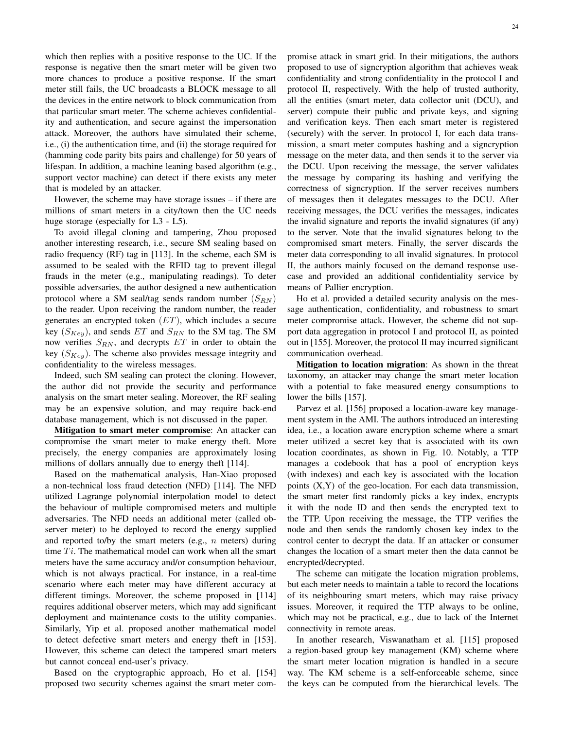which then replies with a positive response to the UC. If the response is negative then the smart meter will be given two more chances to produce a positive response. If the smart meter still fails, the UC broadcasts a BLOCK message to all the devices in the entire network to block communication from that particular smart meter. The scheme achieves confidentiality and authentication, and secure against the impersonation attack. Moreover, the authors have simulated their scheme, i.e., (i) the authentication time, and (ii) the storage required for (hamming code parity bits pairs and challenge) for 50 years of lifespan. In addition, a machine leaning based algorithm (e.g., support vector machine) can detect if there exists any meter that is modeled by an attacker.

However, the scheme may have storage issues – if there are millions of smart meters in a city/town then the UC needs huge storage (especially for L3 - L5).

To avoid illegal cloning and tampering, Zhou proposed another interesting research, i.e., secure SM sealing based on radio frequency (RF) tag in [113]. In the scheme, each SM is assumed to be sealed with the RFID tag to prevent illegal frauds in the meter (e.g., manipulating readings). To deter possible adversaries, the author designed a new authentication protocol where a SM seal/tag sends random number  $(S_{RN})$ to the reader. Upon receiving the random number, the reader generates an encrypted token  $(ET)$ , which includes a secure key  $(S_{Key})$ , and sends ET and  $S_{RN}$  to the SM tag. The SM now verifies  $S_{RN}$ , and decrypts  $ET$  in order to obtain the key  $(S_{Key})$ . The scheme also provides message integrity and confidentiality to the wireless messages.

Indeed, such SM sealing can protect the cloning. However, the author did not provide the security and performance analysis on the smart meter sealing. Moreover, the RF sealing may be an expensive solution, and may require back-end database management, which is not discussed in the paper.

Mitigation to smart meter compromise: An attacker can compromise the smart meter to make energy theft. More precisely, the energy companies are approximately losing millions of dollars annually due to energy theft [114].

Based on the mathematical analysis, Han-Xiao proposed a non-technical loss fraud detection (NFD) [114]. The NFD utilized Lagrange polynomial interpolation model to detect the behaviour of multiple compromised meters and multiple adversaries. The NFD needs an additional meter (called observer meter) to be deployed to record the energy supplied and reported to/by the smart meters (e.g.,  $n$  meters) during time  $Ti$ . The mathematical model can work when all the smart meters have the same accuracy and/or consumption behaviour, which is not always practical. For instance, in a real-time scenario where each meter may have different accuracy at different timings. Moreover, the scheme proposed in [114] requires additional observer meters, which may add significant deployment and maintenance costs to the utility companies. Similarly, Yip et al. proposed another mathematical model to detect defective smart meters and energy theft in [153]. However, this scheme can detect the tampered smart meters but cannot conceal end-user's privacy.

Based on the cryptographic approach, Ho et al. [154] proposed two security schemes against the smart meter compromise attack in smart grid. In their mitigations, the authors proposed to use of signcryption algorithm that achieves weak confidentiality and strong confidentiality in the protocol I and protocol II, respectively. With the help of trusted authority, all the entities (smart meter, data collector unit (DCU), and server) compute their public and private keys, and signing and verification keys. Then each smart meter is registered (securely) with the server. In protocol I, for each data transmission, a smart meter computes hashing and a signcryption message on the meter data, and then sends it to the server via the DCU. Upon receiving the message, the server validates the message by comparing its hashing and verifying the correctness of signcryption. If the server receives numbers of messages then it delegates messages to the DCU. After receiving messages, the DCU verifies the messages, indicates the invalid signature and reports the invalid signatures (if any) to the server. Note that the invalid signatures belong to the compromised smart meters. Finally, the server discards the meter data corresponding to all invalid signatures. In protocol II, the authors mainly focused on the demand response usecase and provided an additional confidentiality service by means of Pallier encryption.

Ho et al. provided a detailed security analysis on the message authentication, confidentiality, and robustness to smart meter compromise attack. However, the scheme did not support data aggregation in protocol I and protocol II, as pointed out in [155]. Moreover, the protocol II may incurred significant communication overhead.

Mitigation to location migration: As shown in the threat taxonomy, an attacker may change the smart meter location with a potential to fake measured energy consumptions to lower the bills [157].

Parvez et al. [156] proposed a location-aware key management system in the AMI. The authors introduced an interesting idea, i.e., a location aware encryption scheme where a smart meter utilized a secret key that is associated with its own location coordinates, as shown in Fig. 10. Notably, a TTP manages a codebook that has a pool of encryption keys (with indexes) and each key is associated with the location points (X,Y) of the geo-location. For each data transmission, the smart meter first randomly picks a key index, encrypts it with the node ID and then sends the encrypted text to the TTP. Upon receiving the message, the TTP verifies the node and then sends the randomly chosen key index to the control center to decrypt the data. If an attacker or consumer changes the location of a smart meter then the data cannot be encrypted/decrypted.

The scheme can mitigate the location migration problems, but each meter needs to maintain a table to record the locations of its neighbouring smart meters, which may raise privacy issues. Moreover, it required the TTP always to be online, which may not be practical, e.g., due to lack of the Internet connectivity in remote areas.

In another research, Viswanatham et al. [115] proposed a region-based group key management (KM) scheme where the smart meter location migration is handled in a secure way. The KM scheme is a self-enforceable scheme, since the keys can be computed from the hierarchical levels. The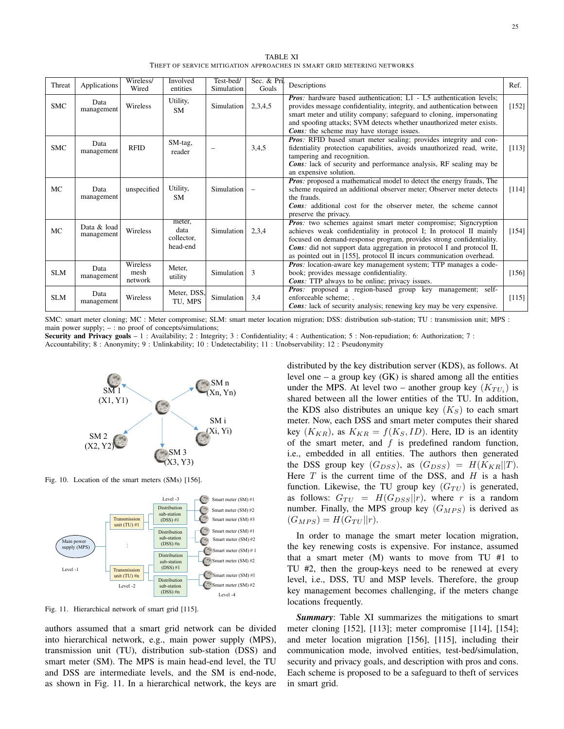TABLE XI THEFT OF SERVICE MITIGATION APPROACHES IN SMART GRID METERING NETWORKS

| Threat     | Applications              | Wireless/<br>Wired                 | <b>Involved</b><br>entities              | Test-bed/<br>Simulation | Sec. & Pri.<br>Goals | Descriptions                                                                                                                                                                                                                                                                                                                                                 | Ref.    |
|------------|---------------------------|------------------------------------|------------------------------------------|-------------------------|----------------------|--------------------------------------------------------------------------------------------------------------------------------------------------------------------------------------------------------------------------------------------------------------------------------------------------------------------------------------------------------------|---------|
| <b>SMC</b> | Data<br>management        | Wireless                           | Utility,<br><b>SM</b>                    | Simulation              | 2,3,4,5              | <b>Pros:</b> hardware based authentication; L1 - L5 authentication levels;<br>provides message confidentiality, integrity, and authentication between<br>smart meter and utility company; safeguard to cloning, impersonating<br>and spoofing attacks; SVM detects whether unauthorized meter exists.<br><b>Cons:</b> the scheme may have storage issues.    | $[152]$ |
| <b>SMC</b> | Data<br>management        | <b>RFID</b>                        | SM-tag,<br>reader                        |                         | 3,4,5                | <b>Pros:</b> RFID based smart meter sealing; provides integrity and con-<br>fidentiality protection capabilities, avoids unauthorized read, write,<br>tampering and recognition.<br><b>Cons:</b> lack of security and performance analysis, RF sealing may be<br>an expensive solution.                                                                      | [113]   |
| <b>MC</b>  | Data<br>management        | unspecified                        | Utility,<br><b>SM</b>                    | Simulation              |                      | <b>Pros:</b> proposed a mathematical model to detect the energy frauds, The<br>scheme required an additional observer meter; Observer meter detects<br>the frauds.<br><b>Cons:</b> additional cost for the observer meter, the scheme cannot<br>preserve the privacy.                                                                                        | [114]   |
| MC         | Data & load<br>management | Wireless                           | meter,<br>data<br>collector,<br>head-end | Simulation              | 2,3,4                | Pros: two schemes against smart meter compromise; Signcryption<br>achieves weak confidentiality in protocol I; In protocol II mainly<br>focused on demand-response program, provides strong confidentiality.<br>Cons: did not support data aggregation in protocol I and protocol II,<br>as pointed out in [155], protocol II incurs communication overhead. | [154]   |
| <b>SLM</b> | Data<br>management        | <b>Wireless</b><br>mesh<br>network | Meter.<br>utility                        | Simulation              | 3                    | <b>Pros:</b> location-aware key management system; TTP manages a code-<br>book; provides message confidentiality.<br><b>Cons:</b> TTP always to be online; privacy issues.                                                                                                                                                                                   | [156]   |
| <b>SLM</b> | Data<br>management        | Wireless                           | Meter, DSS,<br>TU, MPS                   | Simulation              | 3,4                  | Pros: proposed a region-based group key management; self-<br>enforceable scheme; .<br>Cons: lack of security analysis; renewing key may be very expensive.                                                                                                                                                                                                   | [115]   |

SMC: smart meter cloning; MC : Meter compromise; SLM: smart meter location migration; DSS: distribution sub-station; TU : transmission unit; MPS : main power supply; – : no proof of concepts/simulations;

Security and Privacy goals - 1 : Availability; 2 : Integrity; 3 : Confidentiality; 4 : Authentication; 5 : Non-repudiation; 6: Authorization; 7 :

Accountability; 8 : Anonymity; 9 : Unlinkability; 10 : Undetectability; 11 : Unobservability; 12 : Pseudonymity



Fig. 10. Location of the smart meters (SMs) [156].



Fig. 11. Hierarchical network of smart grid [115].

authors assumed that a smart grid network can be divided into hierarchical network, e.g., main power supply (MPS), transmission unit (TU), distribution sub-station (DSS) and smart meter (SM). The MPS is main head-end level, the TU and DSS are intermediate levels, and the SM is end-node, as shown in Fig. 11. In a hierarchical network, the keys are distributed by the key distribution server (KDS), as follows. At level one – a group key  $(GK)$  is shared among all the entities under the MPS. At level two – another group key  $(K_{TU_i})$  is shared between all the lower entities of the TU. In addition, the KDS also distributes an unique key  $(K<sub>S</sub>)$  to each smart meter. Now, each DSS and smart meter computes their shared key  $(K_{KR})$ , as  $K_{KR} = f(K_S, ID)$ . Here, ID is an identity of the smart meter, and  $f$  is predefined random function, i.e., embedded in all entities. The authors then generated the DSS group key  $(G_{DSS})$ , as  $(G_{DSS}) = H(K_{KR}||T)$ . Here  $T$  is the current time of the DSS, and  $H$  is a hash function. Likewise, the TU group key  $(G_{TU})$  is generated, as follows:  $G_{TU} = H(G_{DSS}||r)$ , where r is a random number. Finally, the MPS group key  $(G_{MPS})$  is derived as  $(G_{MPS}) = H(G_{TU} || r).$ 

In order to manage the smart meter location migration, the key renewing costs is expensive. For instance, assumed that a smart meter (M) wants to move from TU #1 to TU #2, then the group-keys need to be renewed at every level, i.e., DSS, TU and MSP levels. Therefore, the group key management becomes challenging, if the meters change locations frequently.

*Summary*: Table XI summarizes the mitigations to smart meter cloning [152], [113]; meter compromise [114], [154]; and meter location migration [156], [115], including their communication mode, involved entities, test-bed/simulation, security and privacy goals, and description with pros and cons. Each scheme is proposed to be a safeguard to theft of services in smart grid.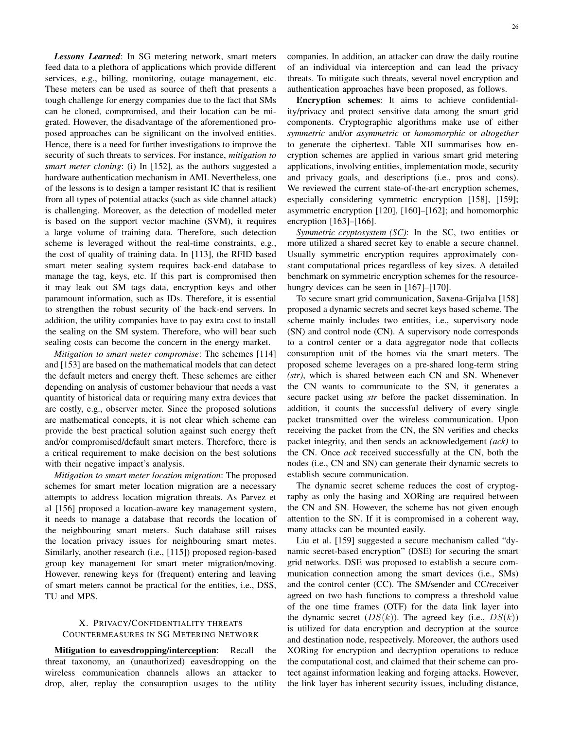*Lessons Learned*: In SG metering network, smart meters feed data to a plethora of applications which provide different services, e.g., billing, monitoring, outage management, etc. These meters can be used as source of theft that presents a tough challenge for energy companies due to the fact that SMs can be cloned, compromised, and their location can be migrated. However, the disadvantage of the aforementioned proposed approaches can be significant on the involved entities. Hence, there is a need for further investigations to improve the security of such threats to services. For instance, *mitigation to smart meter cloning*: (i) In [152], as the authors suggested a hardware authentication mechanism in AMI. Nevertheless, one of the lessons is to design a tamper resistant IC that is resilient from all types of potential attacks (such as side channel attack) is challenging. Moreover, as the detection of modelled meter is based on the support vector machine (SVM), it requires a large volume of training data. Therefore, such detection scheme is leveraged without the real-time constraints, e.g., the cost of quality of training data. In [113], the RFID based smart meter sealing system requires back-end database to manage the tag, keys, etc. If this part is compromised then it may leak out SM tags data, encryption keys and other paramount information, such as IDs. Therefore, it is essential to strengthen the robust security of the back-end servers. In addition, the utility companies have to pay extra cost to install the sealing on the SM system. Therefore, who will bear such sealing costs can become the concern in the energy market.

*Mitigation to smart meter compromise*: The schemes [114] and [153] are based on the mathematical models that can detect the default meters and energy theft. These schemes are either depending on analysis of customer behaviour that needs a vast quantity of historical data or requiring many extra devices that are costly, e.g., observer meter. Since the proposed solutions are mathematical concepts, it is not clear which scheme can provide the best practical solution against such energy theft and/or compromised/default smart meters. Therefore, there is a critical requirement to make decision on the best solutions with their negative impact's analysis.

*Mitigation to smart meter location migration*: The proposed schemes for smart meter location migration are a necessary attempts to address location migration threats. As Parvez et al [156] proposed a location-aware key management system, it needs to manage a database that records the location of the neighbouring smart meters. Such database still raises the location privacy issues for neighbouring smart metes. Similarly, another research (i.e., [115]) proposed region-based group key management for smart meter migration/moving. However, renewing keys for (frequent) entering and leaving of smart meters cannot be practical for the entities, i.e., DSS, TU and MPS.

# X. PRIVACY/CONFIDENTIALITY THREATS COUNTERMEASURES IN SG METERING NETWORK

Mitigation to eavesdropping/interception: Recall the threat taxonomy, an (unauthorized) eavesdropping on the wireless communication channels allows an attacker to drop, alter, replay the consumption usages to the utility companies. In addition, an attacker can draw the daily routine of an individual via interception and can lead the privacy threats. To mitigate such threats, several novel encryption and authentication approaches have been proposed, as follows.

Encryption schemes: It aims to achieve confidentiality/privacy and protect sensitive data among the smart grid components. Cryptographic algorithms make use of either *symmetric* and/or *asymmetric* or *homomorphic* or *altogether* to generate the ciphertext. Table XII summarises how encryption schemes are applied in various smart grid metering applications, involving entities, implementation mode, security and privacy goals, and descriptions (i.e., pros and cons). We reviewed the current state-of-the-art encryption schemes, especially considering symmetric encryption [158], [159]; asymmetric encryption [120], [160]–[162]; and homomorphic encryption [163]–[166].

*Symmetric cryptosystem (SC)*: In the SC, two entities or more utilized a shared secret key to enable a secure channel. Usually symmetric encryption requires approximately constant computational prices regardless of key sizes. A detailed benchmark on symmetric encryption schemes for the resourcehungry devices can be seen in [167]–[170].

To secure smart grid communication, Saxena-Grijalva [158] proposed a dynamic secrets and secret keys based scheme. The scheme mainly includes two entities, i.e., supervisory node (SN) and control node (CN). A supervisory node corresponds to a control center or a data aggregator node that collects consumption unit of the homes via the smart meters. The proposed scheme leverages on a pre-shared long-term string *(str)*, which is shared between each CN and SN. Whenever the CN wants to communicate to the SN, it generates a secure packet using *str* before the packet dissemination. In addition, it counts the successful delivery of every single packet transmitted over the wireless communication. Upon receiving the packet from the CN, the SN verifies and checks packet integrity, and then sends an acknowledgement *(ack)* to the CN. Once *ack* received successfully at the CN, both the nodes (i.e., CN and SN) can generate their dynamic secrets to establish secure communication.

The dynamic secret scheme reduces the cost of cryptography as only the hasing and XORing are required between the CN and SN. However, the scheme has not given enough attention to the SN. If it is compromised in a coherent way, many attacks can be mounted easily.

Liu et al. [159] suggested a secure mechanism called "dynamic secret-based encryption" (DSE) for securing the smart grid networks. DSE was proposed to establish a secure communication connection among the smart devices (i.e., SMs) and the control center (CC). The SM/sender and CC/receiver agreed on two hash functions to compress a threshold value of the one time frames (OTF) for the data link layer into the dynamic secret  $(DS(k))$ . The agreed key (i.e.,  $DS(k)$ ) is utilized for data encryption and decryption at the source and destination node, respectively. Moreover, the authors used XORing for encryption and decryption operations to reduce the computational cost, and claimed that their scheme can protect against information leaking and forging attacks. However, the link layer has inherent security issues, including distance,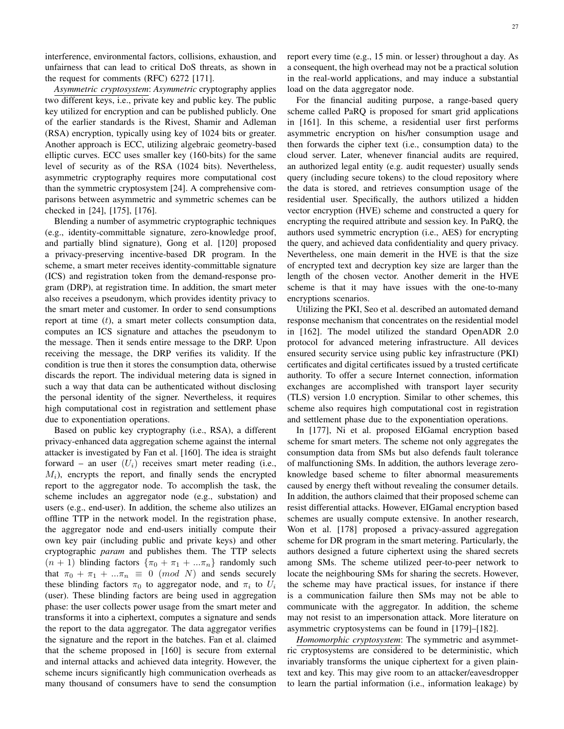interference, environmental factors, collisions, exhaustion, and unfairness that can lead to critical DoS threats, as shown in the request for comments (RFC) 6272 [171].

*Asymmetric cryptosystem*: *Asymmetric* cryptography applies two different keys, i.e., private key and public key. The public key utilized for encryption and can be published publicly. One of the earlier standards is the Rivest, Shamir and Adleman (RSA) encryption, typically using key of 1024 bits or greater. Another approach is ECC, utilizing algebraic geometry-based elliptic curves. ECC uses smaller key (160-bits) for the same level of security as of the RSA (1024 bits). Nevertheless, asymmetric cryptography requires more computational cost than the symmetric cryptosystem [24]. A comprehensive comparisons between asymmetric and symmetric schemes can be checked in [24], [175], [176].

Blending a number of asymmetric cryptographic techniques (e.g., identity-committable signature, zero-knowledge proof, and partially blind signature), Gong et al. [120] proposed a privacy-preserving incentive-based DR program. In the scheme, a smart meter receives identity-committable signature (ICS) and registration token from the demand-response program (DRP), at registration time. In addition, the smart meter also receives a pseudonym, which provides identity privacy to the smart meter and customer. In order to send consumptions report at time  $(t)$ , a smart meter collects consumption data, computes an ICS signature and attaches the pseudonym to the message. Then it sends entire message to the DRP. Upon receiving the message, the DRP verifies its validity. If the condition is true then it stores the consumption data, otherwise discards the report. The individual metering data is signed in such a way that data can be authenticated without disclosing the personal identity of the signer. Nevertheless, it requires high computational cost in registration and settlement phase due to exponentiation operations.

Based on public key cryptography (i.e., RSA), a different privacy-enhanced data aggregation scheme against the internal attacker is investigated by Fan et al. [160]. The idea is straight forward – an user  $(U_i)$  receives smart meter reading (i.e.,  $M_i$ ), encrypts the report, and finally sends the encrypted report to the aggregator node. To accomplish the task, the scheme includes an aggregator node (e.g., substation) and users (e.g., end-user). In addition, the scheme also utilizes an offline TTP in the network model. In the registration phase, the aggregator node and end-users initially compute their own key pair (including public and private keys) and other cryptographic *param* and publishes them. The TTP selects  $(n + 1)$  blinding factors  $\{\pi_0 + \pi_1 + ... \pi_n\}$  randomly such that  $\pi_0 + \pi_1 + ... \pi_n \equiv 0 \pmod{N}$  and sends securely these blinding factors  $\pi_0$  to aggregator node, and  $\pi_i$  to  $U_i$ (user). These blinding factors are being used in aggregation phase: the user collects power usage from the smart meter and transforms it into a ciphertext, computes a signature and sends the report to the data aggregator. The data aggregator verifies the signature and the report in the batches. Fan et al. claimed that the scheme proposed in [160] is secure from external and internal attacks and achieved data integrity. However, the scheme incurs significantly high communication overheads as many thousand of consumers have to send the consumption

report every time (e.g., 15 min. or lesser) throughout a day. As a consequent, the high overhead may not be a practical solution in the real-world applications, and may induce a substantial load on the data aggregator node.

For the financial auditing purpose, a range-based query scheme called PaRQ is proposed for smart grid applications in [161]. In this scheme, a residential user first performs asymmetric encryption on his/her consumption usage and then forwards the cipher text (i.e., consumption data) to the cloud server. Later, whenever financial audits are required, an authorized legal entity (e.g. audit requester) usually sends query (including secure tokens) to the cloud repository where the data is stored, and retrieves consumption usage of the residential user. Specifically, the authors utilized a hidden vector encryption (HVE) scheme and constructed a query for encrypting the required attribute and session key. In PaRQ, the authors used symmetric encryption (i.e., AES) for encrypting the query, and achieved data confidentiality and query privacy. Nevertheless, one main demerit in the HVE is that the size of encrypted text and decryption key size are larger than the length of the chosen vector. Another demerit in the HVE scheme is that it may have issues with the one-to-many encryptions scenarios.

Utilizing the PKI, Seo et al. described an automated demand response mechanism that concentrates on the residential model in [162]. The model utilized the standard OpenADR 2.0 protocol for advanced metering infrastructure. All devices ensured security service using public key infrastructure (PKI) certificates and digital certificates issued by a trusted certificate authority. To offer a secure Internet connection, information exchanges are accomplished with transport layer security (TLS) version 1.0 encryption. Similar to other schemes, this scheme also requires high computational cost in registration and settlement phase due to the exponentiation operations.

In [177], Ni et al. proposed EIGamal encryption based scheme for smart meters. The scheme not only aggregates the consumption data from SMs but also defends fault tolerance of malfunctioning SMs. In addition, the authors leverage zeroknowledge based scheme to filter abnormal measurements caused by energy theft without revealing the consumer details. In addition, the authors claimed that their proposed scheme can resist differential attacks. However, EIGamal encryption based schemes are usually compute extensive. In another research, Won et al. [178] proposed a privacy-assured aggregation scheme for DR program in the smart metering. Particularly, the authors designed a future ciphertext using the shared secrets among SMs. The scheme utilized peer-to-peer network to locate the neighbouring SMs for sharing the secrets. However, the scheme may have practical issues, for instance if there is a communication failure then SMs may not be able to communicate with the aggregator. In addition, the scheme may not resist to an impersonation attack. More literature on asymmetric cryptosystems can be found in [179]–[182].

*Homomorphic cryptosystem*: The symmetric and asymmetric cryptosystems are considered to be deterministic, which invariably transforms the unique ciphertext for a given plaintext and key. This may give room to an attacker/eavesdropper to learn the partial information (i.e., information leakage) by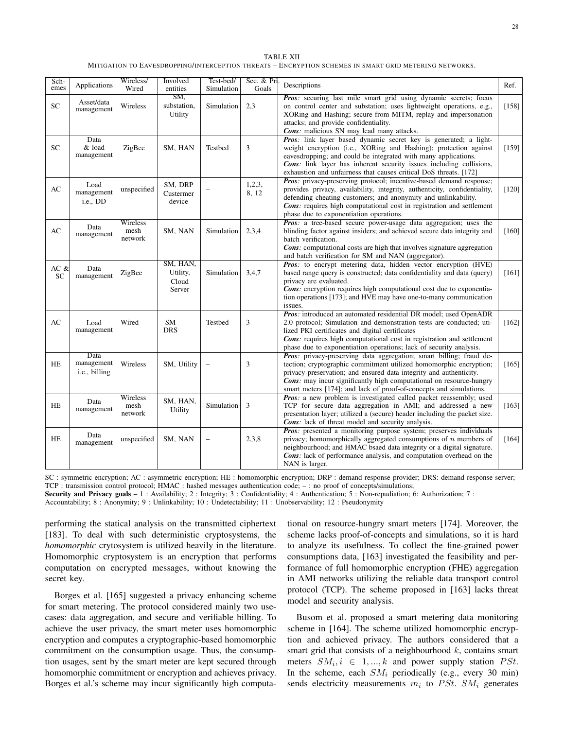| <b>TABLE XII</b>                                                                                       |
|--------------------------------------------------------------------------------------------------------|
| MITIGATION TO EAVESDROPPING/INTERCEPTION THREATS - ENCRYPTION SCHEMES IN SMART GRID METERING NETWORKS. |

| Sch-                   |                                     | Wireless/                   | Involved                                | Test-bed/                | Sec. & Pri.     |                                                                                                                                                                                                                                                                                                                                                                            |         |
|------------------------|-------------------------------------|-----------------------------|-----------------------------------------|--------------------------|-----------------|----------------------------------------------------------------------------------------------------------------------------------------------------------------------------------------------------------------------------------------------------------------------------------------------------------------------------------------------------------------------------|---------|
| emes                   | Applications                        | Wired                       | entities                                | Simulation               | Goals           | Descriptions                                                                                                                                                                                                                                                                                                                                                               | Ref.    |
| ${\rm SC}$             | Asset/data<br>management            | Wireless                    | SM.<br>substation,<br>Utility           | Simulation               | 2,3             | Pros: securing last mile smart grid using dynamic secrets; focus<br>on control center and substation; uses lightweight operations, e.g.,<br>XORing and Hashing; secure from MITM, replay and impersonation<br>attacks; and provide confidentiality.<br>Cons: malicious SN may lead many attacks.                                                                           | $[158]$ |
| <b>SC</b>              | Data<br>& load<br>management        | ZigBee                      | SM, HAN                                 | Testbed                  | 3               | Pros: link layer based dynamic secret key is generated; a light-<br>weight encryption (i.e., XORing and Hashing); protection against<br>eavesdropping; and could be integrated with many applications.<br>Cons: link layer has inherent security issues including collisions,<br>exhaustion and unfairness that causes critical DoS threats. [172]                         | [159]   |
| AC                     | Load<br>management<br>i.e., DD      | unspecified                 | SM, DRP<br>Custermer<br>device          | $\overline{\phantom{0}}$ | 1,2,3,<br>8, 12 | Pros: privacy-preserving protocol; incentive-based demand response;<br>provides privacy, availability, integrity, authenticity, confidentiality,<br>defending cheating customers; and anonymity and unlinkability.<br><b>Cons:</b> requires high computational cost in registration and settlement<br>phase due to exponentiation operations.                              | [120]   |
| $\mathbf{A}\mathbf{C}$ | Data<br>management                  | Wireless<br>mesh<br>network | SM, NAN                                 | Simulation               | 2,3,4           | Pros: a tree-based secure power-usage data aggregation; uses the<br>blinding factor against insiders; and achieved secure data integrity and<br>batch verification.<br><b>Cons:</b> computational costs are high that involves signature aggregation<br>and batch verification for SM and NAN (aggregator).                                                                | $[160]$ |
| AC &<br>SC             | Data<br>management                  | ZigBee                      | SM, HAN,<br>Utility,<br>Cloud<br>Server | Simulation               | 3,4,7           | Pros: to encrypt metering data, hidden vector encryption (HVE)<br>based range query is constructed; data confidentiality and data (query)<br>privacy are evaluated.<br><b>Cons:</b> encryption requires high computational cost due to exponentia-<br>tion operations [173]; and HVE may have one-to-many communication<br>issues.                                         | [161]   |
| AC                     | Load<br>management                  | Wired                       | <b>SM</b><br><b>DRS</b>                 | Testbed                  | 3               | Pros: introduced an automated residential DR model; used OpenADR<br>2.0 protocol; Simulation and demonstration tests are conducted; uti-<br>lized PKI certificates and digital certificates<br>Cons: requires high computational cost in registration and settlement<br>phase due to exponentiation operations; lack of security analysis.                                 | [162]   |
| HE                     | Data<br>management<br>i.e., billing | Wireless                    | SM, Utility                             | $\overline{\phantom{0}}$ | 3               | <b>Pros:</b> privacy-preserving data aggregation; smart billing; fraud de-<br>tection; cryptographic commitment utilized homomorphic encryption;<br>privacy-preservation; and ensured data integrity and authenticity.<br><b>Cons:</b> may incur significantly high computational on resource-hungry<br>smart meters [174]; and lack of proof-of-concepts and simulations. | [165]   |
| HE                     | Data<br>management                  | Wireless<br>mesh<br>network | SM, HAN,<br>Utility                     | Simulation               | 3               | Pros: a new problem is investigated called packet reassembly; used<br>TCP for secure data aggregation in AMI; and addressed a new<br>presentation layer; utilized a (secure) header including the packet size.<br><b>Cons:</b> lack of threat model and security analysis.                                                                                                 | $[163]$ |
| <b>HE</b>              | Data<br>management                  | unspecified                 | SM, NAN                                 | $\overline{\phantom{0}}$ | 2,3,8           | <b>Pros:</b> presented a monitoring purpose system; preserves individuals<br>privacy; homomorphically aggregated consumptions of $n$ members of<br>neighbourhood; and HMAC bsaed data integrity or a digital signature.<br><b>Cons</b> : lack of performance analysis, and computation overhead on the<br>NAN is larger.                                                   | [164]   |

SC : symmetric encryption; AC : asymmetric encryption; HE : homomorphic encryption; DRP : demand response provider; DRS: demand response server; TCP : transmission control protocol; HMAC : hashed messages authentication code; – : no proof of concepts/simulations;

Security and Privacy goals - 1 : Availability; 2 : Integrity; 3 : Confidentiality; 4 : Authentication; 5 : Non-repudiation; 6: Authorization; 7 :

Accountability; 8 : Anonymity; 9 : Unlinkability; 10 : Undetectability; 11 : Unobservability; 12 : Pseudonymity

performing the statical analysis on the transmitted ciphertext [183]. To deal with such deterministic cryptosystems, the *homomorphic* crytosystem is utilized heavily in the literature. Homomorphic cryptosystem is an encryption that performs computation on encrypted messages, without knowing the secret key.

Borges et al. [165] suggested a privacy enhancing scheme for smart metering. The protocol considered mainly two usecases: data aggregation, and secure and verifiable billing. To achieve the user privacy, the smart meter uses homomorphic encryption and computes a cryptographic-based homomorphic commitment on the consumption usage. Thus, the consumption usages, sent by the smart meter are kept secured through homomorphic commitment or encryption and achieves privacy. Borges et al.'s scheme may incur significantly high computational on resource-hungry smart meters [174]. Moreover, the scheme lacks proof-of-concepts and simulations, so it is hard to analyze its usefulness. To collect the fine-grained power consumptions data, [163] investigated the feasibility and performance of full homomorphic encryption (FHE) aggregation in AMI networks utilizing the reliable data transport control protocol (TCP). The scheme proposed in [163] lacks threat model and security analysis.

Busom et al. proposed a smart metering data monitoring scheme in [164]. The scheme utilized homomorphic encryption and achieved privacy. The authors considered that a smart grid that consists of a neighbourhood  $k$ , contains smart meters  $SM_i, i \in 1, ..., k$  and power supply station PSt. In the scheme, each  $SM_i$  periodically (e.g., every 30 min) sends electricity measurements  $m_i$  to PSt.  $SM_i$  generates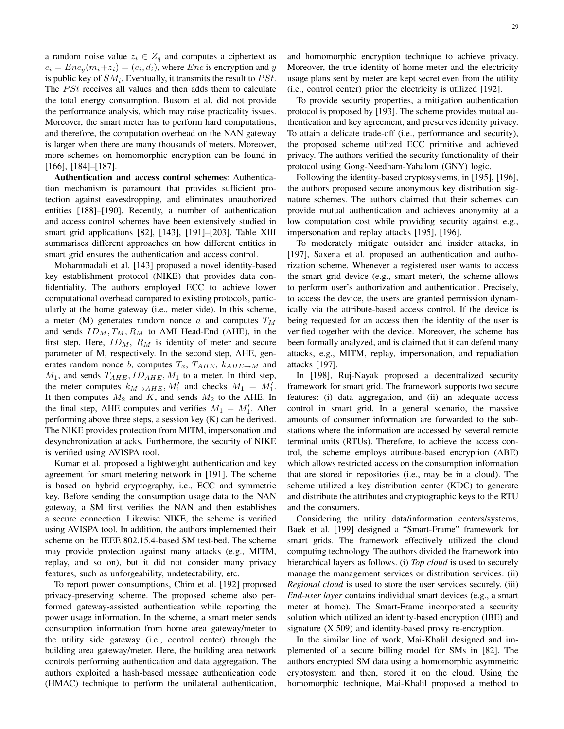a random noise value  $z_i \in Z_q$  and computes a ciphertext as  $c_i = Enc_y(m_i + z_i) = (c_i, d_i)$ , where *Enc* is encryption and *y* is public key of  $SM_i$ . Eventually, it transmits the result to  $PSt$ . The  $PSt$  receives all values and then adds them to calculate the total energy consumption. Busom et al. did not provide the performance analysis, which may raise practicality issues. Moreover, the smart meter has to perform hard computations, and therefore, the computation overhead on the NAN gateway is larger when there are many thousands of meters. Moreover, more schemes on homomorphic encryption can be found in [166], [184]–[187].

Authentication and access control schemes: Authentication mechanism is paramount that provides sufficient protection against eavesdropping, and eliminates unauthorized entities [188]–[190]. Recently, a number of authentication and access control schemes have been extensively studied in smart grid applications [82], [143], [191]–[203]. Table XIII summarises different approaches on how different entities in smart grid ensures the authentication and access control.

Mohammadali et al. [143] proposed a novel identity-based key establishment protocol (NIKE) that provides data confidentiality. The authors employed ECC to achieve lower computational overhead compared to existing protocols, particularly at the home gateway (i.e., meter side). In this scheme, a meter (M) generates random nonce a and computes  $T_M$ and sends  $ID_M, T_M, R_M$  to AMI Head-End (AHE), in the first step. Here,  $ID_M$ ,  $R_M$  is identity of meter and secure parameter of M, respectively. In the second step, AHE, generates random nonce b, computes  $T_x$ ,  $T_{AHE}$ ,  $k_{AHE\rightarrow M}$  and  $M_1$ , and sends  $T_{AHE}$ ,  $ID_{AHE}$ ,  $M_1$  to a meter. In third step, the meter computes  $k_{M\rightarrow AHE}$ ,  $M'_1$  and checks  $M_1 = M'_1$ . It then computes  $M_2$  and  $K$ , and sends  $M_2$  to the AHE. In the final step, AHE computes and verifies  $M_1 = M'_1$ . After performing above three steps, a session key (K) can be derived. The NIKE provides protection from MITM, impersonation and desynchronization attacks. Furthermore, the security of NIKE is verified using AVISPA tool.

Kumar et al. proposed a lightweight authentication and key agreement for smart metering network in [191]. The scheme is based on hybrid cryptography, i.e., ECC and symmetric key. Before sending the consumption usage data to the NAN gateway, a SM first verifies the NAN and then establishes a secure connection. Likewise NIKE, the scheme is verified using AVISPA tool. In addition, the authors implemented their scheme on the IEEE 802.15.4-based SM test-bed. The scheme may provide protection against many attacks (e.g., MITM, replay, and so on), but it did not consider many privacy features, such as unforgeability, undetectability, etc.

To report power consumptions, Chim et al. [192] proposed privacy-preserving scheme. The proposed scheme also performed gateway-assisted authentication while reporting the power usage information. In the scheme, a smart meter sends consumption information from home area gateway/meter to the utility side gateway (i.e., control center) through the building area gateway/meter. Here, the building area network controls performing authentication and data aggregation. The authors exploited a hash-based message authentication code (HMAC) technique to perform the unilateral authentication, and homomorphic encryption technique to achieve privacy. Moreover, the true identity of home meter and the electricity usage plans sent by meter are kept secret even from the utility (i.e., control center) prior the electricity is utilized [192].

To provide security properties, a mitigation authentication protocol is proposed by [193]. The scheme provides mutual authentication and key agreement, and preserves identity privacy. To attain a delicate trade-off (i.e., performance and security), the proposed scheme utilized ECC primitive and achieved privacy. The authors verified the security functionality of their protocol using Gong-Needham-Yahalom (GNY) logic.

Following the identity-based cryptosystems, in [195], [196], the authors proposed secure anonymous key distribution signature schemes. The authors claimed that their schemes can provide mutual authentication and achieves anonymity at a low computation cost while providing security against e.g., impersonation and replay attacks [195], [196].

To moderately mitigate outsider and insider attacks, in [197], Saxena et al. proposed an authentication and authorization scheme. Whenever a registered user wants to access the smart grid device (e.g., smart meter), the scheme allows to perform user's authorization and authentication. Precisely, to access the device, the users are granted permission dynamically via the attribute-based access control. If the device is being requested for an access then the identity of the user is verified together with the device. Moreover, the scheme has been formally analyzed, and is claimed that it can defend many attacks, e.g., MITM, replay, impersonation, and repudiation attacks [197].

In [198], Ruj-Nayak proposed a decentralized security framework for smart grid. The framework supports two secure features: (i) data aggregation, and (ii) an adequate access control in smart grid. In a general scenario, the massive amounts of consumer information are forwarded to the substations where the information are accessed by several remote terminal units (RTUs). Therefore, to achieve the access control, the scheme employs attribute-based encryption (ABE) which allows restricted access on the consumption information that are stored in repositories (i.e., may be in a cloud). The scheme utilized a key distribution center (KDC) to generate and distribute the attributes and cryptographic keys to the RTU and the consumers.

Considering the utility data/information centers/systems, Baek et al. [199] designed a "Smart-Frame" framework for smart grids. The framework effectively utilized the cloud computing technology. The authors divided the framework into hierarchical layers as follows. (i) *Top cloud* is used to securely manage the management services or distribution services. (ii) *Regional cloud* is used to store the user services securely. (iii) *End-user layer* contains individual smart devices (e.g., a smart meter at home). The Smart-Frame incorporated a security solution which utilized an identity-based encryption (IBE) and signature (X.509) and identity-based proxy re-encryption.

In the similar line of work, Mai-Khalil designed and implemented of a secure billing model for SMs in [82]. The authors encrypted SM data using a homomorphic asymmetric cryptosystem and then, stored it on the cloud. Using the homomorphic technique, Mai-Khalil proposed a method to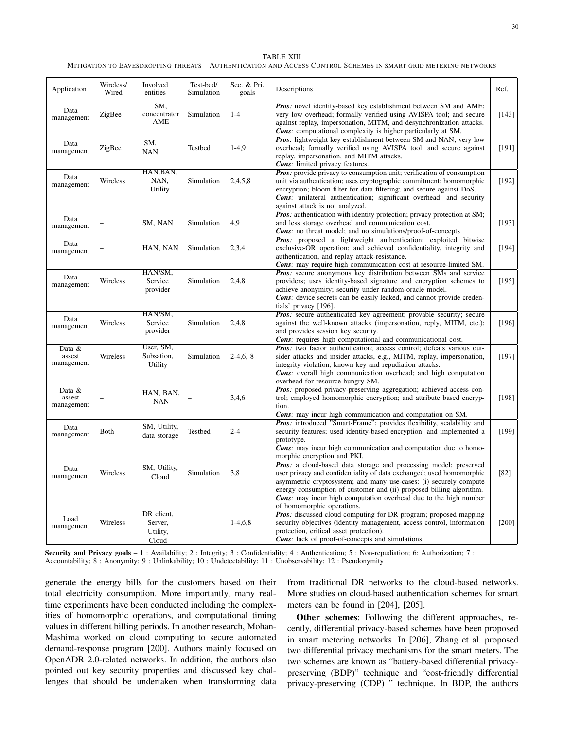| TABLE XIII                                                                                                      |
|-----------------------------------------------------------------------------------------------------------------|
| MITIGATION TO EAVESDROPPING THREATS – AUTHENTICATION AND ACCESS CONTROL SCHEMES IN SMART GRID METERING NETWORKS |

| Application                    | Wireless/<br>Wired | Involved<br>entities                       | Test-bed/<br>Simulation  | Sec. & Pri.<br>goals | Descriptions                                                                                                                                                                                                                                                                                                                                                                                  | Ref.    |
|--------------------------------|--------------------|--------------------------------------------|--------------------------|----------------------|-----------------------------------------------------------------------------------------------------------------------------------------------------------------------------------------------------------------------------------------------------------------------------------------------------------------------------------------------------------------------------------------------|---------|
| Data<br>management             | ZigBee             | SM,<br>concentrator<br>AME                 | Simulation               | $1 - 4$              | Pros: novel identity-based key establishment between SM and AME;<br>very low overhead; formally verified using AVISPA tool; and secure<br>against replay, impersonation, MITM, and desynchronization attacks.<br><b>Cons:</b> computational complexity is higher particularly at SM.                                                                                                          | [143]   |
| Data<br>management             | ZigBee             | SM,<br><b>NAN</b>                          | Testbed                  | $1-4.9$              | <b>Pros:</b> lightweight key establishment between SM and NAN; very low<br>overhead; formally verified using AVISPA tool; and secure against<br>replay, impersonation, and MITM attacks.<br>Cons: limited privacy features.                                                                                                                                                                   | [191]   |
| Data<br>management             | Wireless           | HAN, BAN,<br>NAN,<br>Utility               | Simulation               | 2,4,5,8              | Pros: provide privacy to consumption unit; verification of consumption<br>unit via authentication; uses cryptographic commitment; homomorphic<br>encryption; bloom filter for data filtering; and secure against DoS.<br><b>Cons:</b> unilateral authentication; significant overhead; and security<br>against attack is not analyzed.                                                        | [192]   |
| Data<br>management             |                    | SM, NAN                                    | Simulation               | 4.9                  | <b>Pros</b> : authentication with identity protection; privacy protection at SM;<br>and less storage overhead and communication cost.<br><b>Cons:</b> no threat model; and no simulations/proof-of-concepts                                                                                                                                                                                   | [193]   |
| Data<br>management             |                    | HAN, NAN                                   | Simulation               | 2,3,4                | <b>Pros:</b> proposed a lightweight authentication; exploited bitwise<br>exclusive-OR operation; and achieved confidentiality, integrity and<br>authentication, and replay attack-resistance.<br><b>Cons</b> : may require high communication cost at resource-limited SM.                                                                                                                    | [194]   |
| Data<br>management             | Wireless           | HAN/SM,<br>Service<br>provider             | Simulation               | 2,4,8                | <b>Pros:</b> secure anonymous key distribution between SMs and service<br>providers; uses identity-based signature and encryption schemes to<br>achieve anonymity; security under random-oracle model.<br><b>Cons</b> : device secrets can be easily leaked, and cannot provide creden-<br>tials' privacy [196].                                                                              | [195]   |
| Data<br>management             | Wireless           | HAN/SM,<br>Service<br>provider             | Simulation               | 2,4,8                | Pros: secure authenticated key agreement; provable security; secure<br>against the well-known attacks (impersonation, reply, MITM, etc.);<br>and provides session key security.<br><b>Cons:</b> requires high computational and communicational cost.                                                                                                                                         | $[196]$ |
| Data &<br>assest<br>management | Wireless           | User, SM,<br>Subsation,<br>Utility         | Simulation               | $2-4,6,8$            | <b>Pros:</b> two factor authentication; access control; defeats various out-<br>sider attacks and insider attacks, e.g., MITM, replay, impersonation,<br>integrity violation, known key and repudiation attacks.<br><b>Cons:</b> overall high communication overhead; and high computation<br>overhead for resource-hungry SM.                                                                | [197]   |
| Data &<br>assest<br>management |                    | HAN, BAN,<br><b>NAN</b>                    |                          | 3,4,6                | Pros: proposed privacy-preserving aggregation; achieved access con-<br>trol; employed homomorphic encryption; and attribute based encryp-<br>tion.<br>Cons: may incur high communication and computation on SM.                                                                                                                                                                               | [198]   |
| Data<br>management             | Both               | SM, Utility,<br>data storage               | Testbed                  | $2 - 4$              | Pros: introduced "Smart-Frame"; provides flexibility, scalability and<br>security features; used identity-based encryption; and implemented a<br>prototype.<br><b>Cons:</b> may incur high communication and computation due to homo-<br>morphic encryption and PKI.                                                                                                                          | [199]   |
| Data<br>management             | Wireless           | SM, Utility,<br>Cloud                      | Simulation               | 3,8                  | Pros: a cloud-based data storage and processing model; preserved<br>user privacy and confidentiality of data exchanged; used homomorphic<br>asymmetric cryptosystem; and many use-cases: (i) securely compute<br>energy consumption of customer and (ii) proposed billing algorithm.<br><b>Cons:</b> may incur high computation overhead due to the high number<br>of homomorphic operations. | $[82]$  |
| Load<br>management             | Wireless           | DR client,<br>Server,<br>Utility,<br>Cloud | $\overline{\phantom{0}}$ | $1-4,6,8$            | <b>Pros:</b> discussed cloud computing for DR program; proposed mapping<br>security objectives (identity management, access control, information<br>protection, critical asset protection).<br><b>Cons:</b> lack of proof-of-concepts and simulations.                                                                                                                                        | $[200]$ |

Security and Privacy goals - 1 : Availability; 2 : Integrity; 3 : Confidentiality; 4 : Authentication; 5 : Non-repudiation; 6: Authorization; 7 : Accountability; 8 : Anonymity; 9 : Unlinkability; 10 : Undetectability; 11 : Unobservability; 12 : Pseudonymity

generate the energy bills for the customers based on their total electricity consumption. More importantly, many realtime experiments have been conducted including the complexities of homomorphic operations, and computational timing values in different billing periods. In another research, Mohan-Mashima worked on cloud computing to secure automated demand-response program [200]. Authors mainly focused on OpenADR 2.0-related networks. In addition, the authors also pointed out key security properties and discussed key challenges that should be undertaken when transforming data

from traditional DR networks to the cloud-based networks. More studies on cloud-based authentication schemes for smart meters can be found in [204], [205].

Other schemes: Following the different approaches, recently, differential privacy-based schemes have been proposed in smart metering networks. In [206], Zhang et al. proposed two differential privacy mechanisms for the smart meters. The two schemes are known as "battery-based differential privacypreserving (BDP)" technique and "cost-friendly differential privacy-preserving (CDP) " technique. In BDP, the authors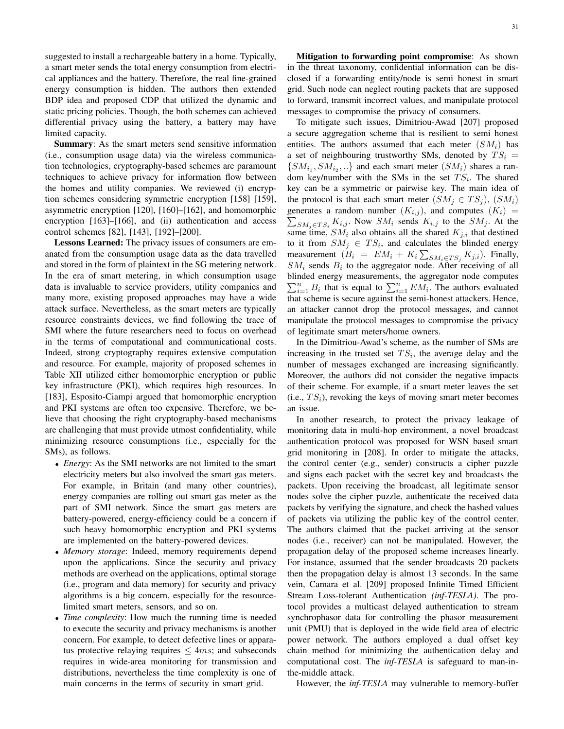suggested to install a rechargeable battery in a home. Typically, a smart meter sends the total energy consumption from electrical appliances and the battery. Therefore, the real fine-grained energy consumption is hidden. The authors then extended BDP idea and proposed CDP that utilized the dynamic and static pricing policies. Though, the both schemes can achieved differential privacy using the battery, a battery may have limited capacity.

Summary: As the smart meters send sensitive information (i.e., consumption usage data) via the wireless communication technologies, cryptography-based schemes are paramount techniques to achieve privacy for information flow between the homes and utility companies. We reviewed (i) encryption schemes considering symmetric encryption [158] [159], asymmetric encryption [120], [160]–[162], and homomorphic encryption [163]–[166], and (ii) authentication and access control schemes [82], [143], [192]–[200].

Lessons Learned: The privacy issues of consumers are emanated from the consumption usage data as the data travelled and stored in the form of plaintext in the SG metering network. In the era of smart metering, in which consumption usage data is invaluable to service providers, utility companies and many more, existing proposed approaches may have a wide attack surface. Nevertheless, as the smart meters are typically resource constraints devices, we find following the trace of SMI where the future researchers need to focus on overhead in the terms of computational and communicational costs. Indeed, strong cryptography requires extensive computation and resource. For example, majority of proposed schemes in Table XII utilized either homomorphic encryption or public key infrastructure (PKI), which requires high resources. In [183], Esposito-Ciampi argued that homomorphic encryption and PKI systems are often too expensive. Therefore, we believe that choosing the right cryptography-based mechanisms are challenging that must provide utmost confidentiality, while minimizing resource consumptions (i.e., especially for the SMs), as follows.

- *Energy*: As the SMI networks are not limited to the smart electricity meters but also involved the smart gas meters. For example, in Britain (and many other countries), energy companies are rolling out smart gas meter as the part of SMI network. Since the smart gas meters are battery-powered, energy-efficiency could be a concern if such heavy homomorphic encryption and PKI systems are implemented on the battery-powered devices.
- *Memory storage*: Indeed, memory requirements depend upon the applications. Since the security and privacy methods are overhead on the applications, optimal storage (i.e., program and data memory) for security and privacy algorithms is a big concern, especially for the resourcelimited smart meters, sensors, and so on.
- *Time complexity*: How much the running time is needed to execute the security and privacy mechanisms is another concern. For example, to detect defective lines or apparatus protective relaying requires  $\leq 4ms$ ; and subseconds requires in wide-area monitoring for transmission and distributions, nevertheless the time complexity is one of main concerns in the terms of security in smart grid.

Mitigation to forwarding point compromise: As shown in the threat taxonomy, confidential information can be disclosed if a forwarding entity/node is semi honest in smart grid. Such node can neglect routing packets that are supposed to forward, transmit incorrect values, and manipulate protocol messages to compromise the privacy of consumers.

To mitigate such issues, Dimitriou-Awad [207] proposed a secure aggregation scheme that is resilient to semi honest entities. The authors assumed that each meter  $(SM_i)$  has a set of neighbouring trustworthy SMs, denoted by  $TS_i$  =  $\{SM_{i_1}, SM_{i_2}, ...\}$  and each smart meter  $(SM_i)$  shares a random key/number with the SMs in the set  $TS_i$ . The shared key can be a symmetric or pairwise key. The main idea of the protocol is that each smart meter  $(SM_j \in TS_j)$ ,  $(SM_i)$ generates a random number  $(K_{i,j})$ , and computes  $(K_i)$  =  $\sum_{SM_j \in TS_i} K_{i,j}$ . Now  $SM_i$  sends  $K_{i,j}$  to the  $SM_j$ . At the same time,  $SM_i$  also obtains all the shared  $K_{j,i}$  that destined to it from  $SM_j \in TS_i$ , and calculates the blinded energy measurement  $(B_i = EM_i + K_i \sum_{SM_i \in TS_j} K_{j,i})$ . Finally,  $SM_i$  sends  $B_i$  to the aggregator node. After receiving of all blinded energy measurements, the aggregator node computes  $\sum_{i=1}^{n} B_i$  that is equal to  $\sum_{i=1}^{n} EM_i$ . The authors evaluated that scheme is secure against the semi-honest attackers. Hence, an attacker cannot drop the protocol messages, and cannot manipulate the protocol messages to compromise the privacy of legitimate smart meters/home owners.

In the Dimitriou-Awad's scheme, as the number of SMs are increasing in the trusted set  $TS_i$ , the average delay and the number of messages exchanged are increasing significantly. Moreover, the authors did not consider the negative impacts of their scheme. For example, if a smart meter leaves the set (i.e.,  $TS_i$ ), revoking the keys of moving smart meter becomes an issue.

In another research, to protect the privacy leakage of monitoring data in multi-hop environment, a novel broadcast authentication protocol was proposed for WSN based smart grid monitoring in [208]. In order to mitigate the attacks, the control center (e.g., sender) constructs a cipher puzzle and signs each packet with the secret key and broadcasts the packets. Upon receiving the broadcast, all legitimate sensor nodes solve the cipher puzzle, authenticate the received data packets by verifying the signature, and check the hashed values of packets via utilizing the public key of the control center. The authors claimed that the packet arriving at the sensor nodes (i.e., receiver) can not be manipulated. However, the propagation delay of the proposed scheme increases linearly. For instance, assumed that the sender broadcasts 20 packets then the propagation delay is almost 13 seconds. In the same vein, Camara et al. [209] proposed Infinite Timed Efficient Stream Loss-tolerant Authentication *(inf-TESLA)*. The protocol provides a multicast delayed authentication to stream synchrophasor data for controlling the phasor measurement unit (PMU) that is deployed in the wide field area of electric power network. The authors employed a dual offset key chain method for minimizing the authentication delay and computational cost. The *inf-TESLA* is safeguard to man-inthe-middle attack.

However, the *inf-TESLA* may vulnerable to memory-buffer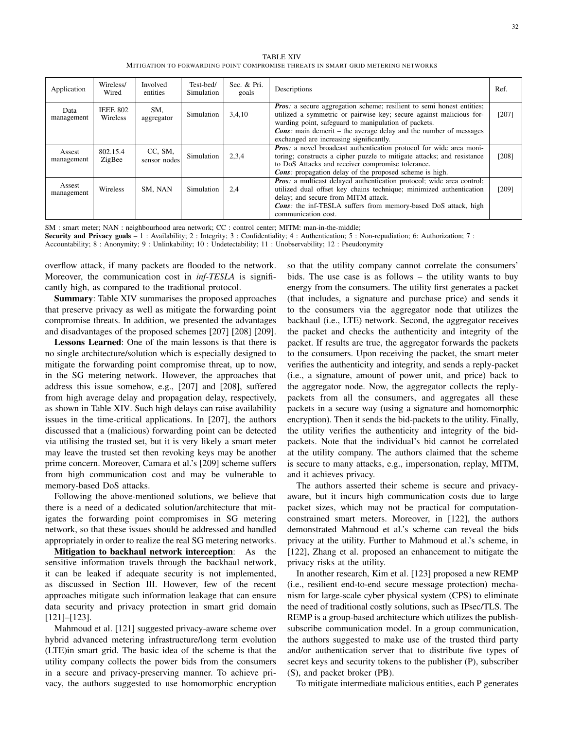TABLE XIV MITIGATION TO FORWARDING POINT COMPROMISE THREATS IN SMART GRID METERING NETWORKS

| Application          | Wireless/<br>Wired          | Involved<br>entities    | Test-bed/<br>Simulation | Sec. & Pri.<br>goals | Descriptions                                                                                                                                                                                                                                                                                                                       | Ref.    |
|----------------------|-----------------------------|-------------------------|-------------------------|----------------------|------------------------------------------------------------------------------------------------------------------------------------------------------------------------------------------------------------------------------------------------------------------------------------------------------------------------------------|---------|
| Data<br>management   | <b>IEEE 802</b><br>Wireless | SM.<br>aggregator       | 3,4,10<br>Simulation    |                      | <i>Pros:</i> a secure aggregation scheme; resilient to semi honest entities;<br>utilized a symmetric or pairwise key; secure against malicious for-<br>warding point, safeguard to manipulation of packets.<br><b>Cons:</b> main demerit – the average delay and the number of messages<br>exchanged are increasing significantly. | $[207]$ |
| Assest<br>management | 802.15.4<br>ZigBee          | CC, SM,<br>sensor nodes | Simulation              | 2,3,4                | <b>Pros</b> : a novel broadcast authentication protocol for wide area moni-<br>toring; constructs a cipher puzzle to mitigate attacks; and resistance<br>to DoS Attacks and receiver compromise tolerance.<br><b>Cons</b> : propagation delay of the proposed scheme is high.                                                      | [208]   |
| Assest<br>management | Wireless                    | SM. NAN                 | Simulation              | 2.4                  | <b>Pros</b> : a multicast delayed authentication protocol; wide area control;<br>utilized dual offset key chains technique; minimized authentication<br>delay; and secure from MITM attack.<br><b>Cons:</b> the inf-TESLA suffers from memory-based DoS attack, high<br>communication cost.                                        | [209]   |

SM : smart meter; NAN : neighbourhood area network; CC : control center; MITM: man-in-the-middle;

Security and Privacy goals  $-1$ : Availability; 2: Integrity; 3: Confidentiality; 4: Authentication; 5: Non-repudiation; 6: Authorization; 7:

Accountability; 8 : Anonymity; 9 : Unlinkability; 10 : Undetectability; 11 : Unobservability; 12 : Pseudonymity

overflow attack, if many packets are flooded to the network. Moreover, the communication cost in *inf-TESLA* is significantly high, as compared to the traditional protocol.

Summary: Table XIV summarises the proposed approaches that preserve privacy as well as mitigate the forwarding point compromise threats. In addition, we presented the advantages and disadvantages of the proposed schemes [207] [208] [209].

Lessons Learned: One of the main lessons is that there is no single architecture/solution which is especially designed to mitigate the forwarding point compromise threat, up to now, in the SG metering network. However, the approaches that address this issue somehow, e.g., [207] and [208], suffered from high average delay and propagation delay, respectively, as shown in Table XIV. Such high delays can raise availability issues in the time-critical applications. In [207], the authors discussed that a (malicious) forwarding point can be detected via utilising the trusted set, but it is very likely a smart meter may leave the trusted set then revoking keys may be another prime concern. Moreover, Camara et al.'s [209] scheme suffers from high communication cost and may be vulnerable to memory-based DoS attacks.

Following the above-mentioned solutions, we believe that there is a need of a dedicated solution/architecture that mitigates the forwarding point compromises in SG metering network, so that these issues should be addressed and handled appropriately in order to realize the real SG metering networks.

Mitigation to backhaul network interception: As the sensitive information travels through the backhaul network, it can be leaked if adequate security is not implemented, as discussed in Section III. However, few of the recent approaches mitigate such information leakage that can ensure data security and privacy protection in smart grid domain [121]–[123].

Mahmoud et al. [121] suggested privacy-aware scheme over hybrid advanced metering infrastructure/long term evolution (LTE)in smart grid. The basic idea of the scheme is that the utility company collects the power bids from the consumers in a secure and privacy-preserving manner. To achieve privacy, the authors suggested to use homomorphic encryption so that the utility company cannot correlate the consumers' bids. The use case is as follows – the utility wants to buy energy from the consumers. The utility first generates a packet (that includes, a signature and purchase price) and sends it to the consumers via the aggregator node that utilizes the backhaul (i.e., LTE) network. Second, the aggregator receives the packet and checks the authenticity and integrity of the packet. If results are true, the aggregator forwards the packets to the consumers. Upon receiving the packet, the smart meter verifies the authenticity and integrity, and sends a reply-packet (i.e., a signature, amount of power unit, and price) back to the aggregator node. Now, the aggregator collects the replypackets from all the consumers, and aggregates all these packets in a secure way (using a signature and homomorphic encryption). Then it sends the bid-packets to the utility. Finally, the utility verifies the authenticity and integrity of the bidpackets. Note that the individual's bid cannot be correlated at the utility company. The authors claimed that the scheme is secure to many attacks, e.g., impersonation, replay, MITM, and it achieves privacy.

The authors asserted their scheme is secure and privacyaware, but it incurs high communication costs due to large packet sizes, which may not be practical for computationconstrained smart meters. Moreover, in [122], the authors demonstrated Mahmoud et al.'s scheme can reveal the bids privacy at the utility. Further to Mahmoud et al.'s scheme, in [122], Zhang et al. proposed an enhancement to mitigate the privacy risks at the utility.

In another research, Kim et al. [123] proposed a new REMP (i.e., resilient end-to-end secure message protection) mechanism for large-scale cyber physical system (CPS) to eliminate the need of traditional costly solutions, such as IPsec/TLS. The REMP is a group-based architecture which utilizes the publishsubscribe communication model. In a group communication, the authors suggested to make use of the trusted third party and/or authentication server that to distribute five types of secret keys and security tokens to the publisher (P), subscriber (S), and packet broker (PB).

To mitigate intermediate malicious entities, each P generates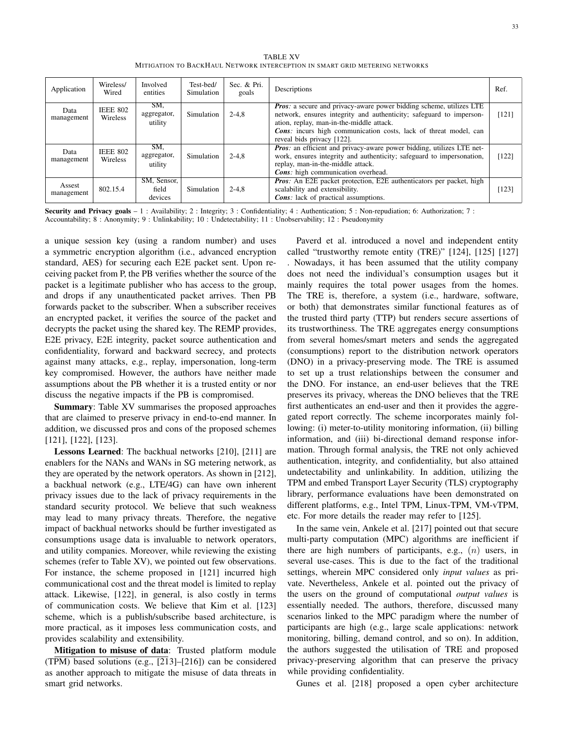TABLE XV MITIGATION TO BACKHAUL NETWORK INTERCEPTION IN SMART GRID METERING NETWORKS

| Application          | Wireless/<br>Wired          | Involved<br>entities            | Test-bed/<br>Simulation | Sec. & Pri.<br>goals | Descriptions                                                                                                                                                                                                                                                                             | Ref.  |
|----------------------|-----------------------------|---------------------------------|-------------------------|----------------------|------------------------------------------------------------------------------------------------------------------------------------------------------------------------------------------------------------------------------------------------------------------------------------------|-------|
| Data<br>management   | <b>IEEE 802</b><br>Wireless | SM,<br>aggregator,<br>utility   | Simulation              | $2 - 4.8$            | Pros: a secure and privacy-aware power bidding scheme, utilizes LTE<br>network, ensures integrity and authenticity; safeguard to imperson-<br>ation, replay, man-in-the-middle attack.<br>Cons: incurs high communication costs, lack of threat model, can<br>reveal bids privacy [122]. | [121] |
| Data<br>management   | <b>IEEE 802</b><br>Wireless | SM,<br>aggregator,<br>utility   | Simulation              | $2 - 4.8$            | <b>Pros:</b> an efficient and privacy-aware power bidding, utilizes LTE net-<br>work, ensures integrity and authenticity; safeguard to impersonation,<br>replay, man-in-the-middle attack.<br><b>Cons</b> : high communication overhead.                                                 | [122] |
| Assest<br>management | 802.15.4                    | SM, Sensor,<br>field<br>devices | Simulation              | $2 - 4.8$            | <b>Pros:</b> An E2E packet protection, E2E authenticators per packet, high<br>scalability and extensibility.<br><b>Cons</b> : lack of practical assumptions.                                                                                                                             | [123] |

Security and Privacy goals - 1 : Availability; 2 : Integrity; 3 : Confidentiality; 4 : Authentication; 5 : Non-repudiation; 6: Authorization; 7 : Accountability; 8 : Anonymity; 9 : Unlinkability; 10 : Undetectability; 11 : Unobservability; 12 : Pseudonymity

a unique session key (using a random number) and uses a symmetric encryption algorithm (i.e., advanced encryption standard, AES) for securing each E2E packet sent. Upon receiving packet from P, the PB verifies whether the source of the packet is a legitimate publisher who has access to the group, and drops if any unauthenticated packet arrives. Then PB forwards packet to the subscriber. When a subscriber receives an encrypted packet, it verifies the source of the packet and decrypts the packet using the shared key. The REMP provides, E2E privacy, E2E integrity, packet source authentication and confidentiality, forward and backward secrecy, and protects against many attacks, e.g., replay, impersonation, long-term key compromised. However, the authors have neither made assumptions about the PB whether it is a trusted entity or nor discuss the negative impacts if the PB is compromised.

Summary: Table XV summarises the proposed approaches that are claimed to preserve privacy in end-to-end manner. In addition, we discussed pros and cons of the proposed schemes [121], [122], [123].

Lessons Learned: The backhual networks [210], [211] are enablers for the NANs and WANs in SG metering network, as they are operated by the network operators. As shown in [212], a backhual network (e.g., LTE/4G) can have own inherent privacy issues due to the lack of privacy requirements in the standard security protocol. We believe that such weakness may lead to many privacy threats. Therefore, the negative impact of backhual networks should be further investigated as consumptions usage data is invaluable to network operators, and utility companies. Moreover, while reviewing the existing schemes (refer to Table XV), we pointed out few observations. For instance, the scheme proposed in [121] incurred high communicational cost and the threat model is limited to replay attack. Likewise, [122], in general, is also costly in terms of communication costs. We believe that Kim et al. [123] scheme, which is a publish/subscribe based architecture, is more practical, as it imposes less communication costs, and provides scalability and extensibility.

Mitigation to misuse of data: Trusted platform module (TPM) based solutions (e.g., [213]–[216]) can be considered as another approach to mitigate the misuse of data threats in smart grid networks.

Paverd et al. introduced a novel and independent entity called "trustworthy remote entity (TRE)" [124], [125] [127] . Nowadays, it has been assumed that the utility company does not need the individual's consumption usages but it mainly requires the total power usages from the homes. The TRE is, therefore, a system (i.e., hardware, software, or both) that demonstrates similar functional features as of the trusted third party (TTP) but renders secure assertions of its trustworthiness. The TRE aggregates energy consumptions from several homes/smart meters and sends the aggregated (consumptions) report to the distribution network operators (DNO) in a privacy-preserving mode. The TRE is assumed to set up a trust relationships between the consumer and the DNO. For instance, an end-user believes that the TRE preserves its privacy, whereas the DNO believes that the TRE first authenticates an end-user and then it provides the aggregated report correctly. The scheme incorporates mainly following: (i) meter-to-utility monitoring information, (ii) billing information, and (iii) bi-directional demand response information. Through formal analysis, the TRE not only achieved authentication, integrity, and confidentiality, but also attained undetectability and unlinkability. In addition, utilizing the TPM and embed Transport Layer Security (TLS) cryptography library, performance evaluations have been demonstrated on different platforms, e.g., Intel TPM, Linux-TPM, VM-vTPM, etc. For more details the reader may refer to [125].

In the same vein, Ankele et al. [217] pointed out that secure multi-party computation (MPC) algorithms are inefficient if there are high numbers of participants, e.g.,  $(n)$  users, in several use-cases. This is due to the fact of the traditional settings, wherein MPC considered only *input values* as private. Nevertheless, Ankele et al. pointed out the privacy of the users on the ground of computational *output values* is essentially needed. The authors, therefore, discussed many scenarios linked to the MPC paradigm where the number of participants are high (e.g., large scale applications: network monitoring, billing, demand control, and so on). In addition, the authors suggested the utilisation of TRE and proposed privacy-preserving algorithm that can preserve the privacy while providing confidentiality.

Gunes et al. [218] proposed a open cyber architecture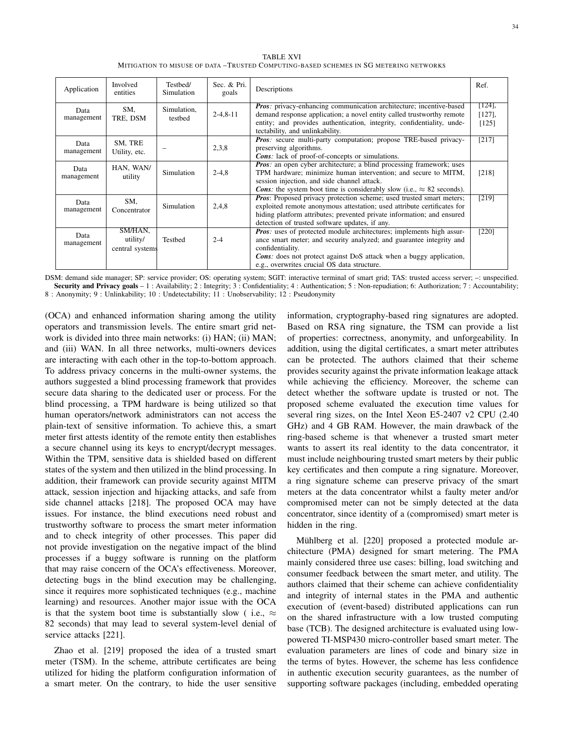TABLE XVI MITIGATION TO MISUSE OF DATA –TRUSTED COMPUTING-BASED SCHEMES IN SG METERING NETWORKS

| Application        | Involved<br>entities                   | Testbed/<br>Simulation | Sec. & Pri.<br>goals                                                                                                                                                                                                                                                                | Descriptions                                                                                                                                                                                                                                                                                          | Ref.                            |
|--------------------|----------------------------------------|------------------------|-------------------------------------------------------------------------------------------------------------------------------------------------------------------------------------------------------------------------------------------------------------------------------------|-------------------------------------------------------------------------------------------------------------------------------------------------------------------------------------------------------------------------------------------------------------------------------------------------------|---------------------------------|
| Data<br>management | SM,<br>TRE, DSM                        | Simulation,<br>testbed | <b>Pros:</b> privacy-enhancing communication architecture; incentive-based<br>$2 - 4, 8 - 11$<br>demand response application; a novel entity called trustworthy remote<br>entity; and provides authentication, integrity, confidentiality, unde-<br>tectability, and unlinkability. |                                                                                                                                                                                                                                                                                                       | $[124]$ ,<br>$[127]$ ,<br>[125] |
| Data<br>management | SM, TRE<br>Utility, etc.               |                        | <b>Pros:</b> secure multi-party computation; propose TRE-based privacy-<br>2,3,8<br>preserving algorithms.<br><b>Cons</b> : lack of proof-of-concepts or simulations.                                                                                                               |                                                                                                                                                                                                                                                                                                       | [217]                           |
| Data<br>management | HAN, WAN/<br>utility                   | Simulation             | $2-4,8$                                                                                                                                                                                                                                                                             | <b>Pros:</b> an open cyber architecture; a blind processing framework; uses<br>TPM hardware; minimize human intervention; and secure to MITM,<br>session injection, and side channel attack.<br><b>Cons:</b> the system boot time is considerably slow (i.e., $\approx 82$ seconds).                  |                                 |
| Data<br>management | SM.<br>Concentrator                    | <b>Simulation</b>      | 2,4,8                                                                                                                                                                                                                                                                               | <b>Pros:</b> Proposed privacy protection scheme; used trusted smart meters;<br>exploited remote anonymous attestation; used attribute certificates for<br>hiding platform attributes; prevented private information; and ensured<br>detection of trusted software updates, if any.                    |                                 |
| Data<br>management | SM/HAN,<br>utility/<br>central systems | Testbed                | $2 - 4$                                                                                                                                                                                                                                                                             | <b>Pros:</b> uses of protected module architectures; implements high assur-<br>ance smart meter; and security analyzed; and guarantee integrity and<br>confidentiality.<br><b>Cons</b> : does not protect against DoS attack when a buggy application,<br>e.g., overwrites crucial OS data structure. | [220]                           |

DSM: demand side manager; SP: service provider; OS: operating system; SGIT: interactive terminal of smart grid; TAS: trusted access server; –: unspecified. Security and Privacy goals - 1 : Availability; 2 : Integrity; 3 : Confidentiality; 4 : Authentication; 5 : Non-repudiation; 6: Authorization; 7 : Accountability; 8 : Anonymity; 9 : Unlinkability; 10 : Undetectability; 11 : Unobservability; 12 : Pseudonymity

(OCA) and enhanced information sharing among the utility operators and transmission levels. The entire smart grid network is divided into three main networks: (i) HAN; (ii) MAN; and (iii) WAN. In all three networks, multi-owners devices are interacting with each other in the top-to-bottom approach. To address privacy concerns in the multi-owner systems, the authors suggested a blind processing framework that provides secure data sharing to the dedicated user or process. For the blind processing, a TPM hardware is being utilized so that human operators/network administrators can not access the plain-text of sensitive information. To achieve this, a smart meter first attests identity of the remote entity then establishes a secure channel using its keys to encrypt/decrypt messages. Within the TPM, sensitive data is shielded based on different states of the system and then utilized in the blind processing. In addition, their framework can provide security against MITM attack, session injection and hijacking attacks, and safe from side channel attacks [218]. The proposed OCA may have issues. For instance, the blind executions need robust and trustworthy software to process the smart meter information and to check integrity of other processes. This paper did not provide investigation on the negative impact of the blind processes if a buggy software is running on the platform that may raise concern of the OCA's effectiveness. Moreover, detecting bugs in the blind execution may be challenging, since it requires more sophisticated techniques (e.g., machine learning) and resources. Another major issue with the OCA is that the system boot time is substantially slow ( i.e.,  $\approx$ 82 seconds) that may lead to several system-level denial of service attacks [221].

Zhao et al. [219] proposed the idea of a trusted smart meter (TSM). In the scheme, attribute certificates are being utilized for hiding the platform configuration information of a smart meter. On the contrary, to hide the user sensitive information, cryptography-based ring signatures are adopted. Based on RSA ring signature, the TSM can provide a list of properties: correctness, anonymity, and unforgeability. In addition, using the digital certificates, a smart meter attributes can be protected. The authors claimed that their scheme provides security against the private information leakage attack while achieving the efficiency. Moreover, the scheme can detect whether the software update is trusted or not. The proposed scheme evaluated the execution time values for several ring sizes, on the Intel Xeon E5-2407 v2 CPU (2.40 GHz) and 4 GB RAM. However, the main drawback of the ring-based scheme is that whenever a trusted smart meter wants to assert its real identity to the data concentrator, it must include neighbouring trusted smart meters by their public key certificates and then compute a ring signature. Moreover, a ring signature scheme can preserve privacy of the smart meters at the data concentrator whilst a faulty meter and/or compromised meter can not be simply detected at the data concentrator, since identity of a (compromised) smart meter is hidden in the ring.

Mühlberg et al. [220] proposed a protected module architecture (PMA) designed for smart metering. The PMA mainly considered three use cases: billing, load switching and consumer feedback between the smart meter, and utility. The authors claimed that their scheme can achieve confidentiality and integrity of internal states in the PMA and authentic execution of (event-based) distributed applications can run on the shared infrastructure with a low trusted computing base (TCB). The designed architecture is evaluated using lowpowered TI-MSP430 micro-controller based smart meter. The evaluation parameters are lines of code and binary size in the terms of bytes. However, the scheme has less confidence in authentic execution security guarantees, as the number of supporting software packages (including, embedded operating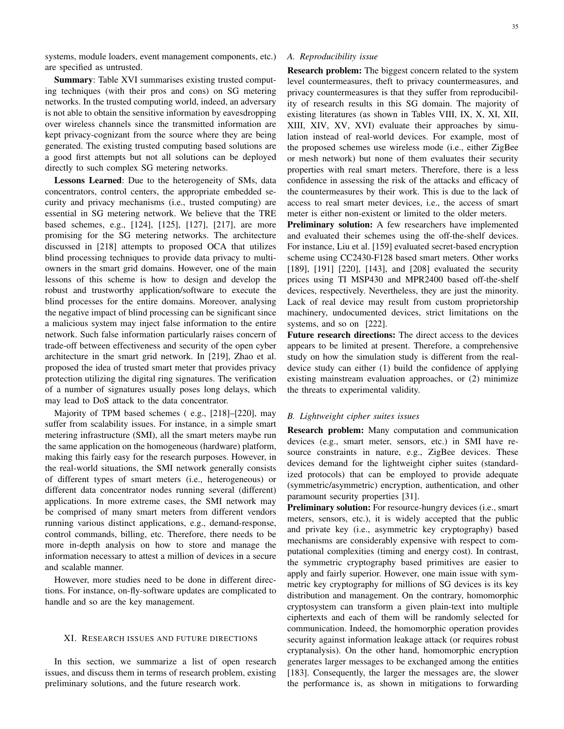systems, module loaders, event management components, etc.) are specified as untrusted.

Summary: Table XVI summarises existing trusted computing techniques (with their pros and cons) on SG metering networks. In the trusted computing world, indeed, an adversary is not able to obtain the sensitive information by eavesdropping over wireless channels since the transmitted information are kept privacy-cognizant from the source where they are being generated. The existing trusted computing based solutions are a good first attempts but not all solutions can be deployed directly to such complex SG metering networks.

Lessons Learned: Due to the heterogeneity of SMs, data concentrators, control centers, the appropriate embedded security and privacy mechanisms (i.e., trusted computing) are essential in SG metering network. We believe that the TRE based schemes, e.g., [124], [125], [127], [217], are more promising for the SG metering networks. The architecture discussed in [218] attempts to proposed OCA that utilizes blind processing techniques to provide data privacy to multiowners in the smart grid domains. However, one of the main lessons of this scheme is how to design and develop the robust and trustworthy application/software to execute the blind processes for the entire domains. Moreover, analysing the negative impact of blind processing can be significant since a malicious system may inject false information to the entire network. Such false information particularly raises concern of trade-off between effectiveness and security of the open cyber architecture in the smart grid network. In [219], Zhao et al. proposed the idea of trusted smart meter that provides privacy protection utilizing the digital ring signatures. The verification of a number of signatures usually poses long delays, which may lead to DoS attack to the data concentrator.

Majority of TPM based schemes ( e.g., [218]–[220], may suffer from scalability issues. For instance, in a simple smart metering infrastructure (SMI), all the smart meters maybe run the same application on the homogeneous (hardware) platform, making this fairly easy for the research purposes. However, in the real-world situations, the SMI network generally consists of different types of smart meters (i.e., heterogeneous) or different data concentrator nodes running several (different) applications. In more extreme cases, the SMI network may be comprised of many smart meters from different vendors running various distinct applications, e.g., demand-response, control commands, billing, etc. Therefore, there needs to be more in-depth analysis on how to store and manage the information necessary to attest a million of devices in a secure and scalable manner.

However, more studies need to be done in different directions. For instance, on-fly-software updates are complicated to handle and so are the key management.

#### XI. RESEARCH ISSUES AND FUTURE DIRECTIONS

In this section, we summarize a list of open research issues, and discuss them in terms of research problem, existing preliminary solutions, and the future research work.

# *A. Reproducibility issue*

Research problem: The biggest concern related to the system level countermeasures, theft to privacy countermeasures, and privacy countermeasures is that they suffer from reproducibility of research results in this SG domain. The majority of existing literatures (as shown in Tables VIII, IX, X, XI, XII, XIII, XIV, XV, XVI) evaluate their approaches by simulation instead of real-world devices. For example, most of the proposed schemes use wireless mode (i.e., either ZigBee or mesh network) but none of them evaluates their security properties with real smart meters. Therefore, there is a less confidence in assessing the risk of the attacks and efficacy of the countermeasures by their work. This is due to the lack of access to real smart meter devices, i.e., the access of smart meter is either non-existent or limited to the older meters.

Preliminary solution: A few researchers have implemented and evaluated their schemes using the off-the-shelf devices. For instance, Liu et al. [159] evaluated secret-based encryption scheme using CC2430-F128 based smart meters. Other works [189], [191] [220], [143], and [208] evaluated the security prices using TI MSP430 and MPR2400 based off-the-shelf devices, respectively. Nevertheless, they are just the minority. Lack of real device may result from custom proprietorship machinery, undocumented devices, strict limitations on the systems, and so on [222].

Future research directions: The direct access to the devices appears to be limited at present. Therefore, a comprehensive study on how the simulation study is different from the realdevice study can either (1) build the confidence of applying existing mainstream evaluation approaches, or (2) minimize the threats to experimental validity.

# *B. Lightweight cipher suites issues*

Research problem: Many computation and communication devices (e.g., smart meter, sensors, etc.) in SMI have resource constraints in nature, e.g., ZigBee devices. These devices demand for the lightweight cipher suites (standardized protocols) that can be employed to provide adequate (symmetric/asymmetric) encryption, authentication, and other paramount security properties [31].

**Preliminary solution:** For resource-hungry devices (*i.e.*, smart meters, sensors, etc.), it is widely accepted that the public and private key (i.e., asymmetric key cryptography) based mechanisms are considerably expensive with respect to computational complexities (timing and energy cost). In contrast, the symmetric cryptography based primitives are easier to apply and fairly superior. However, one main issue with symmetric key cryptography for millions of SG devices is its key distribution and management. On the contrary, homomorphic cryptosystem can transform a given plain-text into multiple ciphertexts and each of them will be randomly selected for communication. Indeed, the homomorphic operation provides security against information leakage attack (or requires robust cryptanalysis). On the other hand, homomorphic encryption generates larger messages to be exchanged among the entities [183]. Consequently, the larger the messages are, the slower the performance is, as shown in mitigations to forwarding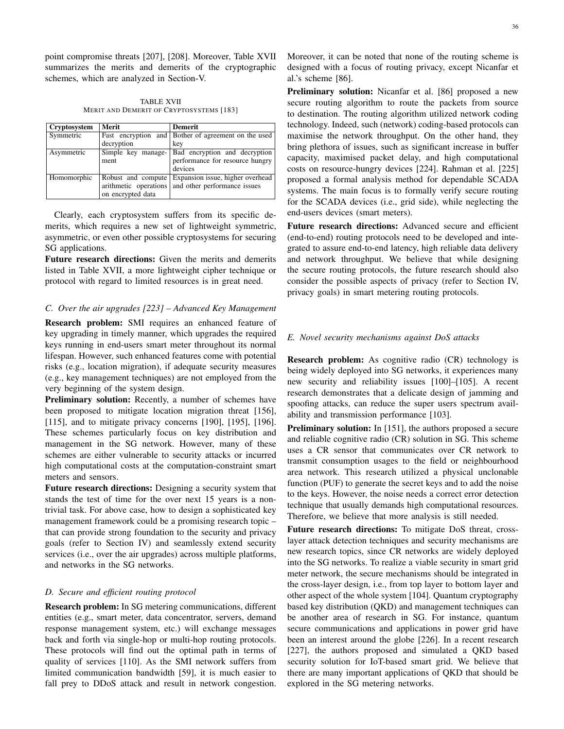point compromise threats [207], [208]. Moreover, Table XVII summarizes the merits and demerits of the cryptographic schemes, which are analyzed in Section-V.

TABLE XVII MERIT AND DEMERIT OF CRYPTOSYSTEMS [183]

| Cryptosystem | Merit                 | <b>Demerit</b>                                      |
|--------------|-----------------------|-----------------------------------------------------|
| Symmetric    |                       | Fast encryption and Bother of agreement on the used |
|              | decryption            | key                                                 |
| Asymmetric   | Simple key manage-    | Bad encryption and decryption                       |
|              | ment                  | performance for resource hungry                     |
|              |                       | devices                                             |
| Homomorphic  | Robust and compute    | Expansion issue, higher overhead                    |
|              | arithmetic operations | and other performance issues                        |
|              | on encrypted data     |                                                     |

Clearly, each cryptosystem suffers from its specific demerits, which requires a new set of lightweight symmetric, asymmetric, or even other possible cryptosystems for securing SG applications.

Future research directions: Given the merits and demerits listed in Table XVII, a more lightweight cipher technique or protocol with regard to limited resources is in great need.

# *C. Over the air upgrades [223] – Advanced Key Management*

Research problem: SMI requires an enhanced feature of key upgrading in timely manner, which upgrades the required keys running in end-users smart meter throughout its normal lifespan. However, such enhanced features come with potential risks (e.g., location migration), if adequate security measures (e.g., key management techniques) are not employed from the very beginning of the system design.

Preliminary solution: Recently, a number of schemes have been proposed to mitigate location migration threat [156], [115], and to mitigate privacy concerns [190], [195], [196]. These schemes particularly focus on key distribution and management in the SG network. However, many of these schemes are either vulnerable to security attacks or incurred high computational costs at the computation-constraint smart meters and sensors.

Future research directions: Designing a security system that stands the test of time for the over next 15 years is a nontrivial task. For above case, how to design a sophisticated key management framework could be a promising research topic – that can provide strong foundation to the security and privacy goals (refer to Section IV) and seamlessly extend security services (i.e., over the air upgrades) across multiple platforms, and networks in the SG networks.

# *D. Secure and efficient routing protocol*

Research problem: In SG metering communications, different entities (e.g., smart meter, data concentrator, servers, demand response management system, etc.) will exchange messages back and forth via single-hop or multi-hop routing protocols. These protocols will find out the optimal path in terms of quality of services [110]. As the SMI network suffers from limited communication bandwidth [59], it is much easier to fall prey to DDoS attack and result in network congestion.

Moreover, it can be noted that none of the routing scheme is designed with a focus of routing privacy, except Nicanfar et al.'s scheme [86].

Preliminary solution: Nicanfar et al. [86] proposed a new secure routing algorithm to route the packets from source to destination. The routing algorithm utilized network coding technology. Indeed, such (network) coding-based protocols can maximise the network throughput. On the other hand, they bring plethora of issues, such as significant increase in buffer capacity, maximised packet delay, and high computational costs on resource-hungry devices [224]. Rahman et al. [225] proposed a formal analysis method for dependable SCADA systems. The main focus is to formally verify secure routing for the SCADA devices (i.e., grid side), while neglecting the end-users devices (smart meters).

Future research directions: Advanced secure and efficient (end-to-end) routing protocols need to be developed and integrated to assure end-to-end latency, high reliable data delivery and network throughput. We believe that while designing the secure routing protocols, the future research should also consider the possible aspects of privacy (refer to Section IV, privacy goals) in smart metering routing protocols.

#### *E. Novel security mechanisms against DoS attacks*

Research problem: As cognitive radio (CR) technology is being widely deployed into SG networks, it experiences many new security and reliability issues [100]–[105]. A recent research demonstrates that a delicate design of jamming and spoofing attacks, can reduce the super users spectrum availability and transmission performance [103].

**Preliminary solution:** In [151], the authors proposed a secure and reliable cognitive radio (CR) solution in SG. This scheme uses a CR sensor that communicates over CR network to transmit consumption usages to the field or neighbourhood area network. This research utilized a physical unclonable function (PUF) to generate the secret keys and to add the noise to the keys. However, the noise needs a correct error detection technique that usually demands high computational resources. Therefore, we believe that more analysis is still needed.

Future research directions: To mitigate DoS threat, crosslayer attack detection techniques and security mechanisms are new research topics, since CR networks are widely deployed into the SG networks. To realize a viable security in smart grid meter network, the secure mechanisms should be integrated in the cross-layer design, i.e., from top layer to bottom layer and other aspect of the whole system [104]. Quantum cryptography based key distribution (QKD) and management techniques can be another area of research in SG. For instance, quantum secure communications and applications in power grid have been an interest around the globe [226]. In a recent research [227], the authors proposed and simulated a QKD based security solution for IoT-based smart grid. We believe that there are many important applications of QKD that should be explored in the SG metering networks.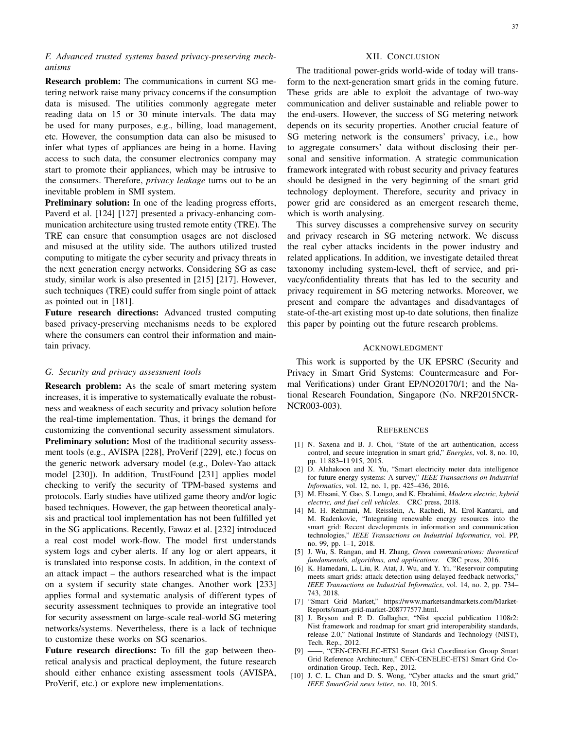# *F. Advanced trusted systems based privacy-preserving mechanisms*

Research problem: The communications in current SG metering network raise many privacy concerns if the consumption data is misused. The utilities commonly aggregate meter reading data on 15 or 30 minute intervals. The data may be used for many purposes, e.g., billing, load management, etc. However, the consumption data can also be misused to infer what types of appliances are being in a home. Having access to such data, the consumer electronics company may start to promote their appliances, which may be intrusive to the consumers. Therefore, *privacy leakage* turns out to be an inevitable problem in SMI system.

Preliminary solution: In one of the leading progress efforts, Paverd et al. [124] [127] presented a privacy-enhancing communication architecture using trusted remote entity (TRE). The TRE can ensure that consumption usages are not disclosed and misused at the utility side. The authors utilized trusted computing to mitigate the cyber security and privacy threats in the next generation energy networks. Considering SG as case study, similar work is also presented in [215] [217]. However, such techniques (TRE) could suffer from single point of attack as pointed out in [181].

Future research directions: Advanced trusted computing based privacy-preserving mechanisms needs to be explored where the consumers can control their information and maintain privacy.

#### *G. Security and privacy assessment tools*

Research problem: As the scale of smart metering system increases, it is imperative to systematically evaluate the robustness and weakness of each security and privacy solution before the real-time implementation. Thus, it brings the demand for customizing the conventional security assessment simulators. **Preliminary solution:** Most of the traditional security assessment tools (e.g., AVISPA [228], ProVerif [229], etc.) focus on the generic network adversary model (e.g., Dolev-Yao attack model [230]). In addition, TrustFound [231] applies model checking to verify the security of TPM-based systems and protocols. Early studies have utilized game theory and/or logic based techniques. However, the gap between theoretical analysis and practical tool implementation has not been fulfilled yet in the SG applications. Recently, Fawaz et al. [232] introduced a real cost model work-flow. The model first understands system logs and cyber alerts. If any log or alert appears, it is translated into response costs. In addition, in the context of an attack impact – the authors researched what is the impact on a system if security state changes. Another work [233] applies formal and systematic analysis of different types of security assessment techniques to provide an integrative tool for security assessment on large-scale real-world SG metering networks/systems. Nevertheless, there is a lack of technique to customize these works on SG scenarios.

Future research directions: To fill the gap between theoretical analysis and practical deployment, the future research should either enhance existing assessment tools (AVISPA, ProVerif, etc.) or explore new implementations.

# XII. CONCLUSION

The traditional power-grids world-wide of today will transform to the next-generation smart grids in the coming future. These grids are able to exploit the advantage of two-way communication and deliver sustainable and reliable power to the end-users. However, the success of SG metering network depends on its security properties. Another crucial feature of SG metering network is the consumers' privacy, i.e., how to aggregate consumers' data without disclosing their personal and sensitive information. A strategic communication framework integrated with robust security and privacy features should be designed in the very beginning of the smart grid technology deployment. Therefore, security and privacy in power grid are considered as an emergent research theme, which is worth analysing.

This survey discusses a comprehensive survey on security and privacy research in SG metering network. We discuss the real cyber attacks incidents in the power industry and related applications. In addition, we investigate detailed threat taxonomy including system-level, theft of service, and privacy/confidentiality threats that has led to the security and privacy requirement in SG metering networks. Moreover, we present and compare the advantages and disadvantages of state-of-the-art existing most up-to date solutions, then finalize this paper by pointing out the future research problems.

#### ACKNOWLEDGMENT

This work is supported by the UK EPSRC (Security and Privacy in Smart Grid Systems: Countermeasure and Formal Verifications) under Grant EP/NO20170/1; and the National Research Foundation, Singapore (No. NRF2015NCR-NCR003-003).

#### **REFERENCES**

- [1] N. Saxena and B. J. Choi, "State of the art authentication, access control, and secure integration in smart grid," *Energies*, vol. 8, no. 10, pp. 11 883–11 915, 2015.
- [2] D. Alahakoon and X. Yu, "Smart electricity meter data intelligence for future energy systems: A survey," *IEEE Transactions on Industrial Informatics*, vol. 12, no. 1, pp. 425–436, 2016.
- [3] M. Ehsani, Y. Gao, S. Longo, and K. Ebrahimi, *Modern electric, hybrid electric, and fuel cell vehicles*. CRC press, 2018.
- [4] M. H. Rehmani, M. Reisslein, A. Rachedi, M. Erol-Kantarci, and M. Radenkovic, "Integrating renewable energy resources into the smart grid: Recent developments in information and communication technologies," *IEEE Transactions on Industrial Informatics*, vol. PP, no. 99, pp. 1–1, 2018.
- [5] J. Wu, S. Rangan, and H. Zhang, *Green communications: theoretical fundamentals, algorithms, and applications*. CRC press, 2016.
- [6] K. Hamedani, L. Liu, R. Atat, J. Wu, and Y. Yi, "Reservoir computing meets smart grids: attack detection using delayed feedback networks,' *IEEE Transactions on Industrial Informatics*, vol. 14, no. 2, pp. 734– 743, 2018.
- [7] "Smart Grid Market," https://www.marketsandmarkets.com/Market-Reports/smart-grid-market-208777577.html.
- [8] J. Bryson and P. D. Gallagher, "Nist special publication 1108r2: Nist framework and roadmap for smart grid interoperability standards, release 2.0," National Institute of Standards and Technology (NIST), Tech. Rep., 2012.
- [9] ——, "CEN-CENELEC-ETSI Smart Grid Coordination Group Smart Grid Reference Architecture," CEN-CENELEC-ETSI Smart Grid Coordination Group, Tech. Rep., 2012.
- [10] J. C. L. Chan and D. S. Wong, "Cyber attacks and the smart grid," *IEEE SmartGrid news letter*, no. 10, 2015.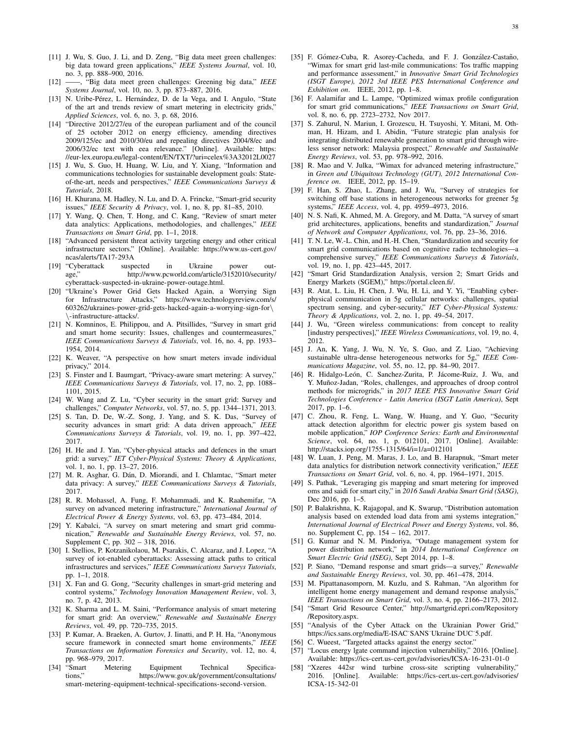- [11] J. Wu, S. Guo, J. Li, and D. Zeng, "Big data meet green challenges: big data toward green applications," *IEEE Systems Journal*, vol. 10, no. 3, pp. 888–900, 2016.
- [12] ——, "Big data meet green challenges: Greening big data," *IEEE Systems Journal*, vol. 10, no. 3, pp. 873–887, 2016.
- [13] N. Uribe-Pérez, L. Hernández, D. de la Vega, and I. Angulo, "State of the art and trends review of smart metering in electricity grids," *Applied Sciences*, vol. 6, no. 3, p. 68, 2016.
- [14] "Directive 2012/27/eu of the european parliament and of the council of 25 october 2012 on energy efficiency, amending directives 2009/125/ec and 2010/30/eu and repealing directives 2004/8/ec and 2006/32/ec text with eea relevance." [Online]. Available: https: //eur-lex.europa.eu/legal-content/EN/TXT/?uri=celex%3A32012L0027
- [15] J. Wu, S. Guo, H. Huang, W. Liu, and Y. Xiang, "Information and communications technologies for sustainable development goals: Stateof-the-art, needs and perspectives," *IEEE Communications Surveys & Tutorials*, 2018.
- [16] H. Khurana, M. Hadley, N. Lu, and D. A. Frincke, "Smart-grid security issues," *IEEE Security & Privacy*, vol. 1, no. 8, pp. 81–85, 2010.
- [17] Y. Wang, Q. Chen, T. Hong, and C. Kang, "Review of smart meter data analytics: Applications, methodologies, and challenges," *IEEE Transactions on Smart Grid*, pp. 1–1, 2018.
- [18] "Advanced persistent threat activity targeting energy and other critical infrastructure sectors." [Online]. Available: https://www.us-cert.gov/ ncas/alerts/TA17-293A
- [19] "Cyberattack suspected in Ukraine power outage," http://www.pcworld.com/article/3152010/security/ cyberattack-suspected-in-ukraine-power-outage.html.
- [20] "Ukraine's Power Grid Gets Hacked Again, a Worrying Sign for Infrastructure Attacks," https://www.technologyreview.com/s/ 603262/ukraines-power-grid-gets-hacked-again-a-worrying-sign-for\ \-infrastructure-attacks/.
- [21] N. Komninos, E. Philippou, and A. Pitsillides, "Survey in smart grid and smart home security: Issues, challenges and countermeasures," *IEEE Communications Surveys & Tutorials*, vol. 16, no. 4, pp. 1933– 1954, 2014.
- [22] K. Weaver, "A perspective on how smart meters invade individual privacy," 2014.
- [23] S. Finster and I. Baumgart, "Privacy-aware smart metering: A survey," *IEEE Communications Surveys & Tutorials*, vol. 17, no. 2, pp. 1088– 1101, 2015.
- [24] W. Wang and Z. Lu, "Cyber security in the smart grid: Survey and challenges," *Computer Networks*, vol. 57, no. 5, pp. 1344–1371, 2013.
- [25] S. Tan, D. De, W.-Z. Song, J. Yang, and S. K. Das, "Survey of security advances in smart grid: A data driven approach," *IEEE Communications Surveys & Tutorials*, vol. 19, no. 1, pp. 397–422, 2017.
- [26] H. He and J. Yan, "Cyber-physical attacks and defences in the smart grid: a survey," *IET Cyber-Physical Systems: Theory & Applications*, vol. 1, no. 1, pp. 13–27, 2016.
- [27] M. R. Asghar, G. Dán, D. Miorandi, and I. Chlamtac, "Smart meter data privacy: A survey," *IEEE Communications Surveys & Tutorials*, 2017.
- [28] R. R. Mohassel, A. Fung, F. Mohammadi, and K. Raahemifar, "A survey on advanced metering infrastructure," *International Journal of Electrical Power & Energy Systems*, vol. 63, pp. 473–484, 2014.
- [29] Y. Kabalci, "A survey on smart metering and smart grid communication," *Renewable and Sustainable Energy Reviews*, vol. 57, no. Supplement C, pp. 302 – 318, 2016.
- [30] I. Stellios, P. Kotzanikolaou, M. Psarakis, C. Alcaraz, and J. Lopez, "A survey of iot-enabled cyberattacks: Assessing attack paths to critical infrastructures and services," *IEEE Communications Surveys Tutorials*, pp. 1–1, 2018.
- [31] X. Fan and G. Gong, "Security challenges in smart-grid metering and control systems," *Technology Innovation Management Review*, vol. 3, no. 7, p. 42, 2013.
- [32] K. Sharma and L. M. Saini, "Performance analysis of smart metering for smart grid: An overview," *Renewable and Sustainable Energy Reviews*, vol. 49, pp. 720–735, 2015.
- [33] P. Kumar, A. Braeken, A. Gurtov, J. Iinatti, and P. H. Ha, "Anonymous secure framework in connected smart home environments," *IEEE Transactions on Information Forensics and Security*, vol. 12, no. 4, pp. 968–979, 2017.
- [34] "Smart Metering Equipment Technical Specifications," https://www.gov.uk/government/consultations/ smart-metering-equipment-technical-specifications-second-version.
- [35] F. Gómez-Cuba, R. Asorey-Cacheda, and F. J. González-Castaño, "Wimax for smart grid last-mile communications: Tos traffic mapping and performance assessment," in *Innovative Smart Grid Technologies (ISGT Europe), 2012 3rd IEEE PES International Conference and Exhibition on*. IEEE, 2012, pp. 1–8.
- [36] F. Aalamifar and L. Lampe, "Optimized wimax profile configuration for smart grid communications," *IEEE Transactions on Smart Grid*, vol. 8, no. 6, pp. 2723–2732, Nov 2017.
- [37] S. Zahurul, N. Mariun, I. Grozescu, H. Tsuyoshi, Y. Mitani, M. Othman, H. Hizam, and I. Abidin, "Future strategic plan analysis for integrating distributed renewable generation to smart grid through wireless sensor network: Malaysia prospect," *Renewable and Sustainable Energy Reviews*, vol. 53, pp. 978–992, 2016.
- [38] R. Mao and V. Julka, "Wimax for advanced metering infrastructure," in *Green and Ubiquitous Technology (GUT), 2012 International Conference on*. IEEE, 2012, pp. 15–19.
- [39] F. Han, S. Zhao, L. Zhang, and J. Wu, "Survey of strategies for switching off base stations in heterogeneous networks for greener 5g systems," *IEEE Access*, vol. 4, pp. 4959–4973, 2016.
- [40] N. S. Nafi, K. Ahmed, M. A. Gregory, and M. Datta, "A survey of smart grid architectures, applications, benefits and standardization," *Journal of Network and Computer Applications*, vol. 76, pp. 23–36, 2016.
- [41] T. N. Le, W.-L. Chin, and H.-H. Chen, "Standardization and security for smart grid communications based on cognitive radio technologies—a comprehensive survey," *IEEE Communications Surveys & Tutorials*, vol. 19, no. 1, pp. 423–445, 2017.
- [42] "Smart Grid Standardization Analysis, version 2; Smart Grids and Energy Markets (SGEM)," https://portal.cleen.fi/.
- [43] R. Atat, L. Liu, H. Chen, J. Wu, H. Li, and Y. Yi, "Enabling cyberphysical communication in 5g cellular networks: challenges, spatial spectrum sensing, and cyber-security," *IET Cyber-Physical Systems: Theory & Applications*, vol. 2, no. 1, pp. 49–54, 2017.
- [44] J. Wu, "Green wireless communications: from concept to reality [industry perspectives]," *IEEE Wireless Communications*, vol. 19, no. 4, 2012.
- [45] J. An, K. Yang, J. Wu, N. Ye, S. Guo, and Z. Liao, "Achieving sustainable ultra-dense heterogeneous networks for 5g," *IEEE Communications Magazine*, vol. 55, no. 12, pp. 84–90, 2017.
- [46] R. Hidalgo-León, C. Sanchez-Zurita, P. Jácome-Ruiz, J. Wu, and Y. Muñoz-Jadan, "Roles, challenges, and approaches of droop control methods for microgrids," in *2017 IEEE PES Innovative Smart Grid Technologies Conference - Latin America (ISGT Latin America)*, Sept 2017, pp. 1–6.
- [47] C. Zhou, R. Feng, L. Wang, W. Huang, and Y. Guo, "Security attack detection algorithm for electric power gis system based on mobile application," *IOP Conference Series: Earth and Environmental Science*, vol. 64, no. 1, p. 012101, 2017. [Online]. Available: http://stacks.iop.org/1755-1315/64/i=1/a=012101
- [48] W. Luan, J. Peng, M. Maras, J. Lo, and B. Harapnuk, "Smart meter data analytics for distribution network connectivity verification," *IEEE Transactions on Smart Grid*, vol. 6, no. 4, pp. 1964–1971, 2015.
- [49] S. Pathak, "Leveraging gis mapping and smart metering for improved oms and saidi for smart city," in *2016 Saudi Arabia Smart Grid (SASG)*, Dec 2016, pp. 1–5.
- [50] P. Balakrishna, K. Rajagopal, and K. Swarup, "Distribution automation analysis based on extended load data from ami systems integration," *International Journal of Electrical Power and Energy Systems*, vol. 86, no. Supplement C, pp. 154 – 162, 2017.
- [51] G. Kumar and N. M. Pindoriya, "Outage management system for power distribution network," in *2014 International Conference on Smart Electric Grid (ISEG)*, Sept 2014, pp. 1–8.
- [52] P. Siano, "Demand response and smart grids—a survey," *Renewable and Sustainable Energy Reviews*, vol. 30, pp. 461–478, 2014.
- [53] M. Pipattanasomporn, M. Kuzlu, and S. Rahman, "An algorithm for intelligent home energy management and demand response analysis," *IEEE Transactions on Smart Grid*, vol. 3, no. 4, pp. 2166–2173, 2012.
- [54] "Smart Grid Resource Center," http://smartgrid.epri.com/Repository /Repository.aspx.
- [55] "Analysis of the Cyber Attack on the Ukrainian Power Grid," https://ics.sans.org/media/E-ISAC˙SANS˙Ukraine˙DUC˙5.pdf.
- [56] C. Wueest, "Targeted attacks against the energy sector."
- [57] "Locus energy lgate command injection vulnerability," 2016. [Online]. Available: https://ics-cert.us-cert.gov/advisories/ICSA-16-231-01-0
- "Xzeres 442sr wind turbine cross-site scripting vulnerability,"<br>2016. [Online]. Available: https://ics-cert.us-cert.gov/advisories/ Available: https://ics-cert.us-cert.gov/advisories/ ICSA-15-342-01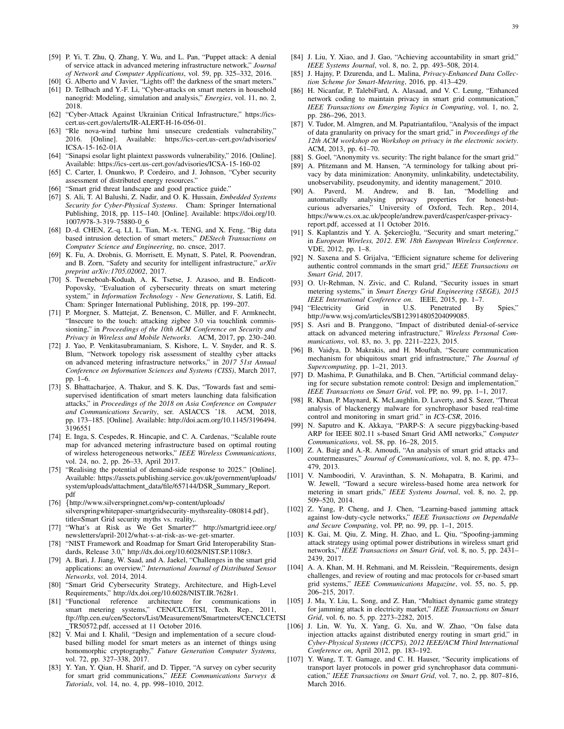- [59] P. Yi, T. Zhu, Q. Zhang, Y. Wu, and L. Pan, "Puppet attack: A denial of service attack in advanced metering infrastructure network," *Journal of Network and Computer Applications*, vol. 59, pp. 325–332, 2016.
- [60] G. Alberto and V. Javier, "Lights off! the darkness of the smart meters." [61] D. Tellbach and Y.-F. Li, "Cyber-attacks on smart meters in household
- nanogrid: Modeling, simulation and analysis," *Energies*, vol. 11, no. 2, 2018. [62] "Cyber-Attack Against Ukrainian Critical Infrastructure," https://ics-
- cert.us-cert.gov/alerts/IR-ALERT-H-16-056-01. [63] "Rle nova-wind turbine hmi unsecure credentials vulnerability,"
- 2016. [Online]. Available: https://ics-cert.us-cert.gov/advisories/ ICSA-15-162-01A [64] "Sinapsi esolar light plaintext passwords vulnerability," 2016. [Online].
- Available: https://ics-cert.us-cert.gov/advisories/ICSA-15-160-02
- [65] C. Carter, I. Onunkwo, P. Cordeiro, and J. Johnson, "Cyber security assessment of distributed energy resources."
- [66] "Smart grid threat landscape and good practice guide."
- [67] S. Ali, T. Al Balushi, Z. Nadir, and O. K. Hussain, *Embedded Systems Security for Cyber-Physical Systems*. Cham: Springer International Publishing, 2018, pp. 115–140. [Online]. Available: https://doi.org/10. 1007/978-3-319-75880-0 6
- [68] D.-d. CHEN, Z.-q. LI, L. Tian, M.-x. TENG, and X. Feng, "Big data based intrusion detection of smart meters," *DEStech Transactions on Computer Science and Engineering*, no. cnsce, 2017.
- [69] K. Fu, A. Drobnis, G. Morrisett, E. Mynatt, S. Patel, R. Poovendran, and B. Zorn, "Safety and security for intelligent infrastructure," *arXiv preprint arXiv:1705.02002*, 2017.
- [70] S. Tweneboah-Koduah, A. K. Tsetse, J. Azasoo, and B. Endicott-Popovsky, "Evaluation of cybersecurity threats on smart metering system," in *Information Technology - New Generations*, S. Latifi, Ed. Cham: Springer International Publishing, 2018, pp. 199–207.
- [71] P. Morgner, S. Mattejat, Z. Benenson, C. Müller, and F. Armknecht, "Insecure to the touch: attacking zigbee 3.0 via touchlink commissioning," in *Proceedings of the 10th ACM Conference on Security and Privacy in Wireless and Mobile Networks*. ACM, 2017, pp. 230–240.
- [72] J. Yao, P. Venkitasubramaniam, S. Kishore, L. V. Snyder, and R. S. Blum, "Network topology risk assessment of stealthy cyber attacks on advanced metering infrastructure networks," in *2017 51st Annual Conference on Information Sciences and Systems (CISS)*, March 2017, pp. 1–6.
- [73] S. Bhattacharjee, A. Thakur, and S. K. Das, "Towards fast and semisupervised identification of smart meters launching data falsification attacks," in *Proceedings of the 2018 on Asia Conference on Computer and Communications Security*, ser. ASIACCS '18. ACM, 2018, pp. 173–185. [Online]. Available: http://doi.acm.org/10.1145/3196494. 3196551
- [74] E. Inga, S. Cespedes, R. Hincapie, and C. A. Cardenas, "Scalable route map for advanced metering infrastructure based on optimal routing of wireless heterogeneous networks," *IEEE Wireless Communications*, vol. 24, no. 2, pp. 26–33, April 2017.
- [75] "Realising the potential of demand-side response to 2025." [Online]. Available: https://assets.publishing.service.gov.uk/government/uploads/ system/uploads/attachment\_data/file/657144/DSR\_Summary\_Report. pdf
- [76] {http://www.silverspringnet.com/wp-content/uploads/ silverspringwhitepaper-smartgridsecurity-mythsreality-080814.pdf}, title=Smart Grid security myths vs. reality,
- [77] "What's at Risk as We Get Smarter?" http://smartgrid.ieee.org/ newsletters/april-2012/what-s-at-risk-as-we-get-smarter.
- [78] "NIST Framework and Roadmap for Smart Grid Interoperability Standards, Release 3.0," http://dx.doi.org/10.6028/NIST.SP.1108r3.
- [79] A. Bari, J. Jiang, W. Saad, and A. Jaekel, "Challenges in the smart grid applications: an overview," *International Journal of Distributed Sensor Networks*, vol. 2014, 2014.
- [80] "Smart Grid Cybersecurity Strategy, Architecture, and High-Level Requirements," http://dx.doi.org/10.6028/NIST.IR.7628r1.
- [81] "Functional reference architecture for communications in smart metering systems," CEN/CLC/ETSI, Tech. Rep., 2011, ftp://ftp.cen.eu/cen/Sectors/List/Measurement/Smartmeters/CENCLCETSI TR50572.pdf, accessed at 11 October 2016.
- [82] V. Mai and I. Khalil, "Design and implementation of a secure cloudbased billing model for smart meters as an internet of things using homomorphic cryptography," *Future Generation Computer Systems*, vol. 72, pp. 327–338, 2017.
- [83] Y. Yan, Y. Qian, H. Sharif, and D. Tipper, "A survey on cyber security for smart grid communications," *IEEE Communications Surveys & Tutorials*, vol. 14, no. 4, pp. 998–1010, 2012.
- [84] J. Liu, Y. Xiao, and J. Gao, "Achieving accountability in smart grid," *IEEE Systems Journal*, vol. 8, no. 2, pp. 493–508, 2014.
- [85] J. Hajny, P. Dzurenda, and L. Malina, *Privacy-Enhanced Data Collection Scheme for Smart-Metering*, 2016, pp. 413–429.
- [86] H. Nicanfar, P. TalebiFard, A. Alasaad, and V. C. Leung, "Enhanced network coding to maintain privacy in smart grid communication," *IEEE Transactions on Emerging Topics in Computing*, vol. 1, no. 2, pp. 286–296, 2013.
- [87] V. Tudor, M. Almgren, and M. Papatriantafilou, "Analysis of the impact of data granularity on privacy for the smart grid," in *Proceedings of the 12th ACM workshop on Workshop on privacy in the electronic society*. ACM, 2013, pp. 61–70.
- [88] S. Goel, "Anonymity vs. security: The right balance for the smart grid."
- [89] A. Pfitzmann and M. Hansen, "A terminology for talking about privacy by data minimization: Anonymity, unlinkability, undetectability, unobservability, pseudonymity, and identity management," 2010.
- [90] A. Paverd, M. Andrew, and B. Ian, "Modelling and automatically analysing privacy properties for honest-butcurious adversaries," University of Oxford, Tech. Rep., 2014, https://www.cs.ox.ac.uk/people/andrew.paverd/casper/casper-privacyreport.pdf, accessed at 11 October 2016.
- [91] S. Kaplantzis and Y. A. Şekercioğlu, "Security and smart metering," in *European Wireless, 2012. EW. 18th European Wireless Conference*. VDE, 2012, pp. 1–8.
- [92] N. Saxena and S. Grijalva, "Efficient signature scheme for delivering authentic control commands in the smart grid," *IEEE Transactions on Smart Grid*, 2017.
- [93] O. Ur-Rehman, N. Zivic, and C. Ruland, "Security issues in smart metering systems," in *Smart Energy Grid Engineering (SEGE), 2015 IEEE International Conference on*. IEEE, 2015, pp. 1–7.
- [94] "Electricity Grid in U.S. Penetrated By Spies," http://www.wsj.com/articles/SB123914805204099085.
- [95] S. Asri and B. Pranggono, "Impact of distributed denial-of-service attack on advanced metering infrastructure," *Wireless Personal Communications*, vol. 83, no. 3, pp. 2211–2223, 2015.
- [96] B. Vaidya, D. Makrakis, and H. Mouftah, "Secure communication mechanism for ubiquitous smart grid infrastructure," *The Journal of Supercomputing*, pp. 1–21, 2013.
- [97] D. Mashima, P. Gunathilaka, and B. Chen, "Artificial command delaying for secure substation remote control: Design and implementation, *IEEE Transactions on Smart Grid*, vol. PP, no. 99, pp. 1–1, 2017.
- [98] R. Khan, P. Maynard, K. McLaughlin, D. Laverty, and S. Sezer, "Threat analysis of blackenergy malware for synchrophasor based real-time control and monitoring in smart grid." in *ICS-CSR*, 2016.
- [99] N. Saputro and K. Akkaya, "PARP-S: A secure piggybacking-based ARP for IEEE 802.11 s-based Smart Grid AMI networks," *Computer Communications*, vol. 58, pp. 16–28, 2015.
- [100] Z. A. Baig and A.-R. Amoudi, "An analysis of smart grid attacks and countermeasures," *Journal of Communications*, vol. 8, no. 8, pp. 473– 479, 2013.
- [101] V. Namboodiri, V. Aravinthan, S. N. Mohapatra, B. Karimi, and W. Jewell, "Toward a secure wireless-based home area network for metering in smart grids," *IEEE Systems Journal*, vol. 8, no. 2, pp. 509–520, 2014.
- [102] Z. Yang, P. Cheng, and J. Chen, "Learning-based jamming attack against low-duty-cycle networks," *IEEE Transactions on Dependable and Secure Computing*, vol. PP, no. 99, pp. 1–1, 2015.
- [103] K. Gai, M. Qiu, Z. Ming, H. Zhao, and L. Qiu, "Spoofing-jamming attack strategy using optimal power distributions in wireless smart grid networks," *IEEE Transactions on Smart Grid*, vol. 8, no. 5, pp. 2431– 2439, 2017.
- [104] A. A. Khan, M. H. Rehmani, and M. Reisslein, "Requirements, design challenges, and review of routing and mac protocols for cr-based smart grid systems," *IEEE Communications Magazine*, vol. 55, no. 5, pp. 206–215, 2017.
- [105] J. Ma, Y. Liu, L. Song, and Z. Han, "Multiact dynamic game strategy for jamming attack in electricity market," *IEEE Transactions on Smart Grid*, vol. 6, no. 5, pp. 2273–2282, 2015.
- [106] J. Lin, W. Yu, X. Yang, G. Xu, and W. Zhao, "On false data injection attacks against distributed energy routing in smart grid," in *Cyber-Physical Systems (ICCPS), 2012 IEEE/ACM Third International Conference on*, April 2012, pp. 183–192.
- [107] Y. Wang, T. T. Gamage, and C. H. Hauser, "Security implications of transport layer protocols in power grid synchrophasor data communication," *IEEE Transactions on Smart Grid*, vol. 7, no. 2, pp. 807–816, March 2016.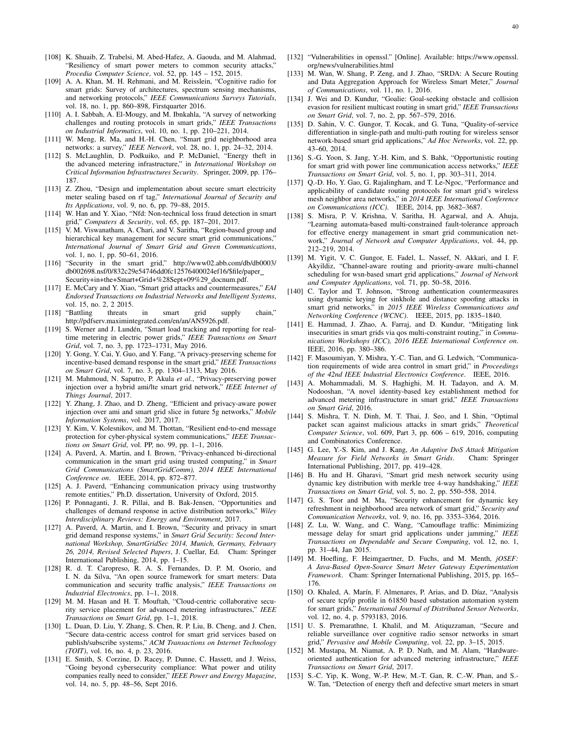- [108] K. Shuaib, Z. Trabelsi, M. Abed-Hafez, A. Gaouda, and M. Alahmad, "Resiliency of smart power meters to common security attacks," *Procedia Computer Science*, vol. 52, pp. 145 – 152, 2015.
- [109] A. A. Khan, M. H. Rehmani, and M. Reisslein, "Cognitive radio for smart grids: Survey of architectures, spectrum sensing mechanisms, and networking protocols," *IEEE Communications Surveys Tutorials*, vol. 18, no. 1, pp. 860–898, Firstquarter 2016.
- [110] A. I. Sabbah, A. El-Mougy, and M. Ibnkahla, "A survey of networking challenges and routing protocols in smart grids," *IEEE Transactions on Industrial Informatics*, vol. 10, no. 1, pp. 210–221, 2014.
- [111] W. Meng, R. Ma, and H.-H. Chen, "Smart grid neighborhood area networks: a survey," *IEEE Network*, vol. 28, no. 1, pp. 24–32, 2014.
- [112] S. McLaughlin, D. Podkuiko, and P. McDaniel, "Energy theft in the advanced metering infrastructure," in *International Workshop on Critical Information Infrastructures Security*. Springer, 2009, pp. 176– 187.
- [113] Z. Zhou, "Design and implementation about secure smart electricity meter sealing based on rf tag," *International Journal of Security and Its Applications*, vol. 9, no. 6, pp. 79–88, 2015.
- [114] W. Han and Y. Xiao, "Nfd: Non-technical loss fraud detection in smart grid," *Computers & Security*, vol. 65, pp. 187–201, 2017.
- [115] V. M. Viswanatham, A. Chari, and V. Saritha, "Region-based group and hierarchical key management for secure smart grid communications," *International Journal of Smart Grid and Green Communications*, vol. 1, no. 1, pp. 50–61, 2016.
- [116] "Security in the smart grid," http://www02.abb.com/db/db0003/ db002698.nsf/0/832c29e54746dd0fc12576400024ef16/\$file/paper Security+in+the+Smart+Grid+%28Sept+09%29\_docnum.pdf.
- [117] E. McCary and Y. Xiao, "Smart grid attacks and countermeasures," *EAI Endorsed Transactions on Industrial Networks and Intelligent Systems*, vol. 15, no. 2, 2 2015.
- [118] "Battling threats in smart grid supply chain," http://pdfserv.maximintegrated.com/en/an/AN5926.pdf.
- [119] S. Werner and J. Lundén, "Smart load tracking and reporting for realtime metering in electric power grids," *IEEE Transactions on Smart Grid*, vol. 7, no. 3, pp. 1723–1731, May 2016.
- [120] Y. Gong, Y. Cai, Y. Guo, and Y. Fang, "A privacy-preserving scheme for incentive-based demand response in the smart grid," *IEEE Transactions on Smart Grid*, vol. 7, no. 3, pp. 1304–1313, May 2016.
- [121] M. Mahmoud, N. Saputro, P. Akula *et al.*, "Privacy-preserving power injection over a hybrid ami/lte smart grid network," *IEEE Internet of Things Journal*, 2017.
- [122] Y. Zhang, J. Zhao, and D. Zheng, "Efficient and privacy-aware power injection over ami and smart grid slice in future 5g networks," *Mobile Information Systems*, vol. 2017, 2017.
- [123] Y. Kim, V. Kolesnikov, and M. Thottan, "Resilient end-to-end message protection for cyber-physical system communications," *IEEE Transactions on Smart Grid*, vol. PP, no. 99, pp. 1–1, 2016.
- [124] A. Paverd, A. Martin, and I. Brown, "Privacy-enhanced bi-directional communication in the smart grid using trusted computing," in *Smart Grid Communications (SmartGridComm), 2014 IEEE International Conference on*. IEEE, 2014, pp. 872–877.
- [125] A. J. Paverd, "Enhancing communication privacy using trustworthy remote entities," Ph.D. dissertation, University of Oxford, 2015.
- [126] P. Ponnaganti, J. R. Pillai, and B. Bak-Jensen, "Opportunities and challenges of demand response in active distribution networks," *Wiley Interdisciplinary Reviews: Energy and Environment*, 2017.
- [127] A. Paverd, A. Martin, and I. Brown, "Security and privacy in smart grid demand response systems," in *Smart Grid Security: Second International Workshop, SmartGridSec 2014, Munich, Germany, February 26, 2014, Revised Selected Papers*, J. Cuellar, Ed. Cham: Springer International Publishing, 2014, pp. 1–15.
- [128] R. d. T. Caropreso, R. A. S. Fernandes, D. P. M. Osorio, and I. N. da Silva, "An open source framework for smart meters: Data communication and security traffic analysis," *IEEE Transactions on Industrial Electronics*, pp. 1–1, 2018.
- [129] M. M. Hasan and H. T. Mouftah, "Cloud-centric collaborative security service placement for advanced metering infrastructures," *IEEE Transactions on Smart Grid*, pp. 1–1, 2018.
- [130] L. Duan, D. Liu, Y. Zhang, S. Chen, R. P. Liu, B. Cheng, and J. Chen, "Secure data-centric access control for smart grid services based on publish/subscribe systems," *ACM Transactions on Internet Technology (TOIT)*, vol. 16, no. 4, p. 23, 2016.
- [131] E. Smith, S. Corzine, D. Racey, P. Dunne, C. Hassett, and J. Weiss, "Going beyond cybersecurity compliance: What power and utility companies really need to consider," *IEEE Power and Energy Magazine*, vol. 14, no. 5, pp. 48–56, Sept 2016.
- [132] "Vulnerabilities in openssl." [Online]. Available: https://www.openssl. org/news/vulnerabilities.html
- [133] M. Wan, W. Shang, P. Zeng, and J. Zhao, "SRDA: A Secure Routing and Data Aggregation Approach for Wireless Smart Meter," *Journal of Communications*, vol. 11, no. 1, 2016.
- [134] J. Wei and D. Kundur, "Goalie: Goal-seeking obstacle and collision evasion for resilient multicast routing in smart grid," *IEEE Transactions on Smart Grid*, vol. 7, no. 2, pp. 567–579, 2016.
- [135] D. Sahin, V. C. Gungor, T. Kocak, and G. Tuna, "Quality-of-service differentiation in single-path and multi-path routing for wireless sensor network-based smart grid applications," *Ad Hoc Networks*, vol. 22, pp. 43–60, 2014.
- [136] S.-G. Yoon, S. Jang, Y.-H. Kim, and S. Bahk, "Opportunistic routing for smart grid with power line communication access networks," *IEEE Transactions on Smart Grid*, vol. 5, no. 1, pp. 303–311, 2014.
- [137] Q.-D. Ho, Y. Gao, G. Rajalingham, and T. Le-Ngoc, "Performance and applicability of candidate routing protocols for smart grid's wireless mesh neighbor area networks," in *2014 IEEE International Conference on Communications (ICC)*. IEEE, 2014, pp. 3682–3687.
- [138] S. Misra, P. V. Krishna, V. Saritha, H. Agarwal, and A. Ahuja, "Learning automata-based multi-constrained fault-tolerance approach for effective energy management in smart grid communication network," *Journal of Network and Computer Applications*, vol. 44, pp. 212–219, 2014.
- [139] M. Yigit, V. C. Gungor, E. Fadel, L. Nassef, N. Akkari, and I. F. Akyildiz, "Channel-aware routing and priority-aware multi-channel scheduling for wsn-based smart grid applications," *Journal of Network and Computer Applications*, vol. 71, pp. 50–58, 2016.
- [140] C. Taylor and T. Johnson, "Strong authentication countermeasures using dynamic keying for sinkhole and distance spoofing attacks in smart grid networks," in *2015 IEEE Wireless Communications and Networking Conference (WCNC)*. IEEE, 2015, pp. 1835–1840.
- [141] E. Hammad, J. Zhao, A. Farraj, and D. Kundur, "Mitigating link insecurities in smart grids via qos multi-constraint routing," in *Communications Workshops (ICC), 2016 IEEE International Conference on*. IEEE, 2016, pp. 380–386.
- [142] F. Masoumiyan, Y. Mishra, Y.-C. Tian, and G. Ledwich, "Communication requirements of wide area control in smart grid," in *Proceedings of the 42nd IEEE Industrial Electronics Conference*. IEEE, 2016.
- [143] A. Mohammadali, M. S. Haghighi, M. H. Tadayon, and A. M. Nodooshan, "A novel identity-based key establishment method for advanced metering infrastructure in smart grid," *IEEE Transactions on Smart Grid*, 2016.
- [144] S. Mishra, T. N. Dinh, M. T. Thai, J. Seo, and I. Shin, "Optimal packet scan against malicious attacks in smart grids," *Theoretical Computer Science*, vol. 609, Part 3, pp. 606 – 619, 2016, computing and Combinatorics Conference.
- [145] G. Lee, Y.-S. Kim, and J. Kang, *An Adaptive DoS Attack Mitigation Measure for Field Networks in Smart Grids*. Cham: Springer International Publishing, 2017, pp. 419–428.
- [146] B. Hu and H. Gharavi, "Smart grid mesh network security using dynamic key distribution with merkle tree 4-way handshaking," *IEEE Transactions on Smart Grid*, vol. 5, no. 2, pp. 550–558, 2014.
- [147] G. S. Toor and M. Ma, "Security enhancement for dynamic key refreshment in neighborhood area network of smart grid," *Security and Communication Networks*, vol. 9, no. 16, pp. 3353–3364, 2016.
- [148] Z. Lu, W. Wang, and C. Wang, "Camouflage traffic: Minimizing message delay for smart grid applications under jamming," *IEEE Transactions on Dependable and Secure Computing*, vol. 12, no. 1, pp. 31–44, Jan 2015.
- [149] M. Hoefling, F. Heimgaertner, D. Fuchs, and M. Menth, *jOSEF: A Java-Based Open-Source Smart Meter Gateway Experimentation Framework*. Cham: Springer International Publishing, 2015, pp. 165– 176.
- [150] O. Khaled, A. Marín, F. Almenares, P. Arias, and D. Díaz, "Analysis of secure tcp/ip profile in 61850 based substation automation system for smart grids," *International Journal of Distributed Sensor Networks*, vol. 12, no. 4, p. 5793183, 2016.
- [151] U. S. Premarathne, I. Khalil, and M. Atiquzzaman, "Secure and reliable surveillance over cognitive radio sensor networks in smart grid," *Pervasive and Mobile Computing*, vol. 22, pp. 3–15, 2015.
- [152] M. Mustapa, M. Niamat, A. P. D. Nath, and M. Alam, "Hardwareoriented authentication for advanced metering infrastructure," *IEEE Transactions on Smart Grid*, 2017.
- [153] S.-C. Yip, K. Wong, W.-P. Hew, M.-T. Gan, R. C.-W. Phan, and S.-W. Tan, "Detection of energy theft and defective smart meters in smart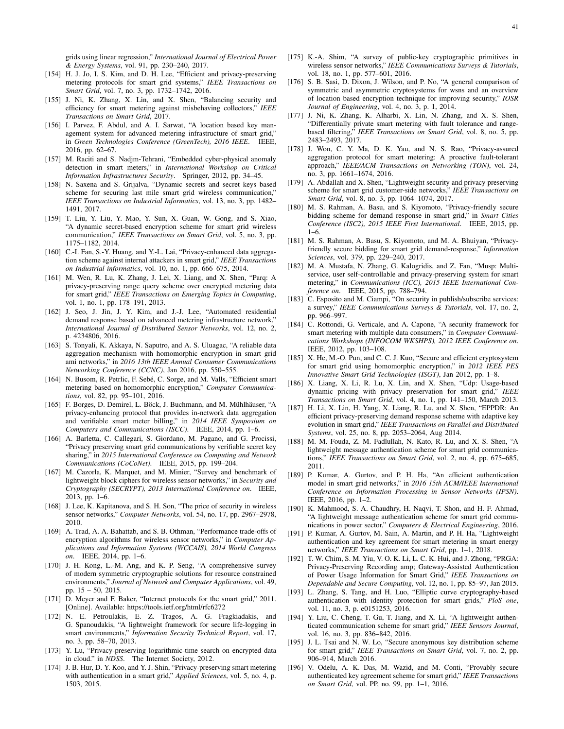grids using linear regression," *International Journal of Electrical Power & Energy Systems*, vol. 91, pp. 230–240, 2017.

- [154] H. J. Jo, I. S. Kim, and D. H. Lee, "Efficient and privacy-preserving metering protocols for smart grid systems," *IEEE Transactions on Smart Grid*, vol. 7, no. 3, pp. 1732–1742, 2016.
- [155] J. Ni, K. Zhang, X. Lin, and X. Shen, "Balancing security and efficiency for smart metering against misbehaving collectors," *IEEE Transactions on Smart Grid*, 2017.
- [156] I. Parvez, F. Abdul, and A. I. Sarwat, "A location based key management system for advanced metering infrastructure of smart grid," in *Green Technologies Conference (GreenTech), 2016 IEEE*. IEEE, 2016, pp. 62–67.
- [157] M. Raciti and S. Nadjm-Tehrani, "Embedded cyber-physical anomaly detection in smart meters," in *International Workshop on Critical Information Infrastructures Security*. Springer, 2012, pp. 34–45.
- [158] N. Saxena and S. Grijalva, "Dynamic secrets and secret keys based scheme for securing last mile smart grid wireless communication," *IEEE Transactions on Industrial Informatics*, vol. 13, no. 3, pp. 1482– 1491, 2017.
- [159] T. Liu, Y. Liu, Y. Mao, Y. Sun, X. Guan, W. Gong, and S. Xiao, "A dynamic secret-based encryption scheme for smart grid wireless communication," *IEEE Transactions on Smart Grid*, vol. 5, no. 3, pp. 1175–1182, 2014.
- [160] C.-I. Fan, S.-Y. Huang, and Y.-L. Lai, "Privacy-enhanced data aggregation scheme against internal attackers in smart grid," *IEEE Transactions on Industrial informatics*, vol. 10, no. 1, pp. 666–675, 2014.
- [161] M. Wen, R. Lu, K. Zhang, J. Lei, X. Liang, and X. Shen, "Parq: A privacy-preserving range query scheme over encrypted metering data for smart grid," *IEEE Transactions on Emerging Topics in Computing*, vol. 1, no. 1, pp. 178–191, 2013.
- [162] J. Seo, J. Jin, J. Y. Kim, and J.-J. Lee, "Automated residential demand response based on advanced metering infrastructure network," *International Journal of Distributed Sensor Networks*, vol. 12, no. 2, p. 4234806, 2016.
- [163] S. Tonyali, K. Akkaya, N. Saputro, and A. S. Uluagac, "A reliable data aggregation mechanism with homomorphic encryption in smart grid ami networks," in *2016 13th IEEE Annual Consumer Communications Networking Conference (CCNC)*, Jan 2016, pp. 550–555.
- [164] N. Busom, R. Petrlic, F. Sebé, C. Sorge, and M. Valls, "Efficient smart metering based on homomorphic encryption," *Computer Communications*, vol. 82, pp. 95–101, 2016.
- [165] F. Borges, D. Demirel, L. Böck, J. Buchmann, and M. Mühlhäuser, "A privacy-enhancing protocol that provides in-network data aggregation and verifiable smart meter billing," in *2014 IEEE Symposium on Computers and Communications (ISCC)*. IEEE, 2014, pp. 1–6.
- [166] A. Barletta, C. Callegari, S. Giordano, M. Pagano, and G. Procissi, "Privacy preserving smart grid communications by verifiable secret key sharing," in *2015 International Conference on Computing and Network Communications (CoCoNet)*. IEEE, 2015, pp. 199–204.
- [167] M. Cazorla, K. Marquet, and M. Minier, "Survey and benchmark of lightweight block ciphers for wireless sensor networks," in *Security and Cryptography (SECRYPT), 2013 International Conference on*. IEEE, 2013, pp. 1–6.
- [168] J. Lee, K. Kapitanova, and S. H. Son, "The price of security in wireless sensor networks," *Computer Networks*, vol. 54, no. 17, pp. 2967–2978, 2010.
- [169] A. Trad, A. A. Bahattab, and S. B. Othman, "Performance trade-offs of encryption algorithms for wireless sensor networks," in *Computer Applications and Information Systems (WCCAIS), 2014 World Congress on*. IEEE, 2014, pp. 1–6.
- [170] J. H. Kong, L.-M. Ang, and K. P. Seng, "A comprehensive survey of modern symmetric cryptographic solutions for resource constrained environments," *Journal of Network and Computer Applications*, vol. 49, pp. 15 – 50, 2015.
- [171] D. Meyer and F. Baker, "Internet protocols for the smart grid," 2011. [Online]. Available: https://tools.ietf.org/html/rfc6272
- [172] N. E. Petroulakis, E. Z. Tragos, A. G. Fragkiadakis, and G. Spanoudakis, "A lightweight framework for secure life-logging in smart environments," *Information Security Technical Report*, vol. 17, no. 3, pp. 58–70, 2013.
- [173] Y. Lu, "Privacy-preserving logarithmic-time search on encrypted data in cloud." in *NDSS*. The Internet Society, 2012.
- [174] J. B. Hur, D. Y. Koo, and Y. J. Shin, "Privacy-preserving smart metering with authentication in a smart grid," *Applied Sciences*, vol. 5, no. 4, p. 1503, 2015.
- [175] K.-A. Shim, "A survey of public-key cryptographic primitives in wireless sensor networks," *IEEE Communications Surveys & Tutorials*, vol. 18, no. 1, pp. 577–601, 2016.
- [176] S. B. Sasi, D. Dixon, J. Wilson, and P. No, "A general comparison of symmetric and asymmetric cryptosystems for wsns and an overview of location based encryption technique for improving security," *IOSR Journal of Engineering*, vol. 4, no. 3, p. 1, 2014.
- [177] J. Ni, K. Zhang, K. Alharbi, X. Lin, N. Zhang, and X. S. Shen, "Differentially private smart metering with fault tolerance and rangebased filtering," *IEEE Transactions on Smart Grid*, vol. 8, no. 5, pp. 2483–2493, 2017.
- [178] J. Won, C. Y. Ma, D. K. Yau, and N. S. Rao, "Privacy-assured aggregation protocol for smart metering: A proactive fault-tolerant approach," *IEEE/ACM Transactions on Networking (TON)*, vol. 24, no. 3, pp. 1661–1674, 2016.
- [179] A. Abdallah and X. Shen, "Lightweight security and privacy preserving scheme for smart grid customer-side networks," *IEEE Transactions on Smart Grid*, vol. 8, no. 3, pp. 1064–1074, 2017.
- [180] M. S. Rahman, A. Basu, and S. Kiyomoto, "Privacy-friendly secure bidding scheme for demand response in smart grid," in *Smart Cities Conference (ISC2), 2015 IEEE First International*. IEEE, 2015, pp. 1–6.
- [181] M. S. Rahman, A. Basu, S. Kiyomoto, and M. A. Bhuiyan, "Privacyfriendly secure bidding for smart grid demand-response," *Information Sciences*, vol. 379, pp. 229–240, 2017.
- [182] M. A. Mustafa, N. Zhang, G. Kalogridis, and Z. Fan, "Musp: Multiservice, user self-controllable and privacy-preserving system for smart metering," in *Communications (ICC), 2015 IEEE International Conference on*. IEEE, 2015, pp. 788–794.
- [183] C. Esposito and M. Ciampi, "On security in publish/subscribe services: a survey," *IEEE Communications Surveys & Tutorials*, vol. 17, no. 2, pp. 966–997.
- [184] C. Rottondi, G. Verticale, and A. Capone, "A security framework for smart metering with multiple data consumers," in *Computer Communications Workshops (INFOCOM WKSHPS), 2012 IEEE Conference on*. IEEE, 2012, pp. 103–108.
- [185] X. He, M.-O. Pun, and C. C. J. Kuo, "Secure and efficient cryptosystem for smart grid using homomorphic encryption," in *2012 IEEE PES Innovative Smart Grid Technologies (ISGT)*, Jan 2012, pp. 1–8.
- [186] X. Liang, X. Li, R. Lu, X. Lin, and X. Shen, "Udp: Usage-based dynamic pricing with privacy preservation for smart grid," *IEEE Transactions on Smart Grid*, vol. 4, no. 1, pp. 141–150, March 2013.
- [187] H. Li, X. Lin, H. Yang, X. Liang, R. Lu, and X. Shen, "EPPDR: An efficient privacy-preserving demand response scheme with adaptive key evolution in smart grid," *IEEE Transactions on Parallel and Distributed Systems*, vol. 25, no. 8, pp. 2053–2064, Aug 2014.
- [188] M. M. Fouda, Z. M. Fadlullah, N. Kato, R. Lu, and X. S. Shen, "A lightweight message authentication scheme for smart grid communications," *IEEE Transactions on Smart Grid*, vol. 2, no. 4, pp. 675–685, 2011.
- [189] P. Kumar, A. Gurtov, and P. H. Ha, "An efficient authentication model in smart grid networks," in *2016 15th ACM/IEEE International Conference on Information Processing in Sensor Networks (IPSN)*. IEEE, 2016, pp. 1–2.
- [190] K. Mahmood, S. A. Chaudhry, H. Naqvi, T. Shon, and H. F. Ahmad, "A lightweight message authentication scheme for smart grid communications in power sector," *Computers & Electrical Engineering*, 2016.
- [191] P. Kumar, A. Gurtov, M. Sain, A. Martin, and P. H. Ha, "Lightweight authentication and key agreement for smart metering in smart energy networks," *IEEE Transactions on Smart Grid*, pp. 1–1, 2018.
- [192] T. W. Chim, S. M. Yiu, V. O. K. Li, L. C. K. Hui, and J. Zhong, "PRGA: Privacy-Preserving Recording amp; Gateway-Assisted Authentication of Power Usage Information for Smart Grid," *IEEE Transactions on Dependable and Secure Computing*, vol. 12, no. 1, pp. 85–97, Jan 2015.
- [193] L. Zhang, S. Tang, and H. Luo, "Elliptic curve cryptography-based authentication with identity protection for smart grids," *PloS one*, vol. 11, no. 3, p. e0151253, 2016.
- [194] Y. Liu, C. Cheng, T. Gu, T. Jiang, and X. Li, "A lightweight authenticated communication scheme for smart grid," *IEEE Sensors Journal*, vol. 16, no. 3, pp. 836–842, 2016.
- [195] J. L. Tsai and N. W. Lo, "Secure anonymous key distribution scheme for smart grid," *IEEE Transactions on Smart Grid*, vol. 7, no. 2, pp. 906–914, March 2016.
- [196] V. Odelu, A. K. Das, M. Wazid, and M. Conti, "Provably secure authenticated key agreement scheme for smart grid," *IEEE Transactions on Smart Grid*, vol. PP, no. 99, pp. 1–1, 2016.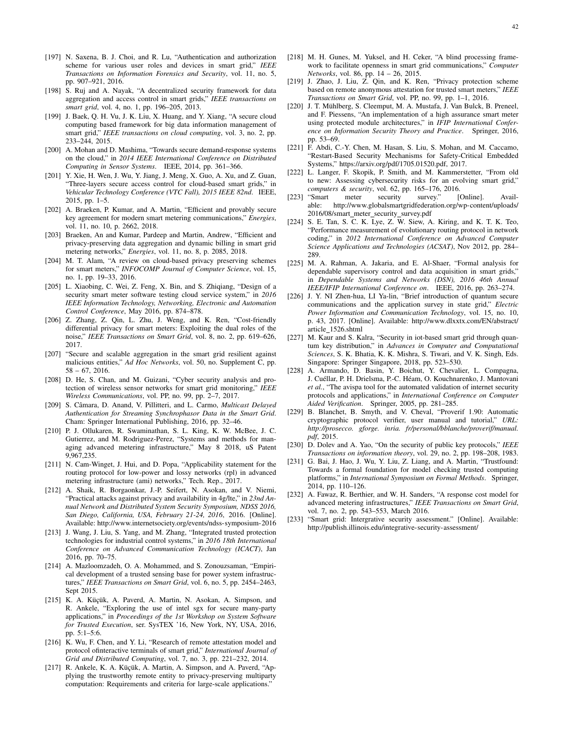- [197] N. Saxena, B. J. Choi, and R. Lu, "Authentication and authorization scheme for various user roles and devices in smart grid," *IEEE Transactions on Information Forensics and Security*, vol. 11, no. 5, pp. 907–921, 2016.
- [198] S. Ruj and A. Nayak, "A decentralized security framework for data aggregation and access control in smart grids," *IEEE transactions on smart grid*, vol. 4, no. 1, pp. 196–205, 2013.
- [199] J. Baek, Q. H. Vu, J. K. Liu, X. Huang, and Y. Xiang, "A secure cloud computing based framework for big data information management of smart grid," *IEEE transactions on cloud computing*, vol. 3, no. 2, pp. 233–244, 2015.
- [200] A. Mohan and D. Mashima, "Towards secure demand-response systems on the cloud," in *2014 IEEE International Conference on Distributed Computing in Sensor Systems*. IEEE, 2014, pp. 361–366.
- [201] Y. Xie, H. Wen, J. Wu, Y. Jiang, J. Meng, X. Guo, A. Xu, and Z. Guan, "Three-layers secure access control for cloud-based smart grids," in *Vehicular Technology Conference (VTC Fall), 2015 IEEE 82nd*. IEEE, 2015, pp. 1–5.
- [202] A. Braeken, P. Kumar, and A. Martin, "Efficient and provably secure key agreement for modern smart metering communications," *Energies*, vol. 11, no. 10, p. 2662, 2018.
- [203] Braeken, An and Kumar, Pardeep and Martin, Andrew, "Efficient and privacy-preserving data aggregation and dynamic billing in smart grid metering networks," *Energies*, vol. 11, no. 8, p. 2085, 2018.
- [204] M. T. Alam, "A review on cloud-based privacy preserving schemes for smart meters," *INFOCOMP Journal of Computer Science*, vol. 15, no. 1, pp. 19–33, 2016.
- [205] L. Xiaobing, C. Wei, Z. Feng, X. Bin, and S. Zhiqiang, "Design of a security smart meter software testing cloud service system," in *2016 IEEE Information Technology, Networking, Electronic and Automation Control Conference*, May 2016, pp. 874–878.
- [206] Z. Zhang, Z. Qin, L. Zhu, J. Weng, and K. Ren, "Cost-friendly differential privacy for smart meters: Exploiting the dual roles of the noise," *IEEE Transactions on Smart Grid*, vol. 8, no. 2, pp. 619–626, 2017.
- [207] "Secure and scalable aggregation in the smart grid resilient against malicious entities," *Ad Hoc Networks*, vol. 50, no. Supplement C, pp. 58 – 67, 2016.
- [208] D. He, S. Chan, and M. Guizani, "Cyber security analysis and protection of wireless sensor networks for smart grid monitoring," *IEEE Wireless Communications*, vol. PP, no. 99, pp. 2–7, 2017.
- [209] S. Câmara, D. Anand, V. Pillitteri, and L. Carmo, *Multicast Delayed Authentication for Streaming Synchrophasor Data in the Smart Grid*. Cham: Springer International Publishing, 2016, pp. 32–46.
- [210] P. J. Ollukaren, R. Swaminathan, S. L. King, K. W. McBee, J. C. Gutierrez, and M. Rodriguez-Perez, "Systems and methods for managing advanced metering infrastructure," May 8 2018, uS Patent 9,967,235.
- [211] N. Cam-Winget, J. Hui, and D. Popa, "Applicability statement for the routing protocol for low-power and lossy networks (rpl) in advanced metering infrastructure (ami) networks," Tech. Rep., 2017.
- [212] A. Shaik, R. Borgaonkar, J.-P. Seifert, N. Asokan, and V. Niemi, "Practical attacks against privacy and availability in 4g/lte," in *23nd Annual Network and Distributed System Security Symposium, NDSS 2016, San Diego, California, USA, February 21-24, 2016*, 2016. [Online]. Available: http://www.internetsociety.org/events/ndss-symposium-2016
- [213] J. Wang, J. Liu, S. Yang, and M. Zhang, "Integrated trusted protection technologies for industrial control systems," in *2016 18th International Conference on Advanced Communication Technology (ICACT)*, Jan 2016, pp. 70–75.
- [214] A. Mazloomzadeh, O. A. Mohammed, and S. Zonouzsaman, "Empirical development of a trusted sensing base for power system infrastructures," *IEEE Transactions on Smart Grid*, vol. 6, no. 5, pp. 2454–2463, Sept 2015.
- [215] K. A. Küçük, A. Paverd, A. Martin, N. Asokan, A. Simpson, and R. Ankele, "Exploring the use of intel sgx for secure many-party applications," in *Proceedings of the 1st Workshop on System Software for Trusted Execution*, ser. SysTEX '16, New York, NY, USA, 2016, pp. 5:1–5:6.
- [216] K. Wu, F. Chen, and Y. Li, "Research of remote attestation model and protocol ofinteractive terminals of smart grid," *International Journal of Grid and Distributed Computing*, vol. 7, no. 3, pp. 221–232, 2014.
- [217] R. Ankele, K. A. Küçük, A. Martin, A. Simpson, and A. Paverd, "Applying the trustworthy remote entity to privacy-preserving multiparty computation: Requirements and criteria for large-scale applications."
- [218] M. H. Gunes, M. Yuksel, and H. Ceker, "A blind processing framework to facilitate openness in smart grid communications," *Computer Networks*, vol. 86, pp. 14 – 26, 2015.
- [219] J. Zhao, J. Liu, Z. Qin, and K. Ren, "Privacy protection scheme based on remote anonymous attestation for trusted smart meters," *IEEE Transactions on Smart Grid*, vol. PP, no. 99, pp. 1–1, 2016.
- [220] J. T. Mühlberg, S. Cleemput, M. A. Mustafa, J. Van Bulck, B. Preneel, and F. Piessens, "An implementation of a high assurance smart meter using protected module architectures," in *IFIP International Conference on Information Security Theory and Practice*. Springer, 2016, pp. 53–69.
- [221] F. Abdi, C.-Y. Chen, M. Hasan, S. Liu, S. Mohan, and M. Caccamo, "Restart-Based Security Mechanisms for Safety-Critical Embedded Systems," https://arxiv.org/pdf/1705.01520.pdf, 2017.
- [222] L. Langer, F. Skopik, P. Smith, and M. Kammerstetter, "From old to new: Assessing cybersecurity risks for an evolving smart grid," *computers & security*, vol. 62, pp. 165–176, 2016.
- [223] "Smart meter security survey." [Online]. Available: http://www.globalsmartgridfederation.org/wp-content/uploads/ 2016/08/smart\_meter\_security\_survey.pdf
- [224] S. E. Tan, S. C. K. Lye, Z. W. Siew, A. Kiring, and K. T. K. Teo, "Performance measurement of evolutionary routing protocol in network coding," in *2012 International Conference on Advanced Computer Science Applications and Technologies (ACSAT)*, Nov 2012, pp. 284– 289.
- [225] M. A. Rahman, A. Jakaria, and E. Al-Shaer, "Formal analysis for dependable supervisory control and data acquisition in smart grids," in *Dependable Systems and Networks (DSN), 2016 46th Annual IEEE/IFIP International Conference on*. IEEE, 2016, pp. 263–274.
- [226] J. Y. NI Zhen-hua, LI Ya-lin, "Brief introduction of quantum secure communications and the application survey in state grid," *Electric Power Information and Communication Technology*, vol. 15, no. 10, p. 43, 2017. [Online]. Available: http://www.dlxxtx.com/EN/abstract/ article 1526.shtml
- [227] M. Kaur and S. Kalra, "Security in iot-based smart grid through quantum key distribution," in *Advances in Computer and Computational Sciences*, S. K. Bhatia, K. K. Mishra, S. Tiwari, and V. K. Singh, Eds. Singapore: Springer Singapore, 2018, pp. 523–530.
- [228] A. Armando, D. Basin, Y. Boichut, Y. Chevalier, L. Compagna, J. Cuéllar, P. H. Drielsma, P.-C. Héam, O. Kouchnarenko, J. Mantovani *et al.*, "The avispa tool for the automated validation of internet security protocols and applications," in *International Conference on Computer Aided Verification*. Springer, 2005, pp. 281–285.
- [229] B. Blanchet, B. Smyth, and V. Cheval, "Proverif 1.90: Automatic cryptographic protocol verifier, user manual and tutorial," *URL: http://prosecco. gforge. inria. fr/personal/bblanche/proverif/manual. pdf*, 2015.
- [230] D. Dolev and A. Yao, "On the security of public key protocols," *IEEE Transactions on information theory*, vol. 29, no. 2, pp. 198–208, 1983.
- [231] G. Bai, J. Hao, J. Wu, Y. Liu, Z. Liang, and A. Martin, "Trustfound: Towards a formal foundation for model checking trusted computing platforms," in *International Symposium on Formal Methods*. Springer, 2014, pp. 110–126.
- [232] A. Fawaz, R. Berthier, and W. H. Sanders, "A response cost model for advanced metering infrastructures," *IEEE Transactions on Smart Grid*, vol. 7, no. 2, pp. 543–553, March 2016.
- [233] "Smart grid: Intergrative security assessment." [Online]. Available: http://publish.illinois.edu/integrative-security-assessment/